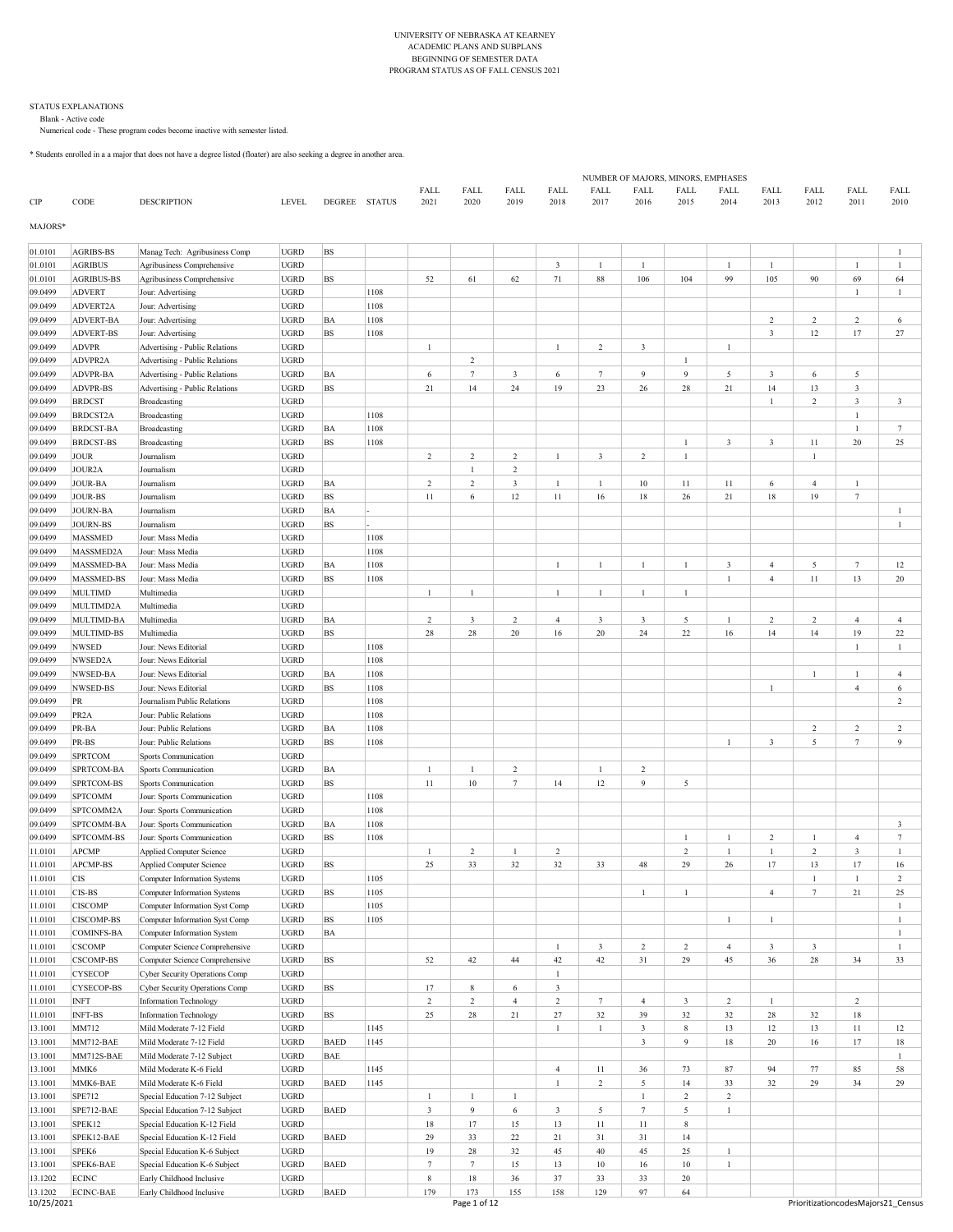#### UNIVERSITY OF NEBRASKA AT KEARNEY ACADEMIC PLANS AND SUBPLANS BEGINNING OF SEMESTER DATA PROGRAM STATUS AS OF FALL CENSUS 2021

#### STATUS EXPLANATIONS Blank - Active code

Numerical code - These program codes become inactive with semester listed.

\* Students enrolled in a a major that does not have a degree listed (floater) are also seeking a degree in another area.

|                    |                                     |                                                                    |                            |               |              |                |                         |                         |                         |                 |                         | NUMBER OF MAJORS, MINORS, EMPHASES |                              |                |                           |                                           |                                    |
|--------------------|-------------------------------------|--------------------------------------------------------------------|----------------------------|---------------|--------------|----------------|-------------------------|-------------------------|-------------------------|-----------------|-------------------------|------------------------------------|------------------------------|----------------|---------------------------|-------------------------------------------|------------------------------------|
| CIP                | CODE                                | <b>DESCRIPTION</b>                                                 | <b>LEVEL</b>               | DEGREE STATUS |              | FALL<br>2021   | FALL<br>2020            | FALL<br>2019            | FALL<br>2018            | FALL<br>2017    | FALL<br>2016            | FALL<br>2015                       | FALL<br>2014                 | FALL<br>2013   | FALL<br>2012              | FALL<br>2011                              | FALL<br>2010                       |
| MAJORS*            |                                     |                                                                    |                            |               |              |                |                         |                         |                         |                 |                         |                                    |                              |                |                           |                                           |                                    |
| 01.0101            | <b>AGRIBS-BS</b>                    | Manag Tech: Agribusiness Comp                                      | <b>UGRD</b>                | BS            |              |                |                         |                         |                         |                 |                         |                                    |                              |                |                           |                                           |                                    |
| 01.0101            | <b>AGRIBUS</b>                      | Agribusiness Comprehensive                                         | <b>UGRD</b>                |               |              |                |                         |                         | $\overline{\mathbf{3}}$ | $\overline{1}$  | 1                       |                                    | $\mathbf{1}$                 | $\mathbf{1}$   |                           | $\mathbf{1}$                              | $\mathbf{1}$                       |
| 01.0101            | <b>AGRIBUS-BS</b>                   | Agribusiness Comprehensive                                         | UGRD                       | BS            |              | 52             | 61                      | 62                      | $71\,$                  | 88              | 106                     | 104                                | 99                           | 105            | 90                        | 69                                        | 64                                 |
| 09.0499            | <b>ADVERT</b>                       | Jour: Advertising                                                  | UGRD                       |               | 1108         |                |                         |                         |                         |                 |                         |                                    |                              |                |                           | 1                                         | 1                                  |
| 09.0499            | <b>ADVERT2A</b><br><b>ADVERT-BA</b> | Jour: Advertising<br>Jour: Advertising                             | <b>UGRD</b><br><b>UGRD</b> | BA            | 1108<br>1108 |                |                         |                         |                         |                 |                         |                                    |                              | $\overline{c}$ | $\overline{c}$            | 2                                         | 6                                  |
| 09.0499<br>09.0499 | <b>ADVERT-BS</b>                    | Jour: Advertising                                                  | <b>UGRD</b>                | BS            | 1108         |                |                         |                         |                         |                 |                         |                                    |                              | $\mathbf{3}$   | 12                        | 17                                        | 27                                 |
| 09.0499            | <b>ADVPR</b>                        | Advertising - Public Relations                                     | <b>UGRD</b>                |               |              | $\mathbf{1}$   |                         |                         | $\mathbf{1}$            | $\overline{2}$  | $\overline{\mathbf{3}}$ |                                    | $\mathbf{1}$                 |                |                           |                                           |                                    |
| 09.0499            | ADVPR <sub>2</sub> A                | Advertising - Public Relations                                     | <b>UGRD</b>                |               |              |                | $\overline{2}$          |                         |                         |                 |                         | $\mathbf{1}$                       |                              |                |                           |                                           |                                    |
| 09.0499            | <b>ADVPR-BA</b>                     | Advertising - Public Relations                                     | <b>UGRD</b>                | ΒA            |              | 6              | $7\phantom{.0}$         | 3                       | 6                       | $7\phantom{.0}$ | 9                       | 9                                  | 5                            | 3              | 6                         | 5                                         |                                    |
| 09.0499            | <b>ADVPR-BS</b>                     | Advertising - Public Relations                                     | <b>UGRD</b>                | BS            |              | 21             | 14                      | 24                      | 19                      | 23              | 26                      | 28                                 | $21\,$                       | 14             | 13                        | $\mathbf{3}$                              |                                    |
| 09.0499            | <b>BRDCST</b>                       | Broadcasting                                                       | <b>UGRD</b>                |               |              |                |                         |                         |                         |                 |                         |                                    |                              | $\mathbf{1}$   | $\overline{c}$            | $\mathbf{3}$                              | 3                                  |
| 09.0499            | <b>BRDCST2A</b>                     | Broadcasting                                                       | <b>UGRD</b>                |               | 1108         |                |                         |                         |                         |                 |                         |                                    |                              |                |                           | 1                                         |                                    |
| 09.0499            | <b>BRDCST-BA</b>                    | Broadcasting                                                       | UGRD                       | ΒA            | 1108         |                |                         |                         |                         |                 |                         |                                    |                              |                |                           | $\mathbf{1}$                              | $\tau$                             |
| 09.0499            | <b>BRDCST-BS</b>                    | Broadcasting                                                       | UGRD                       | BS            | 1108         |                |                         |                         |                         |                 |                         | $\mathbf{1}$                       | 3                            | $\mathbf{3}$   | 11                        | 20                                        | 25                                 |
| 09.0499            | <b>JOUR</b>                         | Journalism                                                         | UGRD                       |               |              | $\overline{2}$ | $\overline{\mathbf{c}}$ | 2                       | $\mathbf{1}$            | 3               | $\overline{2}$          | $\mathbf{1}$                       |                              |                | $\mathbf{1}$              |                                           |                                    |
| 09.0499            | <b>JOUR2A</b>                       | Journalism                                                         | UGRD                       |               |              |                |                         | $\overline{c}$          |                         |                 |                         |                                    |                              |                |                           |                                           |                                    |
| 09.0499            | <b>JOUR-BA</b>                      | Journalism                                                         | <b>UGRD</b>                | ΒA            |              | $\overline{c}$ | $\overline{c}$          | $\overline{\mathbf{3}}$ | $\mathbf{1}$            | 1               | 10                      | 11                                 | 11                           | 6              | $\overline{4}$            | $\mathbf{1}$                              |                                    |
| 09.0499            | <b>JOUR-BS</b>                      | Journalism                                                         | <b>UGRD</b>                | BS            |              | 11             | 6                       | 12                      | $11\,$                  | 16              | 18                      | 26                                 | 21                           | $18\,$         | 19                        | $7\phantom{.0}$                           |                                    |
| 09.0499            | <b>JOURN-BA</b>                     | Journalism                                                         | <b>UGRD</b>                | BA<br>BS      |              |                |                         |                         |                         |                 |                         |                                    |                              |                |                           |                                           | $\overline{1}$                     |
| 09.0499<br>09.0499 | <b>JOURN-BS</b><br><b>MASSMED</b>   | Journalism<br>Jour: Mass Media                                     | <b>UGRD</b><br><b>UGRD</b> |               | 1108         |                |                         |                         |                         |                 |                         |                                    |                              |                |                           |                                           |                                    |
| 09.0499            | MASSMED2A                           | Jour: Mass Media                                                   | <b>UGRD</b>                |               | 1108         |                |                         |                         |                         |                 |                         |                                    |                              |                |                           |                                           |                                    |
| 09.0499            | MASSMED-BA                          | Jour: Mass Media                                                   | <b>UGRD</b>                | ΒA            | 1108         |                |                         |                         | 1                       | 1               | $\overline{1}$          | $\mathbf{1}$                       | 3                            | $\overline{4}$ | 5                         | $7\phantom{.0}$                           | 12                                 |
| 09.0499            | MASSMED-BS                          | Jour: Mass Media                                                   | <b>UGRD</b>                | BS            | 1108         |                |                         |                         |                         |                 |                         |                                    | $\mathbf{1}$                 | $\overline{4}$ | $11\,$                    | 13                                        | 20                                 |
| 09.0499            | <b>MULTIMD</b>                      | Multimedia                                                         | <b>UGRD</b>                |               |              | $\mathbf{1}$   | $\mathbf{1}$            |                         | $\mathbf{1}$            | $\mathbf{1}$    | $\mathbf{1}$            | $\mathbf{1}$                       |                              |                |                           |                                           |                                    |
| 09.0499            | MULTIMD2A                           | Multimedia                                                         | <b>UGRD</b>                |               |              |                |                         |                         |                         |                 |                         |                                    |                              |                |                           |                                           |                                    |
| 09.0499            | MULTIMD-BA                          | Multimedia                                                         | UGRD                       | ΒA            |              | 2              | 3                       | $\overline{c}$          | $\overline{4}$          | 3               | 3                       | 5                                  | $\mathbf{1}$                 | $\overline{c}$ | $\overline{c}$            | $\overline{4}$                            | $\overline{4}$                     |
| 09.0499            | <b>MULTIMD-BS</b>                   | Multimedia                                                         | <b>UGRD</b>                | BS            |              | 28             | 28                      | 20                      | 16                      | 20              | 24                      | 22                                 | 16                           | 14             | 14                        | 19                                        | 22                                 |
| 09.0499            | <b>NWSED</b>                        | Jour: News Editorial                                               | <b>UGRD</b>                |               | 1108         |                |                         |                         |                         |                 |                         |                                    |                              |                |                           | 1                                         | $\mathbf{1}$                       |
| 09.0499            | NWSED2A                             | Jour: News Editorial                                               | <b>UGRD</b>                |               | 1108         |                |                         |                         |                         |                 |                         |                                    |                              |                |                           |                                           |                                    |
| 09.0499            | NWSED-BA                            | Jour: News Editorial                                               | <b>UGRD</b>                | ΒA            | 1108         |                |                         |                         |                         |                 |                         |                                    |                              |                | $\mathbf{1}$              | $\mathbf{1}$                              | $\overline{4}$                     |
| 09.0499            | NWSED-BS                            | Jour: News Editorial                                               | <b>UGRD</b>                | BS            | 1108         |                |                         |                         |                         |                 |                         |                                    |                              | $\mathbf{1}$   |                           | $\overline{4}$                            | 6                                  |
| 09.0499            | PR                                  | Journalism Public Relations                                        | <b>UGRD</b>                |               | 1108         |                |                         |                         |                         |                 |                         |                                    |                              |                |                           |                                           | $\overline{c}$                     |
| 09.0499            | PR <sub>2</sub> A                   | Jour: Public Relations                                             | <b>UGRD</b>                |               | 1108         |                |                         |                         |                         |                 |                         |                                    |                              |                |                           |                                           |                                    |
| 09.0499            | PR-BA                               | Jour: Public Relations                                             | <b>UGRD</b>                | ΒA            | 1108         |                |                         |                         |                         |                 |                         |                                    |                              |                | $\overline{c}$            | $\overline{c}$                            | 2                                  |
| 09.0499            | PR-BS                               | Jour: Public Relations                                             | <b>UGRD</b>                | BS            | 1108         |                |                         |                         |                         |                 |                         |                                    | $\mathbf{1}$                 | 3              | 5                         | $7\phantom{.0}$                           | $\overline{Q}$                     |
| 09.0499            | <b>SPRTCOM</b>                      | Sports Communication                                               | <b>UGRD</b>                |               |              |                |                         |                         |                         |                 |                         |                                    |                              |                |                           |                                           |                                    |
| 09.0499            | SPRTCOM-BA                          | Sports Communication                                               | UGRD                       | ΒA            |              | $\overline{1}$ | 1                       | $\overline{c}$          |                         | $\overline{1}$  | $\overline{\mathbf{c}}$ |                                    |                              |                |                           |                                           |                                    |
| 09.0499            | SPRTCOM-BS                          | Sports Communication                                               | UGRD                       | BS            |              | 11             | $10\,$                  | $\tau$                  | 14                      | 12              | 9                       | 5                                  |                              |                |                           |                                           |                                    |
| 09.0499            | <b>SPTCOMM</b>                      | Jour: Sports Communication                                         | UGRD                       |               | 1108         |                |                         |                         |                         |                 |                         |                                    |                              |                |                           |                                           |                                    |
| 09.0499            | SPTCOMM2A                           | Jour: Sports Communication                                         | UGRD                       |               | 1108         |                |                         |                         |                         |                 |                         |                                    |                              |                |                           |                                           |                                    |
| 09.0499            | SPTCOMM-BA                          | Jour: Sports Communication                                         | <b>UGRD</b>                | BA            | 1108         |                |                         |                         |                         |                 |                         | $\mathbf{1}$                       |                              | $\overline{c}$ | $\mathbf{1}$              |                                           | 3<br>7                             |
| 09.0499            | SPTCOMM-BS<br><b>APCMP</b>          | Jour: Sports Communication                                         | <b>UGRD</b><br><b>UGRD</b> | BS            | 1108         | $\mathbf{1}$   | $\overline{c}$          | $\mathbf{1}$            | $\overline{c}$          |                 |                         | $\overline{2}$                     | 1<br>$\mathbf{1}$            | $\mathbf{1}$   | $\overline{\mathfrak{c}}$ | $\overline{4}$<br>$\overline{\mathbf{3}}$ | $\mathbf{1}$                       |
| 11.0101<br>11.0101 | <b>APCMP-BS</b>                     | <b>Applied Computer Science</b><br><b>Applied Computer Science</b> | <b>UGRD</b>                | <b>BS</b>     |              | 25             | 33                      | 32                      | 32                      | 33              | 48                      | 29                                 | 26                           | 17             | 13                        | 17                                        | 16                                 |
| 11.0101            | <b>CIS</b>                          | <b>Computer Information Systems</b>                                | <b>UGRD</b>                |               | 1105         |                |                         |                         |                         |                 |                         |                                    |                              |                | $\mathbf{1}$              | $\mathbf{1}$                              | $\sqrt{2}$                         |
| 11.0101            | CIS-BS                              | <b>Computer Information Systems</b>                                | <b>UGRD</b>                | BS            | 1105         |                |                         |                         |                         |                 | 1                       | $\mathbf{1}$                       |                              | $\overline{4}$ | $\tau$                    | 21                                        | 25                                 |
| 11.0101            | <b>CISCOMP</b>                      | Computer Information Syst Comp                                     | <b>UGRD</b>                |               | 1105         |                |                         |                         |                         |                 |                         |                                    |                              |                |                           |                                           | $\mathbf{1}$                       |
| 11.0101            | <b>CISCOMP-BS</b>                   | Computer Information Syst Comp                                     | $_{\rm UGRD}$              | BS            | 1105         |                |                         |                         |                         |                 |                         |                                    | $\mathbf{1}$                 | $\mathbf{1}$   |                           |                                           | $\,1$                              |
| 11.0101            | <b>COMINFS-BA</b>                   | Computer Information System                                        | <b>UGRD</b>                | BA            |              |                |                         |                         |                         |                 |                         |                                    |                              |                |                           |                                           | $\mathbf{1}$                       |
| 11.0101            | <b>CSCOMP</b>                       | Computer Science Comprehensive                                     | $_{\rm UGRD}$              |               |              |                |                         |                         | $\,1\,$                 | $\mathbf{3}$    | $\overline{c}$          | $\overline{c}$                     | $\overline{4}$               | $\mathbf{3}$   | $\mathbf{3}$              |                                           | $\mathbf{1}$                       |
| 11.0101            | <b>CSCOMP-BS</b>                    | Computer Science Comprehensive                                     | <b>UGRD</b>                | BS            |              | 52             | 42                      | 44                      | 42                      | 42              | 31                      | 29                                 | 45                           | 36             | $\sqrt{28}$               | 34                                        | 33                                 |
| 11.0101            | <b>CYSECOP</b>                      | Cyber Security Operations Comp                                     | <b>UGRD</b>                |               |              |                |                         |                         | $\mathbf{1}$            |                 |                         |                                    |                              |                |                           |                                           |                                    |
| 11.0101            | <b>CYSECOP-BS</b>                   | Cyber Security Operations Comp                                     | <b>UGRD</b>                | BS            |              | 17             | $\,$ 8 $\,$             | 6                       | $\overline{\mathbf{3}}$ |                 |                         |                                    |                              |                |                           |                                           |                                    |
| 11.0101            | <b>INFT</b>                         | Information Technology                                             | <b>UGRD</b>                |               |              | $\,2\,$        | $\overline{c}$          | $\overline{4}$          | $\overline{2}$          | $7\phantom{.0}$ | $\overline{4}$          | $\overline{3}$                     | $\overline{c}$               | $\mathbf{1}$   |                           | $\overline{c}$                            |                                    |
| 11.0101            | <b>INFT-BS</b>                      | Information Technology                                             | <b>UGRD</b>                | <b>BS</b>     |              | $25\,$         | $28\,$                  | 21                      | $27\,$                  | 32              | 39                      | 32                                 | 32                           | $28\,$         | 32                        | 18                                        |                                    |
| 13.1001            | MM712                               | Mild Moderate 7-12 Field                                           | <b>UGRD</b>                |               | 1145         |                |                         |                         | $\,1$                   | $\mathbf{1}$    | $\overline{\mathbf{3}}$ | 8                                  | 13                           | $12\,$         | $13\,$                    | 11                                        | 12                                 |
| 13.1001            | MM712-BAE                           | Mild Moderate 7-12 Field                                           | <b>UGRD</b>                | <b>BAED</b>   | 1145         |                |                         |                         |                         |                 | $\overline{\mathbf{3}}$ | 9                                  | $18\,$                       | 20             | 16                        | 17                                        | $18\,$                             |
| 13.1001            | MM712S-BAE                          | Mild Moderate 7-12 Subject                                         | <b>UGRD</b>                | BAE           |              |                |                         |                         |                         |                 |                         |                                    |                              |                |                           |                                           | $\mathbf{1}$                       |
| 13.1001            | MMK6                                | Mild Moderate K-6 Field                                            | <b>UGRD</b>                |               | 1145         |                |                         |                         | $\overline{4}$          | 11              | 36                      | 73                                 | 87                           | 94             | 77                        | 85                                        | 58                                 |
| 13.1001            | MMK6-BAE                            | Mild Moderate K-6 Field                                            | <b>UGRD</b>                | <b>BAED</b>   | 1145         |                |                         |                         | $\mathbf{1}$            | $\overline{c}$  | 5                       | 14                                 | 33                           | 32             | 29                        | 34                                        | 29                                 |
| 13.1001            | SPE712                              | Special Education 7-12 Subject                                     | <b>UGRD</b>                |               |              | $\mathbf{1}$   | $\mathbf{1}$            | 1                       |                         |                 | $\mathbf{1}$            | $\overline{c}$                     | $\sqrt{2}$                   |                |                           |                                           |                                    |
| 13.1001            | SPE712-BAE                          | Special Education 7-12 Subject                                     | <b>UGRD</b>                | <b>BAED</b>   |              | $\sqrt{3}$     | $\overline{9}$          | $\sqrt{6}$              | $\mathbf{3}$            | 5               | $\tau$                  | 5                                  | $1\,$                        |                |                           |                                           |                                    |
| 13.1001            | SPEK12                              | Special Education K-12 Field                                       | <b>UGRD</b>                |               |              | $18\,$         | 17                      | 15                      | 13                      | 11              | 11                      | 8                                  |                              |                |                           |                                           |                                    |
| 13.1001            | SPEK12-BAE                          | Special Education K-12 Field                                       | <b>UGRD</b>                | <b>BAED</b>   |              | 29             | 33                      | $22\,$                  | 21                      | 31              | 31                      | 14                                 |                              |                |                           |                                           |                                    |
| 13.1001<br>13.1001 | SPEK6<br>SPEK6-BAE                  | Special Education K-6 Subject<br>Special Education K-6 Subject     | <b>UGRD</b><br><b>UGRD</b> | <b>BAED</b>   |              | 19<br>$\tau$   | 28<br>$7\overline{ }$   | 32<br>15                | 45<br>13                | $40\,$<br>10    | 45<br>16                | 25<br>$10\,$                       | $\mathbf{1}$<br>$\mathbf{1}$ |                |                           |                                           |                                    |
| 13.1202            | <b>ECINC</b>                        | Early Childhood Inclusive                                          | <b>UGRD</b>                |               |              | $\,$ 8 $\,$    | 18                      | 36                      | 37                      | 33              | 33                      | $20\,$                             |                              |                |                           |                                           |                                    |
| 13.1202            | <b>ECINC-BAE</b>                    | Early Childhood Inclusive                                          | <b>UGRD</b>                | <b>BAED</b>   |              | 179            | 173                     | 155                     | 158                     | 129             | 97                      | 64                                 |                              |                |                           |                                           |                                    |
| 10/25/2021         |                                     |                                                                    |                            |               |              |                | Page 1 of 12            |                         |                         |                 |                         |                                    |                              |                |                           |                                           | PrioritizationcodesMajors21 Census |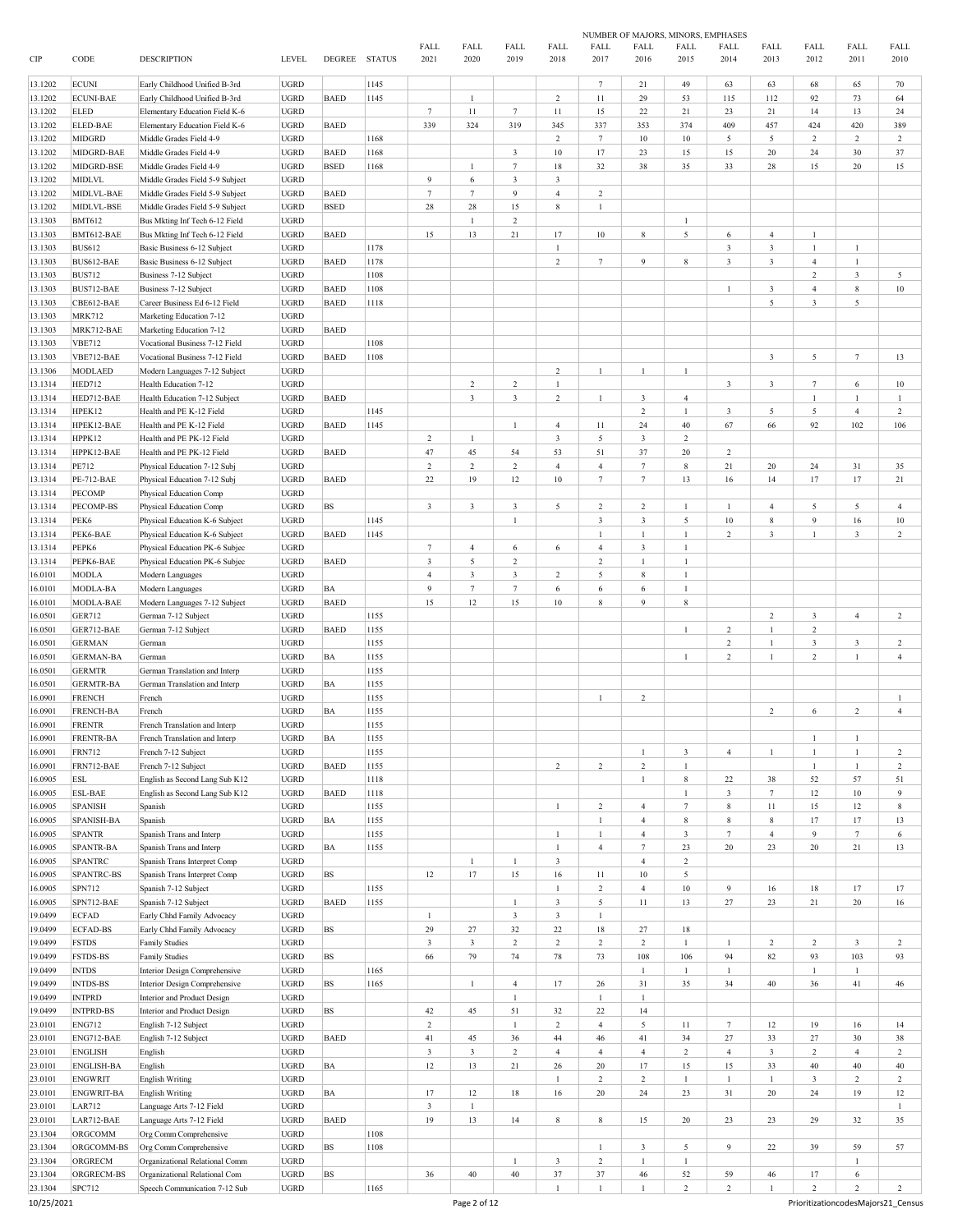|         |                   |                                 |              |             |               |                         |                 |                |                         |                  |                 | NUMBER OF MAJORS, MINORS, EMPHASES |                         |                         |                         |                |                |
|---------|-------------------|---------------------------------|--------------|-------------|---------------|-------------------------|-----------------|----------------|-------------------------|------------------|-----------------|------------------------------------|-------------------------|-------------------------|-------------------------|----------------|----------------|
|         |                   |                                 |              |             |               | <b>FALL</b>             | FALL            | FALL           | FALL                    | FALL             | <b>FALL</b>     | FALL                               | FALL                    | FALL                    | FALL                    | FALL           | FALL           |
| CIP     | CODE              | <b>DESCRIPTION</b>              | <b>LEVEL</b> | DEGREE      | <b>STATUS</b> | 2021                    | 2020            | 2019           | 2018                    | 2017             | 2016            | 2015                               | 2014                    | 2013                    | 2012                    | 2011           | 2010           |
|         |                   |                                 |              |             |               |                         |                 |                |                         |                  |                 |                                    |                         |                         |                         |                |                |
| 13.1202 | <b>ECUNI</b>      | Early Childhood Unified B-3rd   | <b>UGRD</b>  |             | 1145          |                         |                 |                |                         | $7\phantom{.0}$  | 21              | 49                                 | 63                      | 63                      | 68                      | 65             | 70             |
| 13.1202 | <b>ECUNI-BAE</b>  | Early Childhood Unified B-3rd   | <b>UGRD</b>  | <b>BAED</b> | 1145          |                         | $\mathbf{1}$    |                | 2                       | $11\,$           | 29              | 53                                 | 115                     | 112                     | 92                      | 73             | 64             |
| 13.1202 | ELED              | Elementary Education Field K-6  | <b>UGRD</b>  |             |               | $7\phantom{.0}$         | 11              | $\tau$         | 11                      | 15               | 22              | 21                                 | 23                      | 21                      | 14                      | 13             | 24             |
| 13.1202 | <b>ELED-BAE</b>   | Elementary Education Field K-6  | <b>UGRD</b>  | <b>BAED</b> |               | 339                     | 324             | 319            | 345                     | 337              | 353             | 374                                | 409                     | 457                     | 424                     | 420            | 389            |
| 13.1202 | <b>MIDGRD</b>     | Middle Grades Field 4-9         | <b>UGRD</b>  |             | 1168          |                         |                 |                | 2                       | $7\phantom{.0}$  | 10              | 10                                 | 5                       | 5                       | $\overline{c}$          | $\overline{c}$ | $\overline{c}$ |
| 13.1202 | MIDGRD-BAE        | Middle Grades Field 4-9         | <b>UGRD</b>  | <b>BAED</b> | 1168          |                         |                 | $\overline{3}$ | 10                      | 17               | 23              | 15                                 | 15                      | 20                      | 24                      | 30             | 37             |
| 13.1202 | MIDGRD-BSE        | Middle Grades Field 4-9         | <b>UGRD</b>  | <b>BSED</b> | 1168          |                         | $\mathbf{1}$    | $\tau$         | 18                      | 32               | 38              | 35                                 | 33                      | 28                      | 15                      | 20             | 15             |
| 13.1202 | <b>MIDLVL</b>     | Middle Grades Field 5-9 Subject | <b>UGRD</b>  |             |               | 9                       | 6               | $\overline{3}$ | $\overline{3}$          |                  |                 |                                    |                         |                         |                         |                |                |
|         |                   |                                 |              |             |               | $7\overline{ }$         |                 |                |                         |                  |                 |                                    |                         |                         |                         |                |                |
| 13.1202 | MIDLVL-BAE        | Middle Grades Field 5-9 Subject | <b>UGRD</b>  | <b>BAED</b> |               |                         | $7\phantom{.0}$ | $\overline{9}$ | $\overline{4}$          | $\overline{c}$   |                 |                                    |                         |                         |                         |                |                |
| 13.1202 | MIDLVL-BSE        | Middle Grades Field 5-9 Subject | <b>UGRD</b>  | <b>BSED</b> |               | 28                      | 28              | 15             | 8                       | $\mathbf{1}$     |                 |                                    |                         |                         |                         |                |                |
| 13.1303 | <b>BMT612</b>     | Bus Mkting Inf Tech 6-12 Field  | <b>UGRD</b>  |             |               |                         | $\mathbf{1}$    | 2              |                         |                  |                 | $\mathbf{1}$                       |                         |                         |                         |                |                |
| 13.1303 | BMT612-BAE        | Bus Mkting Inf Tech 6-12 Field  | <b>UGRD</b>  | <b>BAED</b> |               | 15                      | 13              | 21             | 17                      | $10\,$           | 8               | 5                                  | 6                       | $\overline{4}$          | $\mathbf{1}$            |                |                |
| 13.1303 | <b>BUS612</b>     | Basic Business 6-12 Subject     | <b>UGRD</b>  |             | 1178          |                         |                 |                | 1                       |                  |                 |                                    | $\mathbf{3}$            | $\mathbf{3}$            | 1                       | 1              |                |
| 13.1303 | BUS612-BAE        | Basic Business 6-12 Subject     | <b>UGRD</b>  | <b>BAED</b> | 1178          |                         |                 |                | $\overline{2}$          | $7\phantom{.0}$  | $\overline{9}$  | 8                                  | $\mathbf{3}$            | $\mathbf{3}$            | $\overline{4}$          | 1              |                |
| 13.1303 | <b>BUS712</b>     | Business 7-12 Subject           | <b>UGRD</b>  |             | 1108          |                         |                 |                |                         |                  |                 |                                    |                         |                         | $\overline{c}$          | $\mathfrak{Z}$ | 5              |
|         |                   |                                 |              |             |               |                         |                 |                |                         |                  |                 |                                    |                         |                         |                         |                |                |
| 13.1303 | BUS712-BAE        | Business 7-12 Subject           | <b>UGRD</b>  | <b>BAED</b> | 1108          |                         |                 |                |                         |                  |                 |                                    | $\mathbf{1}$            | $\sqrt{3}$              | $\overline{4}$          | 8              | 10             |
| 13.1303 | CBE612-BAE        | Career Business Ed 6-12 Field   | <b>UGRD</b>  | <b>BAED</b> | 1118          |                         |                 |                |                         |                  |                 |                                    |                         | 5                       | $\mathbf{3}$            | 5              |                |
| 13.1303 | <b>MRK712</b>     | Marketing Education 7-12        | <b>UGRD</b>  |             |               |                         |                 |                |                         |                  |                 |                                    |                         |                         |                         |                |                |
| 13.1303 | MRK712-BAE        | Marketing Education 7-12        | <b>UGRD</b>  | <b>BAED</b> |               |                         |                 |                |                         |                  |                 |                                    |                         |                         |                         |                |                |
| 13.1303 | <b>VBE712</b>     | Vocational Business 7-12 Field  | <b>UGRD</b>  |             | 1108          |                         |                 |                |                         |                  |                 |                                    |                         |                         |                         |                |                |
| 13.1303 | VBE712-BAE        | Vocational Business 7-12 Field  | <b>UGRD</b>  | <b>BAED</b> | 1108          |                         |                 |                |                         |                  |                 |                                    |                         | $\sqrt{3}$              | 5                       | $\tau$         | 13             |
| 13.1306 | <b>MODLAED</b>    | Modern Languages 7-12 Subject   | <b>UGRD</b>  |             |               |                         |                 |                | $\overline{2}$          | $\mathbf{1}$     | $\overline{1}$  | $\mathbf{1}$                       |                         |                         |                         |                |                |
|         |                   |                                 |              |             |               |                         |                 |                |                         |                  |                 |                                    |                         |                         |                         |                |                |
| 13.1314 | <b>HED712</b>     | Health Education 7-12           | <b>UGRD</b>  |             |               |                         | $\,2$           | $\overline{c}$ | $\mathbf{1}$            |                  |                 |                                    | $\overline{\mathbf{3}}$ | $\mathbf{3}$            | $7\phantom{.0}$         | 6              | $10\,$         |
| 13.1314 | HED712-BAE        | Health Education 7-12 Subject   | <b>UGRD</b>  | <b>BAED</b> |               |                         | $\overline{3}$  | $\overline{3}$ | $\overline{2}$          | $\mathbf{1}$     | 3               | $\overline{4}$                     |                         |                         | $\mathbf{1}$            | $\mathbf{1}$   | 1              |
| 13.1314 | HPEK12            | Health and PE K-12 Field        | <b>UGRD</b>  |             | 1145          |                         |                 |                |                         |                  | $\sqrt{2}$      | $\mathbf{1}$                       | $\overline{\mathbf{3}}$ | 5                       | 5                       | $\overline{4}$ | $\overline{2}$ |
| 13.1314 | HPEK12-BAE        | Health and PE K-12 Field        | <b>UGRD</b>  | <b>BAED</b> | 1145          |                         |                 | $\mathbf{1}$   | $\overline{4}$          | 11               | 24              | 40                                 | 67                      | 66                      | 92                      | 102            | 106            |
| 13.1314 | HPPK12            | Health and PE PK-12 Field       | <b>UGRD</b>  |             |               | $\overline{c}$          | $\mathbf{1}$    |                | $\overline{\mathbf{3}}$ | 5                | $\sqrt{3}$      | 2                                  |                         |                         |                         |                |                |
| 13.1314 | HPPK12-BAE        | Health and PE PK-12 Field       | <b>UGRD</b>  | <b>BAED</b> |               | 47                      | 45              | 54             | 53                      | 51               | 37              | 20                                 | $\boldsymbol{2}$        |                         |                         |                |                |
|         |                   |                                 |              |             |               |                         |                 |                |                         |                  |                 |                                    |                         |                         |                         |                |                |
| 13.1314 | PE712             | Physical Education 7-12 Subj    | <b>UGRD</b>  |             |               | $\overline{c}$          | $\,2$           | $\overline{c}$ | $\overline{4}$          | $\overline{4}$   | $7\phantom{.0}$ | 8                                  | 21                      | 20                      | 24                      | 31             | 35             |
| 13.1314 | <b>PE-712-BAE</b> | Physical Education 7-12 Subj    | <b>UGRD</b>  | <b>BAED</b> |               | $22\,$                  | 19              | 12             | 10                      | $\boldsymbol{7}$ | $7\phantom{.0}$ | 13                                 | 16                      | 14                      | 17                      | 17             | 21             |
| 13.1314 | <b>PECOMP</b>     | Physical Education Comp         | <b>UGRD</b>  |             |               |                         |                 |                |                         |                  |                 |                                    |                         |                         |                         |                |                |
| 13.1314 | PECOMP-BS         | Physical Education Comp         | <b>UGRD</b>  | <b>BS</b>   |               | $\overline{\mathbf{3}}$ | $\mathbf{3}$    | $\mathbf{3}$   | 5                       | $\,2\,$          | $\overline{c}$  | $\mathbf{1}$                       | $\mathbf{1}$            | $\overline{4}$          | 5                       | 5              | $\overline{4}$ |
| 13.1314 | PEK6              | Physical Education K-6 Subject  | <b>UGRD</b>  |             | 1145          |                         |                 | $\mathbf{1}$   |                         | $\mathbf{3}$     | $\mathbf{3}$    | 5                                  | 10                      | 8                       | $\overline{9}$          | 16             | $10\,$         |
| 13.1314 | PEK6-BAE          | Physical Education K-6 Subject  | <b>UGRD</b>  | <b>BAED</b> | 1145          |                         |                 |                |                         | $\mathbf{1}$     | $\mathbf{1}$    | $\mathbf{1}$                       | $\overline{c}$          | $\sqrt{3}$              | $\mathbf{1}$            | $\mathfrak{Z}$ | $\overline{2}$ |
| 13.1314 | PEPK6             | Physical Education PK-6 Subjec  | <b>UGRD</b>  |             |               | $7\phantom{.0}$         | $\overline{4}$  | 6              | 6                       | $\overline{4}$   | $\sqrt{3}$      | $\mathbf{1}$                       |                         |                         |                         |                |                |
|         |                   |                                 |              |             |               |                         |                 |                |                         |                  |                 | $\mathbf{1}$                       |                         |                         |                         |                |                |
| 13.1314 | PEPK6-BAE         | Physical Education PK-6 Subjec  | <b>UGRD</b>  | <b>BAED</b> |               | $\sqrt{3}$              | 5               | 2              |                         | $\sqrt{2}$       | $\mathbf{1}$    |                                    |                         |                         |                         |                |                |
| 16.0101 | <b>MODLA</b>      | Modern Languages                | <b>UGRD</b>  |             |               | $\overline{4}$          | $\mathbf{3}$    | $\mathfrak{Z}$ | 2                       | 5                | $\,$ 8 $\,$     | $\mathbf{1}$                       |                         |                         |                         |                |                |
| 16.0101 | MODLA-BA          | Modern Languages                | <b>UGRD</b>  | BA          |               | 9                       | $\tau$          | $\tau$         | 6                       | 6                | 6               | $\mathbf{1}$                       |                         |                         |                         |                |                |
| 16.0101 | MODLA-BAE         | Modern Languages 7-12 Subject   | <b>UGRD</b>  | <b>BAED</b> |               | 15                      | 12              | 15             | 10                      | 8                | 9               | $\bf 8$                            |                         |                         |                         |                |                |
| 16.0501 | <b>GER712</b>     | German 7-12 Subject             | <b>UGRD</b>  |             | 1155          |                         |                 |                |                         |                  |                 |                                    |                         | $\sqrt{2}$              | $\mathbf{3}$            | $\overline{4}$ | $\overline{c}$ |
| 16.0501 | GER712-BAE        | German 7-12 Subject             | <b>UGRD</b>  | <b>BAED</b> | 1155          |                         |                 |                |                         |                  |                 | $\mathbf{1}$                       | $\boldsymbol{2}$        | $\mathbf{1}$            | $\sqrt{2}$              |                |                |
| 16.0501 | <b>GERMAN</b>     | German                          | <b>UGRD</b>  |             | 1155          |                         |                 |                |                         |                  |                 |                                    | $\boldsymbol{2}$        | $\mathbf{1}$            | $\mathfrak{Z}$          | 3              | $\overline{c}$ |
|         |                   |                                 | <b>UGRD</b>  | BA          |               |                         |                 |                |                         |                  |                 |                                    |                         | $\mathbf{1}$            | $\sqrt{2}$              | $\mathbf{1}$   |                |
| 16.0501 | <b>GERMAN-BA</b>  | German                          |              |             | 1155          |                         |                 |                |                         |                  |                 | $\mathbf{1}$                       | $\overline{c}$          |                         |                         |                | $\overline{4}$ |
| 16.0501 | <b>GERMTR</b>     | German Translation and Interp   | <b>UGRD</b>  |             | 1155          |                         |                 |                |                         |                  |                 |                                    |                         |                         |                         |                |                |
| 16.0501 | <b>GERMTR-BA</b>  | German Translation and Interp   | <b>UGRD</b>  | BA          | 1155          |                         |                 |                |                         |                  |                 |                                    |                         |                         |                         |                |                |
| 16.0901 | <b>FRENCH</b>     | French                          | <b>UGRD</b>  |             | 1155          |                         |                 |                |                         | $\mathbf{1}$     | $\overline{c}$  |                                    |                         |                         |                         |                | $\mathbf{1}$   |
| 16.0901 | <b>FRENCH-BA</b>  | French                          | <b>UGRD</b>  | BA          | 1155          |                         |                 |                |                         |                  |                 |                                    |                         | $\overline{c}$          | 6                       | 2              | $\overline{4}$ |
| 16.0901 | <b>FRENTR</b>     | French Translation and Interp   | <b>UGRD</b>  |             | 1155          |                         |                 |                |                         |                  |                 |                                    |                         |                         |                         |                |                |
| 16.0901 | FRENTR-BA         | French Translation and Interp   | <b>UGRD</b>  | $_{\rm BA}$ | 1155          |                         |                 |                |                         |                  |                 |                                    |                         |                         | 1                       | $\mathbf{1}$   |                |
|         |                   |                                 |              |             |               |                         |                 |                |                         |                  |                 |                                    |                         |                         |                         |                |                |
| 16.0901 | <b>FRN712</b>     | French 7-12 Subject             | <b>UGRD</b>  |             | 1155          |                         |                 |                |                         |                  | $\overline{1}$  | $\overline{\mathbf{3}}$            | $\overline{4}$          | $\mathbf{1}$            | $\mathbf{1}$            | $\mathbf{1}$   | $\overline{c}$ |
| 16.0901 | FRN712-BAE        | French 7-12 Subject             | <b>UGRD</b>  | <b>BAED</b> | 1155          |                         |                 |                | $\overline{c}$          | $\overline{2}$   | $\sqrt{2}$      | $\mathbf{1}$                       |                         |                         | $\mathbf{1}$            | $\mathbf{1}$   | $\overline{2}$ |
| 16.0905 | ESL               | English as Second Lang Sub K12  | <b>UGRD</b>  |             | 1118          |                         |                 |                |                         |                  |                 | $\,$ 8 $\,$                        | 22                      | 38                      | 52                      | 57             | 51             |
| 16.0905 | <b>ESL-BAE</b>    | English as Second Lang Sub K12  | UGRD         | <b>BAED</b> | 1118          |                         |                 |                |                         |                  |                 | $\,1\,$                            | $\mathfrak{Z}$          | $\tau$                  | 12                      | $10\,$         | 9              |
| 16.0905 | <b>SPANISH</b>    | Spanish                         | <b>UGRD</b>  |             | 1155          |                         |                 |                | $\mathbf{1}$            | $\,2\,$          | $\sqrt{4}$      | $\tau$                             | $\,$ 8 $\,$             | 11                      | 15                      | 12             | $\,$ 8 $\,$    |
| 16.0905 | SPANISH-BA        | Spanish                         | <b>UGRD</b>  | BA          | 1155          |                         |                 |                |                         | $\mathbf{1}$     | $\sqrt{4}$      | $\,$ 8 $\,$                        | 8                       | $\,$ 8 $\,$             | 17                      | 17             | 13             |
| 16.0905 | <b>SPANTR</b>     | Spanish Trans and Interp        | <b>UGRD</b>  |             | 1155          |                         |                 |                | $\mathbf{1}$            | $\mathbf{1}$     | $\overline{4}$  | $\overline{\mathbf{3}}$            | $\tau$                  | $\overline{4}$          | $\overline{9}$          | $\tau$         | 6              |
|         | <b>SPANTR-BA</b>  |                                 |              |             |               |                         |                 |                | $\mathbf{1}$            | $\overline{4}$   | $\tau$          |                                    | $20\,$                  | $23\,$                  | $20\,$                  | $21\,$         |                |
| 16.0905 |                   | Spanish Trans and Interp        | <b>UGRD</b>  | BA          | 1155          |                         |                 |                |                         |                  |                 | 23                                 |                         |                         |                         |                | 13             |
| 16.0905 | <b>SPANTRC</b>    | Spanish Trans Interpret Comp    | <b>UGRD</b>  |             |               |                         | $\mathbf{1}$    | $\mathbf{1}$   | $\overline{\mathbf{3}}$ |                  | $\sqrt{4}$      | $\overline{c}$                     |                         |                         |                         |                |                |
| 16.0905 | <b>SPANTRC-BS</b> | Spanish Trans Interpret Comp    | <b>UGRD</b>  | <b>BS</b>   |               | 12                      | $17\,$          | 15             | $16\,$                  | 11               | $10\,$          | 5                                  |                         |                         |                         |                |                |
| 16.0905 | SPN712            | Spanish 7-12 Subject            | <b>UGRD</b>  |             | 1155          |                         |                 |                | $\mathbf{1}$            | $\,2\,$          | $\sqrt{4}$      | $10\,$                             | $\overline{9}$          | 16                      | $18\,$                  | 17             | 17             |
| 16.0905 | SPN712-BAE        | Spanish 7-12 Subject            | <b>UGRD</b>  | <b>BAED</b> | 1155          |                         |                 | $\mathbf{1}$   | $\overline{\mathbf{3}}$ | 5                | $11\,$          | 13                                 | 27                      | 23                      | $21\,$                  | 20             | $16\,$         |
| 19.0499 | <b>ECFAD</b>      | Early Chhd Family Advocacy      | <b>UGRD</b>  |             |               | 1                       |                 | $\mathbf{3}$   | $\overline{\mathbf{3}}$ | $\mathbf{1}$     |                 |                                    |                         |                         |                         |                |                |
| 19.0499 | <b>ECFAD-BS</b>   | Early Chhd Family Advocacy      | <b>UGRD</b>  | <b>BS</b>   |               | 29                      | $27\,$          | $32\,$         | $22\,$                  | $18\,$           | 27              | 18                                 |                         |                         |                         |                |                |
|         |                   |                                 |              |             |               |                         |                 |                |                         |                  |                 |                                    |                         |                         | $\overline{c}$          |                |                |
| 19.0499 | <b>FSTDS</b>      | <b>Family Studies</b>           | <b>UGRD</b>  |             |               | $\mathfrak z$           | $\mathbf{3}$    | $\,2$          | $\overline{c}$          | $\,2\,$          | $\sqrt{2}$      | $\mathbf{1}$                       | 1                       | $\overline{c}$          |                         | $\mathbf{3}$   | $\overline{c}$ |
| 19.0499 | <b>FSTDS-BS</b>   | <b>Family Studies</b>           | <b>UGRD</b>  | <b>BS</b>   |               | 66                      | 79              | 74             | $78\,$                  | 73               | 108             | 106                                | 94                      | $82\,$                  | 93                      | 103            | 93             |
| 19.0499 | <b>INTDS</b>      | Interior Design Comprehensive   | <b>UGRD</b>  |             | 1165          |                         |                 |                |                         |                  | $\mathbf{1}$    | $\,1\,$                            | $\mathbf{1}$            |                         | $\,1$                   | $\mathbf{1}$   |                |
| 19.0499 | <b>INTDS-BS</b>   | Interior Design Comprehensive   | <b>UGRD</b>  | <b>BS</b>   | 1165          |                         | $\mathbf{1}$    | $\overline{4}$ | 17                      | 26               | 31              | 35                                 | 34                      | 40                      | 36                      | 41             | 46             |
| 19.0499 | <b>INTPRD</b>     | Interior and Product Design     | <b>UGRD</b>  |             |               |                         |                 | $\mathbf{1}$   |                         | $1\,$            | $\mathbf{1}$    |                                    |                         |                         |                         |                |                |
| 19.0499 | <b>INTPRD-BS</b>  | Interior and Product Design     | <b>UGRD</b>  | <b>BS</b>   |               | 42                      | 45              | 51             | 32                      | 22               | 14              |                                    |                         |                         |                         |                |                |
| 23.0101 | <b>ENG712</b>     | English 7-12 Subject            | <b>UGRD</b>  |             |               | $\sqrt{2}$              |                 | $\mathbf{1}$   | $\overline{2}$          | $\overline{4}$   | $\sqrt{5}$      | 11                                 | $\tau$                  | 12                      | 19                      | 16             | 14             |
|         |                   |                                 |              |             |               |                         |                 |                |                         |                  |                 |                                    |                         |                         |                         |                |                |
| 23.0101 | ENG712-BAE        | English 7-12 Subject            | <b>UGRD</b>  | <b>BAED</b> |               | 41                      | 45              | 36             | 44                      | 46               | 41              | 34                                 | 27                      | 33                      | $27\,$                  | $30\,$         | 38             |
| 23.0101 | <b>ENGLISH</b>    | English                         | <b>UGRD</b>  |             |               | $\sqrt{3}$              | $\mathbf{3}$    | $\overline{c}$ | $\overline{4}$          | $\overline{4}$   | $\sqrt{4}$      | $\overline{c}$                     | $\overline{4}$          | $\overline{\mathbf{3}}$ | $\sqrt{2}$              | $\overline{4}$ | $\overline{c}$ |
| 23.0101 | ENGLISH-BA        | English                         | <b>UGRD</b>  | BA          |               | 12                      | 13              | 21             | $26\,$                  | $20\,$           | 17              | 15                                 | 15                      | 33                      | 40                      | 40             | $40\,$         |
| 23.0101 | <b>ENGWRIT</b>    | <b>English Writing</b>          | <b>UGRD</b>  |             |               |                         |                 |                | $\mathbf{1}$            | $\,2\,$          | $\sqrt{2}$      | $\mathbf{1}$                       | $\mathbf{1}$            | $\mathbf{1}$            | $\overline{\mathbf{3}}$ | $\,2$          | $\overline{c}$ |
| 23.0101 | ENGWRIT-BA        | <b>English Writing</b>          | <b>UGRD</b>  | BA          |               | $17\,$                  | 12              | $18\,$         | $16\,$                  | $20\,$           | 24              | 23                                 | $31\,$                  | 20                      | 24                      | 19             | $12 \,$        |
| 23.0101 | <b>LAR712</b>     | Language Arts 7-12 Field        | <b>UGRD</b>  |             |               | $\overline{3}$          | $\mathbf{1}$    |                |                         |                  |                 |                                    |                         |                         |                         |                | $\mathbf{1}$   |
|         |                   |                                 | <b>UGRD</b>  |             |               |                         |                 |                |                         |                  |                 |                                    |                         |                         | 29                      |                |                |
| 23.0101 | LAR712-BAE        | Language Arts 7-12 Field        |              | <b>BAED</b> |               | 19                      | 13              | 14             | $\,$ 8 $\,$             | 8                | 15              | 20                                 | 23                      | 23                      |                         | 32             | 35             |
| 23.1304 | ORGCOMM           | Org Comm Comprehensive          | <b>UGRD</b>  |             | 1108          |                         |                 |                |                         |                  |                 |                                    |                         |                         |                         |                |                |
| 23.1304 | ORGCOMM-BS        | Org Comm Comprehensive          | <b>UGRD</b>  | <b>BS</b>   | 1108          |                         |                 |                |                         | $\mathbf{1}$     | $\sqrt{3}$      | 5                                  | 9                       | 22                      | 39                      | 59             | 57             |
| 23.1304 | ORGRECM           | Organizational Relational Comm  | <b>UGRD</b>  |             |               |                         |                 | $\mathbf{1}$   | $\overline{\mathbf{3}}$ | $\sqrt{2}$       | $\mathbf{1}$    | $\mathbf{1}$                       |                         |                         |                         | $\mathbf{1}$   |                |
| 23.1304 | ORGRECM-BS        | Organizational Relational Com   | <b>UGRD</b>  | <b>BS</b>   |               | $36\,$                  | 40              | $40\,$         | $37\,$                  | $37\,$           | 46              | 52                                 | 59                      | 46                      | 17                      | 6              |                |
| 23.1304 | SPC712            | Speech Communication 7-12 Sub   | <b>UGRD</b>  |             | 1165          |                         |                 |                | $\mathbf{1}$            | $\mathbf{1}$     |                 | $\sqrt{2}$                         | $\overline{2}$          | $\mathbf{1}$            | $\sqrt{2}$              | $\overline{c}$ | $\overline{2}$ |
|         |                   |                                 |              |             |               |                         |                 |                |                         |                  |                 |                                    |                         |                         |                         |                |                |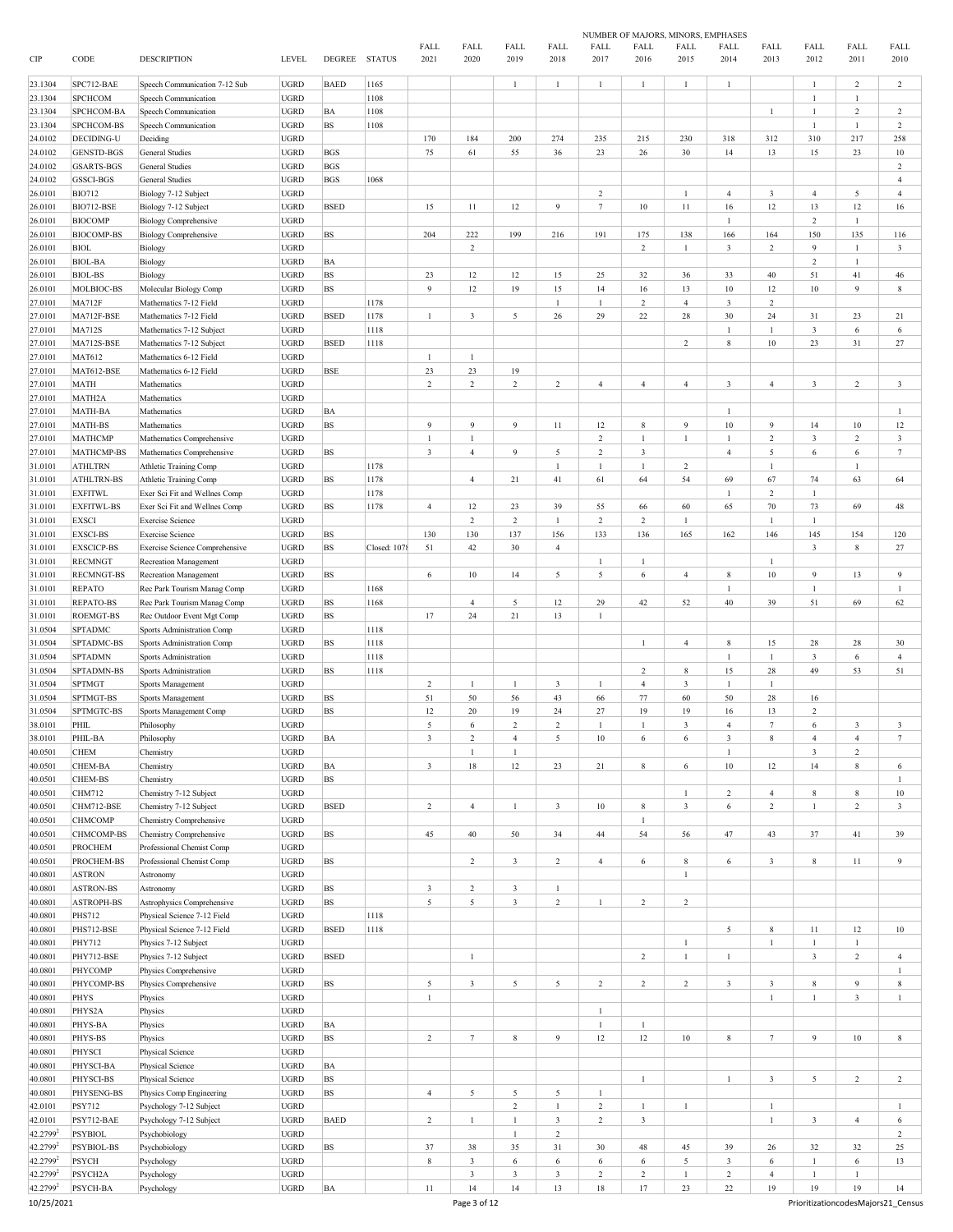|                      |                              |                                                      |                            |               |               |                |                |                                |                              |                              | NUMBER OF MAJORS, MINORS, EMPHASES |                         |                         |                              |                               |                                |                       |
|----------------------|------------------------------|------------------------------------------------------|----------------------------|---------------|---------------|----------------|----------------|--------------------------------|------------------------------|------------------------------|------------------------------------|-------------------------|-------------------------|------------------------------|-------------------------------|--------------------------------|-----------------------|
| CIP                  | CODE                         | <b>DESCRIPTION</b>                                   | <b>LEVEL</b>               | DEGREE        | <b>STATUS</b> | FALL<br>2021   | FALL<br>2020   | FALL<br>2019                   | FALL<br>2018                 | FALL<br>2017                 | FALL<br>2016                       | FALL<br>2015            | FALL<br>2014            | FALL<br>2013                 | FALL<br>2012                  | FALL<br>2011                   | FALL<br>2010          |
| 23.1304              | SPC712-BAE                   | Speech Communication 7-12 Sub                        | <b>UGRD</b>                | <b>BAED</b>   | 1165          |                |                | $\mathbf{1}$                   | 1                            | $\mathbf{1}$                 | $\mathbf{1}$                       | 1                       | $\mathbf{1}$            |                              | $\mathbf{1}$                  | $\overline{c}$                 | 2                     |
| 23.1304              | <b>SPCHCOM</b>               | Speech Communication                                 | <b>UGRD</b>                |               | 1108          |                |                |                                |                              |                              |                                    |                         |                         |                              | $\mathbf{1}$                  | $\mathbf{1}$                   |                       |
| 23.1304              | SPCHCOM-BA                   | Speech Communication                                 | <b>UGRD</b>                | BA            | 1108          |                |                |                                |                              |                              |                                    |                         |                         | $\mathbf{1}$                 | $\mathbf{1}$<br>$\mathbf{1}$  | $\overline{c}$<br>$\mathbf{1}$ | $\,2$                 |
| 23.1304              | SPCHCOM-BS<br>DECIDING-U     | Speech Communication                                 | <b>UGRD</b><br><b>UGRD</b> | BS            | 1108          | 170            | 184            | 200                            | 274                          | 235                          | 215                                | 230                     |                         | 312                          | 310                           | 217                            | $\overline{c}$<br>258 |
| 24.0102<br>24.0102   | <b>GENSTD-BGS</b>            | Deciding<br><b>General Studies</b>                   | <b>UGRD</b>                | <b>BGS</b>    |               | 75             | 61             | 55                             | 36                           | 23                           | 26                                 | 30                      | 318<br>14               | 13                           | 15                            | 23                             | 10                    |
| 24.0102              | <b>GSARTS-BGS</b>            | <b>General Studies</b>                               | <b>UGRD</b>                | <b>BGS</b>    |               |                |                |                                |                              |                              |                                    |                         |                         |                              |                               |                                | $\overline{c}$        |
| 24.0102              | GSSCI-BGS                    | General Studies                                      | <b>UGRD</b>                | BGS           | 1068          |                |                |                                |                              |                              |                                    |                         |                         |                              |                               |                                | $\overline{4}$        |
| 26.0101              | <b>BIO712</b>                | Biology 7-12 Subject                                 | <b>UGRD</b>                |               |               |                |                |                                |                              | $\boldsymbol{2}$             |                                    | $\mathbf{1}$            | $\overline{4}$          | $\overline{\mathbf{3}}$      | $\overline{4}$                | 5                              | $\overline{4}$        |
| 26.0101              | BIO712-BSE                   | Biology 7-12 Subject                                 | <b>UGRD</b>                | <b>BSED</b>   |               | 15             | 11             | 12                             | $\overline{9}$               | $7\phantom{.}$               | 10                                 | 11                      | 16                      | 12                           | 13                            | 12                             | 16                    |
| 26.0101              | <b>BIOCOMP</b>               | <b>Biology Comprehensive</b>                         | <b>UGRD</b>                |               |               |                |                |                                |                              |                              |                                    |                         | 1                       |                              | $\sqrt{2}$                    | 1                              |                       |
| 26.0101              | <b>BIOCOMP-BS</b>            | <b>Biology Comprehensive</b>                         | <b>UGRD</b>                | BS            |               | 204            | 222            | 199                            | 216                          | 191                          | 175                                | 138                     | 166                     | 164                          | 150                           | 135                            | 116                   |
| 26.0101              | <b>BIOL</b>                  | Biology                                              | <b>UGRD</b>                |               |               |                | $\overline{2}$ |                                |                              |                              | $\overline{c}$                     | $\mathbf{1}$            | $\overline{\mathbf{3}}$ | $\overline{c}$               | 9                             | $\mathbf{1}$                   | 3                     |
| 26.0101              | <b>BIOL-BA</b>               | Biology                                              | <b>UGRD</b>                | ΒA            |               |                |                |                                |                              |                              |                                    |                         |                         |                              | $\overline{2}$                | $\mathbf{1}$                   |                       |
| 26.0101              | <b>BIOL-BS</b>               | Biology                                              | <b>UGRD</b>                | <b>BS</b>     |               | 23             | 12             | 12                             | 15                           | 25                           | 32                                 | 36                      | 33                      | 40                           | 51                            | 41                             | 46                    |
| 26.0101              | MOLBIOC-BS                   | Molecular Biology Comp                               | <b>UGRD</b>                | <b>BS</b>     |               | 9              | 12             | 19                             | 15                           | 14                           | 16                                 | 13                      | 10                      | 12                           | 10                            | 9                              | $\,$ 8 $\,$           |
| 27.0101              | <b>MA712F</b>                | Mathematics 7-12 Field                               | <b>UGRD</b>                |               | 1178          |                |                |                                | $\mathbf{1}$                 | $\mathbf{1}$                 | $\overline{c}$                     | $\overline{4}$          | $\mathfrak{Z}$          | $\overline{2}$               |                               |                                |                       |
| 27.0101              | MA712F-BSE                   | Mathematics 7-12 Field                               | <b>UGRD</b>                | <b>BSED</b>   | 1178          | $\mathbf{1}$   | $\mathbf{3}$   | 5                              | 26                           | 29                           | 22                                 | 28                      | 30                      | 24                           | 31                            | 23                             | 21                    |
| 27.0101              | <b>MA712S</b><br>MA712S-BSE  | Mathematics 7-12 Subject                             | <b>UGRD</b>                |               | 1118          |                |                |                                |                              |                              |                                    | 2                       | 1                       | $\mathbf{1}$                 | $\overline{\mathbf{3}}$<br>23 | 6                              | 6                     |
| 27.0101<br>27.0101   | <b>MAT612</b>                | Mathematics 7-12 Subject<br>Mathematics 6-12 Field   | <b>UGRD</b><br><b>UGRD</b> | <b>BSED</b>   | 1118          | 1              | $\mathbf{1}$   |                                |                              |                              |                                    |                         | 8                       | 10                           |                               | 31                             | 27                    |
| 27.0101              | MAT612-BSE                   | Mathematics 6-12 Field                               | <b>UGRD</b>                | <b>BSE</b>    |               | 23             | 23             | 19                             |                              |                              |                                    |                         |                         |                              |                               |                                |                       |
| 27.0101              | MATH                         | Mathematics                                          | <b>UGRD</b>                |               |               | $\overline{c}$ | $\,2$          | $\overline{c}$                 | $\overline{c}$               | $\overline{4}$               | $\overline{4}$                     | $\overline{4}$          | 3                       | $\overline{4}$               | $\mathbf{3}$                  | $\overline{c}$                 | 3                     |
| 27.0101              | MATH2A                       | Mathematics                                          | <b>UGRD</b>                |               |               |                |                |                                |                              |                              |                                    |                         |                         |                              |                               |                                |                       |
| 27.0101              | <b>MATH-BA</b>               | Mathematics                                          | <b>UGRD</b>                | ΒA            |               |                |                |                                |                              |                              |                                    |                         | 1                       |                              |                               |                                | $\mathbf{1}$          |
| 27.0101              | MATH-BS                      | Mathematics                                          | <b>UGRD</b>                | BS            |               | $\overline{9}$ | 9              | 9                              | 11                           | 12                           | 8                                  | 9                       | 10                      | 9                            | 14                            | 10                             | 12                    |
| 27.0101              | <b>MATHCMP</b>               | Mathematics Comprehensive                            | <b>UGRD</b>                |               |               | 1              | 1              |                                |                              | $\,2\,$                      | $\mathbf{1}$                       | $\mathbf{1}$            | $\mathbf{1}$            | $\overline{2}$               | $\mathbf{3}$                  | $\overline{c}$                 | $\mathbf{3}$          |
| 27.0101              | MATHCMP-BS                   | Mathematics Comprehensive                            | <b>UGRD</b>                | <b>BS</b>     |               | $\sqrt{3}$     | $\overline{4}$ | 9                              | $\sqrt{5}$                   | $\mathbf 2$                  | $\mathbf{3}$                       |                         | $\overline{4}$          | 5                            | 6                             | 6                              | $7\phantom{.0}$       |
| 31.0101              | <b>ATHLTRN</b>               | <b>Athletic Training Comp</b>                        | <b>UGRD</b>                |               | 1178          |                |                |                                | $\mathbf{1}$                 | $\mathbf{1}$                 | $\mathbf{1}$                       | 2                       |                         | $\mathbf{1}$                 |                               | $\mathbf{1}$                   |                       |
| 31.0101              | <b>ATHLTRN-BS</b>            | Athletic Training Comp                               | <b>UGRD</b>                | <b>BS</b>     | 1178          |                | $\overline{4}$ | 21                             | 41                           | 61                           | 64                                 | 54                      | 69                      | 67                           | 74                            | 63                             | 64                    |
| 31.0101              | EXFITWL                      | Exer Sci Fit and Wellnes Comp                        | <b>UGRD</b>                |               | 1178          |                |                |                                |                              |                              |                                    |                         | $\mathbf{1}$            | $\overline{2}$               | $\overline{1}$                |                                |                       |
| 31.0101              | <b>EXFITWL-BS</b>            | Exer Sci Fit and Wellnes Comp                        | <b>UGRD</b>                | BS            | 1178          | $\overline{4}$ | 12             | 23                             | 39                           | 55                           | 66                                 | 60                      | 65                      | 70                           | 73                            | 69                             | 48                    |
| 31.0101              | <b>EXSCI</b>                 | <b>Exercise Science</b>                              | <b>UGRD</b>                |               |               |                | $\overline{c}$ | $\overline{2}$                 | 1                            | $\overline{c}$               | $\overline{c}$                     | 1                       |                         | 1                            | $\mathbf{1}$                  |                                |                       |
| 31.0101              | EXSCI-BS                     | <b>Exercise Science</b>                              | <b>UGRD</b>                | <b>BS</b>     |               | 130            | 130            | 137                            | 156                          | 133                          | 136                                | 165                     | 162                     | 146                          | 145                           | 154                            | 120                   |
| 31.0101              | <b>EXSCICP-BS</b>            | Exercise Science Comprehensive                       | <b>UGRD</b>                | BS            | Closed: 1078  | 51             | 42             | 30                             | $\overline{4}$               |                              |                                    |                         |                         |                              | $\mathbf{3}$                  | 8                              | 27                    |
| 31.0101              | <b>RECMNGT</b>               | <b>Recreation Management</b>                         | <b>UGRD</b>                |               |               |                |                |                                |                              | 1                            | 1                                  |                         |                         | $\mathbf{1}$                 |                               |                                |                       |
| 31.0101              | <b>RECMNGT-BS</b>            | <b>Recreation Management</b>                         | <b>UGRD</b>                | <b>BS</b>     |               | 6              | 10             | 14                             | 5                            | 5                            | 6                                  | $\overline{4}$          | 8                       | 10                           | 9                             | 13                             | 9                     |
| 31.0101              | <b>REPATO</b>                | Rec Park Tourism Manag Comp                          | <b>UGRD</b>                |               | 1168          |                |                |                                |                              |                              |                                    |                         | 1                       |                              | $\mathbf{1}$                  |                                | $\mathbf{1}$          |
| 31.0101              | <b>REPATO-BS</b>             | Rec Park Tourism Manag Comp                          | <b>UGRD</b>                | BS            | 1168          |                | $\overline{4}$ | 5                              | 12                           | 29                           | 42                                 | 52                      | 40                      | 39                           | 51                            | 69                             | 62                    |
| 31.0101              | <b>ROEMGT-BS</b>             | Rec Outdoor Event Mgt Comp                           | <b>UGRD</b>                | <b>BS</b>     | 1118          | 17             | 24             | 21                             | 13                           | $\mathbf{1}$                 |                                    |                         |                         |                              |                               |                                |                       |
| 31.0504              | <b>SPTADMC</b><br>SPTADMC-BS | Sports Administration Comp                           | <b>UGRD</b><br><b>UGRD</b> | <b>BS</b>     | 1118          |                |                |                                |                              |                              | $\mathbf{1}$                       | $\overline{4}$          | 8                       | 15                           | 28                            | 28                             | 30                    |
| 31.0504<br>31.0504   | <b>SPTADMN</b>               | Sports Administration Comp<br>Sports Administration  | <b>UGRD</b>                |               | 1118          |                |                |                                |                              |                              |                                    |                         | $\mathbf{1}$            | $\mathbf{1}$                 | $\overline{\mathbf{3}}$       | 6                              | $\overline{4}$        |
| 31.0504              | SPTADMN-BS                   | Sports Administration                                | <b>UGRD</b>                | BS            | 1118          |                |                |                                |                              |                              | $\overline{c}$                     | 8                       | 15                      | 28                           | 49                            | 53                             | 51                    |
| 31.0504              | SPTMGT                       | Sports Management                                    | <b>UGRD</b>                |               |               | $\overline{c}$ | $\mathbf{1}$   | -1                             | $\overline{3}$               | 1                            | $\overline{4}$                     | $\overline{3}$          | 1                       | $\mathbf{1}$                 |                               |                                |                       |
| 31.0504              | SPTMGT-BS                    | Sports Management                                    | <b>UGRD</b>                | <b>BS</b>     |               | 51             | 50             | 56                             | 43                           | 66                           | 77                                 | 60                      | 50                      | 28                           | 16                            |                                |                       |
| 31.0504              | SPTMGTC-BS                   | Sports Management Comp                               | <b>UGRD</b>                | BS            |               | 12             | 20             | 19                             | 24                           | 27                           | 19                                 | 19                      | 16                      | 13                           | $\overline{2}$                |                                |                       |
| 38.0101              | PHIL                         | Philosophy                                           | <b>UGRD</b>                |               |               |                | 6              |                                |                              |                              |                                    |                         |                         |                              | 6                             |                                |                       |
| 38.0101              | PHIL-BA                      | Philosophy                                           | <b>UGRD</b>                | BA            |               | $\mathfrak{Z}$ | $\sqrt{2}$     | $\overline{4}$                 | 5                            | $10\,$                       | 6                                  | 6                       | $\mathbf{3}$            | $\,$ 8 $\,$                  | $\overline{4}$                | $\overline{4}$                 | $7\phantom{.0}$       |
| 40.0501              | <b>CHEM</b>                  | Chemistry                                            | <b>UGRD</b>                |               |               |                | $\mathbf{1}$   | $\mathbf{1}$                   |                              |                              |                                    |                         | $\mathbf{1}$            |                              | $\overline{\mathbf{3}}$       | $\overline{c}$                 |                       |
| 40.0501              | CHEM-BA                      | Chemistry                                            | <b>UGRD</b>                | BA            |               | $\overline{3}$ | $18\,$         | $12 \,$                        | 23                           | 21                           | $\,$ 8 $\,$                        | 6                       | 10                      | 12                           | 14                            | $\,$ 8 $\,$                    | 6                     |
| 40.0501              | CHEM-BS                      | Chemistry                                            | <b>UGRD</b>                | <b>BS</b>     |               |                |                |                                |                              |                              |                                    |                         |                         |                              |                               |                                | $\mathbf{1}$          |
| 40.0501              | CHM712                       | Chemistry 7-12 Subject                               | <b>UGRD</b>                |               |               |                |                |                                |                              |                              |                                    | $\mathbf{1}$            | $\boldsymbol{2}$        | $\overline{4}$               | $8\,$                         | $\,$ 8 $\,$                    | $10\,$                |
| 40.0501              | CHM712-BSE                   | Chemistry 7-12 Subject                               | <b>UGRD</b>                | <b>BSED</b>   |               | $\sqrt{2}$     | $\overline{4}$ | $\mathbf{1}$                   | $\mathbf{3}$                 | 10                           | $\,$ 8 $\,$                        | $\overline{\mathbf{3}}$ | 6                       | $\overline{2}$               | $\mathbf{1}$                  | $\overline{c}$                 | $\mathbf{3}$          |
| 40.0501              | <b>CHMCOMP</b>               | Chemistry Comprehensive                              | <b>UGRD</b>                |               |               |                |                |                                |                              |                              | $\mathbf{1}$                       |                         |                         |                              |                               |                                |                       |
| 40.0501              | CHMCOMP-BS<br><b>PROCHEM</b> | Chemistry Comprehensive<br>Professional Chemist Comp | <b>UGRD</b><br><b>UGRD</b> | <b>BS</b>     |               | 45             | 40             | 50                             | 34                           | 44                           | 54                                 | 56                      | 47                      | 43                           | 37                            | 41                             | 39                    |
| 40.0501<br>40.0501   | PROCHEM-BS                   | Professional Chemist Comp                            | <b>UGRD</b>                | BS            |               |                | $\overline{c}$ | $\mathbf{3}$                   | $\sqrt{2}$                   | $\overline{4}$               | 6                                  | $\,$ 8 $\,$             | 6                       | $\overline{\mathbf{3}}$      | 8                             | 11                             | 9                     |
| 40.0801              | <b>ASTRON</b>                | Astronomy                                            | <b>UGRD</b>                |               |               |                |                |                                |                              |                              |                                    | $\mathbf{1}$            |                         |                              |                               |                                |                       |
| 40.0801              | <b>ASTRON-BS</b>             | Astronomy                                            | <b>UGRD</b>                | <b>BS</b>     |               | $\mathfrak{Z}$ | $\overline{c}$ | $\mathbf{3}$                   | $\,1\,$                      |                              |                                    |                         |                         |                              |                               |                                |                       |
| 40.0801              | <b>ASTROPH-BS</b>            | Astrophysics Comprehensive                           | <b>UGRD</b>                | <b>BS</b>     |               | $\sqrt{2}$     | 5              | $\mathbf{3}$                   | $\sqrt{2}$                   | $\mathbf{1}$                 | $\sqrt{2}$                         | $\overline{c}$          |                         |                              |                               |                                |                       |
| 40.0801              | <b>PHS712</b>                | Physical Science 7-12 Field                          | <b>UGRD</b>                |               | 1118          |                |                |                                |                              |                              |                                    |                         |                         |                              |                               |                                |                       |
| 40.0801              | PHS712-BSE                   | Physical Science 7-12 Field                          | <b>UGRD</b>                | <b>BSED</b>   | 1118          |                |                |                                |                              |                              |                                    |                         | 5                       | 8                            | 11                            | 12                             | 10                    |
| 40.0801              | PHY712                       | Physics 7-12 Subject                                 | <b>UGRD</b>                |               |               |                |                |                                |                              |                              |                                    | $\mathbf{1}$            |                         | $\mathbf{1}$                 | $\mathbf{1}$                  | $\mathbf{1}$                   |                       |
| 40.0801              | PHY712-BSE                   | Physics 7-12 Subject                                 | <b>UGRD</b>                | <b>BSED</b>   |               |                | $\mathbf{1}$   |                                |                              |                              | $\sqrt{2}$                         | $\mathbf{1}$            | $\mathbf{1}$            |                              | $\overline{\mathbf{3}}$       | $\overline{c}$                 | $\overline{4}$        |
| 40.0801              | PHYCOMP                      | Physics Comprehensive                                | <b>UGRD</b>                |               |               |                |                |                                |                              |                              |                                    |                         |                         |                              |                               |                                | $\mathbf{1}$          |
| 40.0801              | PHYCOMP-BS                   | Physics Comprehensive                                | <b>UGRD</b>                | <b>BS</b>     |               | $\sqrt{2}$     | $\mathbf{3}$   | 5                              | 5                            | $\overline{c}$               | $\sqrt{2}$                         | $\overline{c}$          | $\mathbf{3}$            | $\overline{\mathbf{3}}$      | $8\,$                         | 9                              | $\,$ 8 $\,$           |
| 40.0801              | <b>PHYS</b>                  | Physics                                              | <b>UGRD</b>                |               |               | $\mathbf{1}$   |                |                                |                              |                              |                                    |                         |                         | $\mathbf{1}$                 | $\mathbf{1}$                  | $\overline{\mathbf{3}}$        | $\mathbf{1}$          |
| 40.0801              | PHYS2A                       | Physics                                              | <b>UGRD</b>                |               |               |                |                |                                |                              | $\mathbf{1}$                 |                                    |                         |                         |                              |                               |                                |                       |
| 40.0801              | PHYS-BA                      | Physics                                              | <b>UGRD</b>                | BA            |               |                |                |                                |                              | $\mathbf{1}$                 | 1                                  |                         |                         |                              |                               |                                |                       |
| 40.0801              | PHYS-BS                      | Physics                                              | <b>UGRD</b>                | <b>BS</b>     |               | $\sqrt{2}$     | $\tau$         | $\bf 8$                        | 9                            | 12                           | $12\,$                             | 10                      | $\bf 8$                 | $\tau$                       | 9                             | $10\,$                         | 8                     |
| 40.0801              | PHYSCI                       | Physical Science                                     | <b>UGRD</b>                |               |               |                |                |                                |                              |                              |                                    |                         |                         |                              |                               |                                |                       |
| 40.0801              | PHYSCI-BA                    | Physical Science                                     | <b>UGRD</b>                | BA            |               |                |                |                                |                              |                              |                                    |                         |                         |                              |                               |                                |                       |
| 40.0801              | PHYSCI-BS                    | Physical Science                                     | <b>UGRD</b>                | <b>BS</b>     |               |                |                |                                |                              |                              | $\mathbf{1}$                       |                         | $\mathbf{1}$            | $\mathbf{3}$                 | 5                             | $\overline{c}$                 | $\overline{c}$        |
| 40.0801              | PHYSENG-BS                   | Physics Comp Engineering                             | <b>UGRD</b>                | <b>BS</b>     |               | $\overline{4}$ | 5              | 5                              | 5                            | $\mathbf{1}$                 |                                    |                         |                         |                              |                               |                                |                       |
| 42.0101<br>42.0101   | <b>PSY712</b><br>PSY712-BAE  | Psychology 7-12 Subject<br>Psychology 7-12 Subject   | <b>UGRD</b><br><b>UGRD</b> | <b>BAED</b>   |               | $\sqrt{2}$     | $\mathbf{1}$   | $\overline{2}$<br>$\mathbf{1}$ | $\mathbf{1}$<br>$\mathbf{3}$ | $\sqrt{2}$<br>$\overline{c}$ | $\mathbf{1}$<br>$\mathbf{3}$       | $\mathbf{1}$            |                         | $\mathbf{1}$<br>$\mathbf{1}$ | $\overline{\mathbf{3}}$       | $\overline{4}$                 | $\mathbf{1}$<br>6     |
| 42.2799 <sup>2</sup> | <b>PSYBIOL</b>               | Psychobiology                                        | <b>UGRD</b>                |               |               |                |                | $\mathbf{1}$                   | $\sqrt{2}$                   |                              |                                    |                         |                         |                              |                               |                                | $\overline{c}$        |
| 42.2799 <sup>2</sup> | PSYBIOL-BS                   | Psychobiology                                        | <b>UGRD</b>                | <b>BS</b>     |               | 37             | 38             | 35                             | 31                           | 30                           | 48                                 | 45                      | 39                      | 26                           | 32                            | 32                             | 25                    |
| 42.2799 <sup>2</sup> | PSYCH                        | Psychology                                           | <b>UGRD</b>                |               |               | $\,$ 8 $\,$    | $\mathbf{3}$   | 6                              | 6                            | $6 \overline{6}$             | $\,$ 6 $\,$                        | $\mathfrak{s}$          | $\mathbf{3}$            | $\,$ 6 $\,$                  | $\mathbf{1}$                  | 6                              | 13                    |
| 42.2799 <sup>2</sup> | PSYCH2A                      | Psychology                                           | <b>UGRD</b>                |               |               |                | $\mathfrak{Z}$ | $\mathbf{3}$                   | $\overline{3}$               | $\boldsymbol{2}$             | $\sqrt{2}$                         | $\mathbf{1}$            | $\overline{2}$          | $\overline{4}$               | $\mathbf{1}$                  | $\mathbf{1}$                   |                       |
| 42.2799 <sup>2</sup> | PSYCH-BA                     | Psychology                                           | <b>UGRD</b>                | $\mathbf{BA}$ |               | $11\,$         | 14             | 14                             | 13                           | $18\,$                       | $17\,$                             | 23                      | $22\,$                  | 19                           | 19                            | 19                             | 14                    |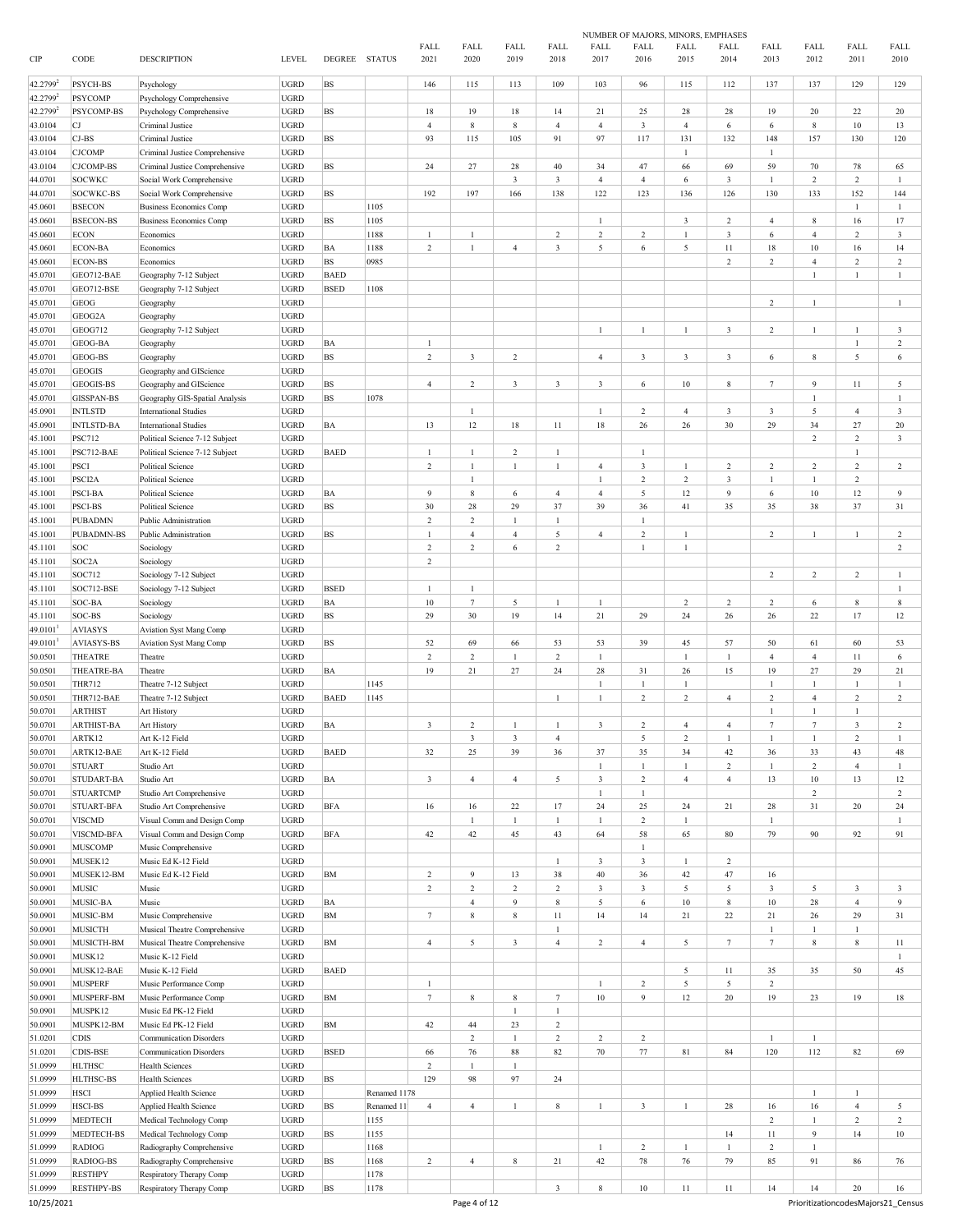|         |                   |                                |               |               |              |                         |                         |                         |                |                         | NUMBER OF MAJORS, MINORS, EMPHASES |                         |                  |                         |                  |                         |                |
|---------|-------------------|--------------------------------|---------------|---------------|--------------|-------------------------|-------------------------|-------------------------|----------------|-------------------------|------------------------------------|-------------------------|------------------|-------------------------|------------------|-------------------------|----------------|
| CIP     | CODE              | <b>DESCRIPTION</b>             | <b>LEVEL</b>  | DEGREE STATUS |              | FALL<br>2021            | FALL<br>2020            | FALL<br>2019            | FALL<br>2018   | FALL<br>2017            | FALL<br>2016                       | FALL<br>2015            | FALL<br>2014     | FALL<br>2013            | FALL<br>2012     | FALL<br>2011            | FALL<br>2010   |
|         |                   |                                |               |               |              |                         |                         |                         |                |                         |                                    |                         |                  |                         |                  |                         |                |
| 42.2799 | PSYCH-BS          | Psychology                     | <b>UGRD</b>   | <b>BS</b>     |              | 146                     | 115                     | 113                     | 109            | 103                     | 96                                 | 115                     | 112              | 137                     | 137              | 129                     | 129            |
| 42.2799 | <b>PSYCOMP</b>    | Psychology Comprehensive       | <b>UGRD</b>   |               |              |                         |                         |                         |                |                         |                                    |                         |                  |                         |                  |                         |                |
| 42.2799 | PSYCOMP-BS        | Psychology Comprehensive       | <b>UGRD</b>   | BS            |              | $18\,$                  | 19                      | 18                      | 14             | 21                      | 25                                 | 28                      | 28               | 19                      | 20               | 22                      | 20             |
| 43.0104 | СJ                | Criminal Justice               | <b>UGRD</b>   |               |              | $\overline{4}$          | 8                       | 8                       | $\overline{4}$ | $\overline{4}$          | $\mathbf{3}$                       | $\overline{4}$          | 6                | 6                       | $\,$ 8 $\,$      | 10                      | 13             |
| 43.0104 | $CJ-BS$           | Criminal Justice               | <b>UGRD</b>   | BS            |              | 93                      | 115                     | 105                     | 91             | 97                      | 117                                | 131                     | 132              | 148                     | 157              | 130                     | 120            |
| 43.0104 | <b>CJCOMP</b>     | Criminal Justice Comprehensive | <b>UGRD</b>   |               |              |                         |                         |                         |                |                         |                                    | $\mathbf{1}$            |                  | 1                       |                  |                         |                |
| 43.0104 | <b>CJCOMP-BS</b>  | Criminal Justice Comprehensive | <b>UGRD</b>   | BS            |              | 24                      | 27                      | 28                      | $40\,$         | 34                      | 47                                 | 66                      | 69               | 59                      | 70               | 78                      | 65             |
| 44.0701 | <b>SOCWKC</b>     | Social Work Comprehensive      | <b>UGRD</b>   |               |              |                         |                         | 3                       | $\sqrt{3}$     | $\overline{4}$          | $\overline{4}$                     | 6                       | 3                | $\mathbf{1}$            | $\overline{2}$   | $\overline{c}$          | $\mathbf{1}$   |
| 44.0701 | SOCWKC-BS         | Social Work Comprehensive      | <b>UGRD</b>   | BS            |              | 192                     | 197                     | 166                     | 138            | 122                     | 123                                | 136                     | 126              | 130                     | 133              | 152                     | 144            |
| 45.0601 | <b>BSECON</b>     | <b>Business Economics Comp</b> | <b>UGRD</b>   |               | 1105         |                         |                         |                         |                |                         |                                    |                         |                  |                         |                  | $\mathbf{1}$            | $\mathbf{1}$   |
| 45.0601 | <b>BSECON-BS</b>  | <b>Business Economics Comp</b> | <b>UGRD</b>   | BS            | 1105         |                         |                         |                         |                | $\mathbf{1}$            |                                    | 3                       | $\overline{c}$   | $\overline{4}$          | 8                | 16                      | 17             |
| 45.0601 | ECON              | Economics                      | <b>UGRD</b>   |               | 1188         | 1                       | $\mathbf{1}$            |                         | $\overline{c}$ | $\mathbf 2$             | $\overline{c}$                     | $\mathbf{1}$            | $\mathfrak{Z}$   | 6                       | $\overline{4}$   | $\overline{c}$          | 3              |
| 45.0601 | ECON-BA           | Economics                      | <b>UGRD</b>   | BA            | 1188         | $\sqrt{2}$              | $\mathbf{1}$            | $\overline{4}$          | $\sqrt{3}$     | 5                       | $\,$ 6 $\,$                        | 5                       | $11\,$           | $18\,$                  | $10\,$           | 16                      | 14             |
| 45.0601 | <b>ECON-BS</b>    | Economics                      | <b>UGRD</b>   | <b>BS</b>     | 0985         |                         |                         |                         |                |                         |                                    |                         | $\,2\,$          | $\overline{c}$          | $\sqrt{4}$       | $\overline{c}$          | $\,2$          |
| 45.0701 | GEO712-BAE        | Geography 7-12 Subject         | <b>UGRD</b>   | <b>BAED</b>   |              |                         |                         |                         |                |                         |                                    |                         |                  |                         | $\mathbf{1}$     | $\mathbf{1}$            | $\mathbf{1}$   |
| 45.0701 | GEO712-BSE        | Geography 7-12 Subject         | <b>UGRD</b>   | <b>BSED</b>   | 1108         |                         |                         |                         |                |                         |                                    |                         |                  |                         |                  |                         |                |
| 45.0701 | GEOG              | Geography                      | <b>UGRD</b>   |               |              |                         |                         |                         |                |                         |                                    |                         |                  | $\overline{c}$          | $\mathbf{1}$     |                         | $\mathbf{1}$   |
| 45.0701 | GEOG2A            | Geography                      | <b>UGRD</b>   |               |              |                         |                         |                         |                |                         |                                    |                         |                  |                         |                  |                         |                |
| 45.0701 | GEOG712           | Geography 7-12 Subject         | <b>UGRD</b>   |               |              |                         |                         |                         |                | 1                       |                                    | 1                       | $\mathfrak{Z}$   | $\overline{c}$          | $\mathbf{1}$     |                         | 3              |
| 45.0701 | GEOG-BA           | Geography                      | <b>UGRD</b>   | BA            |              | $\mathbf{1}$            |                         |                         |                |                         |                                    |                         |                  |                         |                  | 1                       | $\overline{c}$ |
|         | GEOG-BS           | Geography                      | <b>UGRD</b>   | BS            |              | $\overline{c}$          | $\mathbf{3}$            | $\overline{c}$          |                | $\overline{4}$          | 3                                  | $\overline{\mathbf{3}}$ | $\mathbf{3}$     | 6                       | $\,$ 8 $\,$      | 5                       | 6              |
| 45.0701 |                   |                                |               |               |              |                         |                         |                         |                |                         |                                    |                         |                  |                         |                  |                         |                |
| 45.0701 | GEOGIS            | Geography and GIScience        | <b>UGRD</b>   |               |              |                         |                         |                         |                |                         |                                    |                         |                  |                         | 9                |                         |                |
| 45.0701 | GEOGIS-BS         | Geography and GIScience        | <b>UGRD</b>   | <b>BS</b>     |              | $\overline{4}$          | $\overline{c}$          | $\mathbf{3}$            | 3              | $\overline{\mathbf{3}}$ | 6                                  | 10                      | 8                | $7\phantom{.0}$         |                  | 11                      | 5              |
| 45.0701 | <b>GISSPAN-BS</b> | Geography GIS-Spatial Analysis | <b>UGRD</b>   | BS            | 1078         |                         |                         |                         |                |                         |                                    |                         |                  |                         | $\mathbf{1}$     |                         | $\mathbf{1}$   |
| 45.0901 | <b>INTLSTD</b>    | <b>International Studies</b>   | <b>UGRD</b>   |               |              |                         | $\mathbf{1}$            |                         |                | $\mathbf{1}$            | $\overline{c}$                     | $\overline{4}$          | $\mathbf{3}$     | $\overline{\mathbf{3}}$ | 5                | $\overline{4}$          | 3              |
| 45.0901 | <b>INTLSTD-BA</b> | <b>International Studies</b>   | <b>UGRD</b>   | BA            |              | 13                      | 12                      | 18                      | 11             | 18                      | 26                                 | 26                      | 30               | 29                      | 34               | $27\,$                  | $20\,$         |
| 45.1001 | <b>PSC712</b>     | Political Science 7-12 Subject | <b>UGRD</b>   |               |              |                         |                         |                         |                |                         |                                    |                         |                  |                         | $\overline{2}$   | $\overline{c}$          | $\mathbf{3}$   |
| 45.1001 | PSC712-BAE        | Political Science 7-12 Subject | <b>UGRD</b>   | <b>BAED</b>   |              | 1                       | 1                       | $\overline{c}$          | $\mathbf{1}$   |                         | $\mathbf{1}$                       |                         |                  |                         |                  | $\mathbf{1}$            |                |
| 45.1001 | <b>PSCI</b>       | Political Science              | <b>UGRD</b>   |               |              | $\overline{c}$          | $\mathbf{1}$            | $\mathbf{1}$            | $\mathbf{1}$   | $\overline{4}$          | $\mathbf{3}$                       | $\mathbf{1}$            | $\,2\,$          | $\overline{c}$          | $\overline{2}$   | $\overline{c}$          | $\overline{2}$ |
| 45.1001 | PSCI2A            | <b>Political Science</b>       | <b>UGRD</b>   |               |              |                         | $\mathbf{1}$            |                         |                | 1                       | $\overline{c}$                     | 2                       | 3                | $\mathbf{1}$            | 1                | $\overline{c}$          |                |
| 45.1001 | <b>PSCI-BA</b>    | Political Science              | <b>UGRD</b>   | ВA            |              | 9                       | 8                       | 6                       | $\overline{4}$ | $\overline{4}$          | 5                                  | 12                      | 9                | 6                       | 10               | 12                      | 9              |
| 45.1001 | PSCI-BS           | Political Science              | <b>UGRD</b>   | BS            |              | 30                      | 28                      | 29                      | 37             | 39                      | 36                                 | 41                      | 35               | 35                      | 38               | 37                      | 31             |
| 45.1001 | <b>PUBADMN</b>    | Public Administration          | <b>UGRD</b>   |               |              | $\overline{c}$          | $\overline{c}$          |                         | $\mathbf{1}$   |                         |                                    |                         |                  |                         |                  |                         |                |
| 45.1001 | PUBADMN-BS        | Public Administration          | <b>UGRD</b>   | BS            |              | $\overline{1}$          | $\overline{4}$          | $\overline{4}$          | $\sqrt{5}$     | $\overline{4}$          | $\overline{c}$                     | $\mathbf{1}$            |                  | $\overline{c}$          | $\mathbf{1}$     | $\mathbf{1}$            | $\overline{c}$ |
| 45.1101 | SOC               | Sociology                      | <b>UGRD</b>   |               |              | $\overline{c}$          | $\overline{c}$          | 6                       | $\overline{2}$ |                         | $\mathbf{1}$                       | $\mathbf{1}$            |                  |                         |                  |                         | 2              |
| 45.1101 | SOC2A             | Sociology                      | <b>UGRD</b>   |               |              | $\overline{c}$          |                         |                         |                |                         |                                    |                         |                  |                         |                  |                         |                |
| 45.1101 | SOC712            | Sociology 7-12 Subject         | <b>UGRD</b>   |               |              |                         |                         |                         |                |                         |                                    |                         |                  | $\overline{c}$          | $\overline{2}$   | $\overline{c}$          | $\mathbf{1}$   |
| 45.1101 | SOC712-BSE        | Sociology 7-12 Subject         | <b>UGRD</b>   | <b>BSED</b>   |              | 1                       | $\mathbf{1}$            |                         |                |                         |                                    |                         |                  |                         |                  |                         | $\mathbf{1}$   |
| 45.1101 | SOC-BA            | Sociology                      | <b>UGRD</b>   | BA            |              | $10\,$                  | $7\phantom{.0}$         | 5                       | $\mathbf{1}$   | $\mathbf{1}$            |                                    | $\overline{c}$          | $\boldsymbol{2}$ | $\overline{2}$          | 6                | $\,$ 8 $\,$             | $\,$ 8 $\,$    |
| 45.1101 | SOC-BS            | Sociology                      | <b>UGRD</b>   | BS            |              | 29                      | 30                      | 19                      | 14             | $21\,$                  | 29                                 | 24                      | $26\,$           | 26                      | 22               | 17                      | 12             |
| 49.0101 | <b>AVIASYS</b>    | Aviation Syst Mang Comp        | <b>UGRD</b>   |               |              |                         |                         |                         |                |                         |                                    |                         |                  |                         |                  |                         |                |
| 49.0101 | <b>AVIASYS-BS</b> | Aviation Syst Mang Comp        | <b>UGRD</b>   | BS            |              | 52                      | 69                      | 66                      | 53             | 53                      | 39                                 | 45                      | 57               | 50                      | 61               | 60                      | 53             |
| 50.0501 | THEATRE           | Theatre                        | <b>UGRD</b>   |               |              | $\overline{2}$          | $\overline{c}$          | 1                       | $\sqrt{2}$     | $\mathbf{1}$            |                                    | $\mathbf{1}$            | 1                | $\overline{4}$          | $\overline{4}$   | 11                      | 6              |
|         | THEATRE-BA        |                                |               |               |              | 19                      |                         |                         |                | 28                      |                                    |                         |                  | 19                      | 27               | 29                      |                |
| 50.0501 |                   | Theatre                        | <b>UGRD</b>   | ΒA            |              |                         | 21                      | 27                      | 24             |                         | 31                                 | 26                      | 15               |                         |                  |                         | 21             |
| 50.0501 | <b>THR712</b>     | Theatre 7-12 Subject           | <b>UGRD</b>   |               | 1145         |                         |                         |                         |                | 1                       | -1                                 | 1                       |                  | $\mathbf{1}$            | -1               | 1                       | 1              |
| 50.0501 | THR712-BAE        | Theatre 7-12 Subject           | <b>UGRD</b>   | <b>BAED</b>   | 1145         |                         |                         |                         | $\mathbf{1}$   | $\mathbf{1}$            | $\overline{c}$                     | 2                       | $\overline{4}$   | $\overline{c}$          | $\overline{4}$   | $\overline{c}$          | $\overline{c}$ |
| 50.0701 | <b>ARTHIST</b>    | Art History                    | <b>UGRD</b>   |               |              |                         |                         |                         |                |                         |                                    |                         |                  |                         | 1                | 1                       |                |
| 50.0701 | <b>ARTHIST-BA</b> | Art History                    | <b>UGRD</b>   | BA            |              | $\overline{\mathbf{3}}$ | $\overline{c}$          |                         |                | $\overline{\mathbf{3}}$ | $\overline{\mathbf{c}}$            | $\overline{4}$          | $\overline{4}$   | $\overline{7}$          | $\overline{7}$   | $\overline{\mathbf{3}}$ | $\mathfrak{D}$ |
| 50.0701 | ARTK12            | Art K-12 Field                 | <b>UGRD</b>   |               |              |                         | $\overline{\mathbf{3}}$ | $\mathbf{3}$            | $\overline{4}$ |                         | 5                                  | $\overline{c}$          | $\mathbf{1}$     | $\mathbf{1}$            | $\mathbf{1}$     | $\overline{c}$          | $\mathbf{1}$   |
| 50.0701 | ARTK12-BAE        | Art K-12 Field                 | <b>UGRD</b>   | <b>BAED</b>   |              | 32                      | 25                      | 39                      | 36             | 37                      | 35                                 | 34                      | 42               | 36                      | 33               | 43                      | 48             |
| 50.0701 | <b>STUART</b>     | Studio Art                     | <b>UGRD</b>   |               |              |                         |                         |                         |                | $\mathbf{1}$            | $\mathbf{1}$                       | $\mathbf{1}$            | $\,2\,$          | $\mathbf{1}$            | $\overline{c}$   | $\overline{4}$          | $\mathbf{1}$   |
| 50.0701 | STUDART-BA        | Studio Art                     | <b>UGRD</b>   | BA            |              | $\mathfrak z$           | $\overline{4}$          | $\overline{4}$          | 5              | $\mathfrak{Z}$          | $\sqrt{2}$                         | $\overline{4}$          | $\overline{4}$   | 13                      | $10\,$           | 13                      | 12             |
| 50.0701 | <b>STUARTCMP</b>  | Studio Art Comprehensive       | <b>UGRD</b>   |               |              |                         |                         |                         |                | $\mathbf{1}$            | $\mathbf{1}$                       |                         |                  |                         | $\boldsymbol{2}$ |                         | $\overline{c}$ |
| 50.0701 | STUART-BFA        | Studio Art Comprehensive       | <b>UGRD</b>   | <b>BFA</b>    |              | 16                      | 16                      | $22\,$                  | 17             | $24\,$                  | 25                                 | 24                      | 21               | 28                      | 31               | 20                      | 24             |
| 50.0701 | <b>VISCMD</b>     | Visual Comm and Design Comp    | <b>UGRD</b>   |               |              |                         | $\mathbf{1}$            | $\mathbf{1}$            | $\mathbf{1}$   | $\mathbf{1}$            | $\overline{c}$                     | $\mathbf{1}$            |                  | $\mathbf{1}$            |                  |                         | $\mathbf{1}$   |
| 50.0701 | VISCMD-BFA        | Visual Comm and Design Comp    | <b>UGRD</b>   | <b>BFA</b>    |              | 42                      | 42                      | 45                      | 43             | 64                      | 58                                 | 65                      | 80               | 79                      | 90               | 92                      | 91             |
| 50.0901 | <b>MUSCOMP</b>    | Music Comprehensive            | <b>UGRD</b>   |               |              |                         |                         |                         |                |                         | $\mathbf{1}$                       |                         |                  |                         |                  |                         |                |
| 50.0901 | MUSEK12           | Music Ed K-12 Field            | <b>UGRD</b>   |               |              |                         |                         |                         | $\mathbf{1}$   | $\mathfrak{Z}$          | $\mathfrak{Z}$                     | $\mathbf{1}$            | $\,2\,$          |                         |                  |                         |                |
| 50.0901 | MUSEK12-BM        | Music Ed K-12 Field            | <b>UGRD</b>   | ${\bf BM}$    |              | $\sqrt{2}$              | 9                       | 13                      | 38             | 40                      | 36                                 | 42                      | 47               | 16                      |                  |                         |                |
| 50.0901 | <b>MUSIC</b>      | Music                          | $_{\rm UGRD}$ |               |              | $\sqrt{2}$              | $\sqrt{2}$              | $\,2$                   | $\sqrt{2}$     | $\mathfrak{Z}$          | $\mathbf{3}$                       | 5                       | 5                | $\overline{\mathbf{3}}$ | 5                | $\mathbf{3}$            | 3              |
| 50.0901 | MUSIC-BA          | Music                          | <b>UGRD</b>   | BA            |              |                         | $\overline{4}$          | $\overline{9}$          | $\,$ 8 $\,$    | 5                       | $\sqrt{6}$                         | $10\,$                  | $\,$ 8 $\,$      | $10\,$                  | $28\,$           | $\overline{4}$          | 9              |
| 50.0901 | MUSIC-BM          | Music Comprehensive            | <b>UGRD</b>   | <b>BM</b>     |              | $7\phantom{.0}$         | $\,$ 8 $\,$             | $\,$ 8 $\,$             | $11\,$         | 14                      | 14                                 | 21                      | 22               | 21                      | $26\,$           | 29                      | 31             |
| 50.0901 | <b>MUSICTH</b>    | Musical Theatre Comprehensive  | <b>UGRD</b>   |               |              |                         |                         |                         | $\mathbf{1}$   |                         |                                    |                         |                  | $\mathbf{1}$            | $\mathbf{1}$     | $\mathbf{1}$            |                |
| 50.0901 | MUSICTH-BM        | Musical Theatre Comprehensive  | <b>UGRD</b>   | ${\bf BM}$    |              | $\overline{4}$          | 5                       | $\overline{\mathbf{3}}$ | $\overline{4}$ | $\,2\,$                 | $\overline{4}$                     | 5                       | $7\phantom{.0}$  | $7\phantom{.0}$         | $8\,$            | $\,$ 8 $\,$             | 11             |
| 50.0901 | MUSK12            | Music K-12 Field               | <b>UGRD</b>   |               |              |                         |                         |                         |                |                         |                                    |                         |                  |                         |                  |                         | $\mathbf{1}$   |
| 50.0901 | MUSK12-BAE        | Music K-12 Field               | <b>UGRD</b>   | <b>BAED</b>   |              |                         |                         |                         |                |                         |                                    | 5                       | $11\,$           | 35                      | 35               | 50                      | 45             |
| 50.0901 | <b>MUSPERF</b>    | Music Performance Comp         | <b>UGRD</b>   |               |              | 1                       |                         |                         |                | $\mathbf{1}$            | $\,2$                              | $\mathfrak{s}$          | $\overline{5}$   | $\overline{2}$          |                  |                         |                |
| 50.0901 | MUSPERF-BM        | Music Performance Comp         | <b>UGRD</b>   | ${\bf BM}$    |              | $7\phantom{.0}$         | 8                       | $\,$ 8 $\,$             | $\tau$         | $10\,$                  | 9                                  | 12                      | $20\,$           | 19                      | 23               | 19                      | 18             |
|         |                   |                                |               |               |              |                         |                         |                         |                |                         |                                    |                         |                  |                         |                  |                         |                |
| 50.0901 | MUSPK12           | Music Ed PK-12 Field           | <b>UGRD</b>   |               |              |                         |                         | $\mathbf{1}$            | 1              |                         |                                    |                         |                  |                         |                  |                         |                |
| 50.0901 | MUSPK12-BM        | Music Ed PK-12 Field           | <b>UGRD</b>   | ${\bf BM}$    |              | 42                      | $44\,$                  | 23                      | $\sqrt{2}$     |                         |                                    |                         |                  |                         |                  |                         |                |
| 51.0201 | <b>CDIS</b>       | <b>Communication Disorders</b> | <b>UGRD</b>   |               |              |                         | $\overline{c}$          | $\mathbf{1}$            | $\sqrt{2}$     | $\,2\,$                 | $\sqrt{2}$                         |                         |                  | $\mathbf{1}$            | $\mathbf{1}$     |                         |                |
| 51.0201 | CDIS-BSE          | <b>Communication Disorders</b> | <b>UGRD</b>   | <b>BSED</b>   |              | 66                      | 76                      | $88\,$                  | 82             | $70\,$                  | $77 \,$                            | 81                      | 84               | 120                     | 112              | 82                      | 69             |
| 51.0999 | <b>HLTHSC</b>     | <b>Health Sciences</b>         | UGRD          |               |              | $\sqrt{2}$              | $\mathbf{1}$            | $\mathbf{1}$            |                |                         |                                    |                         |                  |                         |                  |                         |                |
| 51.0999 | <b>HLTHSC-BS</b>  | <b>Health Sciences</b>         | <b>UGRD</b>   | BS            |              | 129                     | 98                      | 97                      | 24             |                         |                                    |                         |                  |                         |                  |                         |                |
| 51.0999 | <b>HSCI</b>       | Applied Health Science         | <b>UGRD</b>   |               | Renamed 1178 |                         |                         |                         |                |                         |                                    |                         |                  |                         | $\mathbf{1}$     | $\mathbf{1}$            |                |
| 51.0999 | HSCI-BS           | Applied Health Science         | <b>UGRD</b>   | <b>BS</b>     | Renamed 11   | $\overline{4}$          | $\overline{4}$          | $\mathbf{1}$            | $\,$ 8 $\,$    | $\mathbf{1}$            | $\mathbf{3}$                       | $\mathbf{1}$            | $28\,$           | 16                      | 16               | $\overline{4}$          | 5              |
| 51.0999 | <b>MEDTECH</b>    | Medical Technology Comp        | <b>UGRD</b>   |               | 1155         |                         |                         |                         |                |                         |                                    |                         |                  | $\overline{2}$          | $\mathbf{1}$     | $\overline{c}$          | $\overline{c}$ |
| 51.0999 | MEDTECH-BS        | Medical Technology Comp        | <b>UGRD</b>   | <b>BS</b>     | 1155         |                         |                         |                         |                |                         |                                    |                         | 14               | 11                      | $\overline{9}$   | 14                      | $10\,$         |
| 51.0999 | <b>RADIOG</b>     | Radiography Comprehensive      | <b>UGRD</b>   |               | 1168         |                         |                         |                         |                | $\mathbf{1}$            | $\sqrt{2}$                         | $\mathbf{1}$            | $\,1$            | $\boldsymbol{2}$        | $\mathbf{1}$     |                         |                |
| 51.0999 | RADIOG-BS         | Radiography Comprehensive      | <b>UGRD</b>   | <b>BS</b>     | 1168         | $\overline{2}$          | $\overline{4}$          | $\,$ 8 $\,$             | 21             | 42                      | $78\,$                             | 76                      | 79               | 85                      | 91               | 86                      | 76             |
| 51.0999 | <b>RESTHPY</b>    | Respiratory Therapy Comp       | <b>UGRD</b>   |               | 1178         |                         |                         |                         |                |                         |                                    |                         |                  |                         |                  |                         |                |
| 51.0999 | <b>RESTHPY-BS</b> | Respiratory Therapy Comp       | <b>UGRD</b>   | <b>BS</b>     | 1178         |                         |                         |                         | $\sqrt{3}$     | $\bf 8$                 | 10                                 | 11                      | $11\,$           | 14                      | 14               | $20\,$                  | 16             |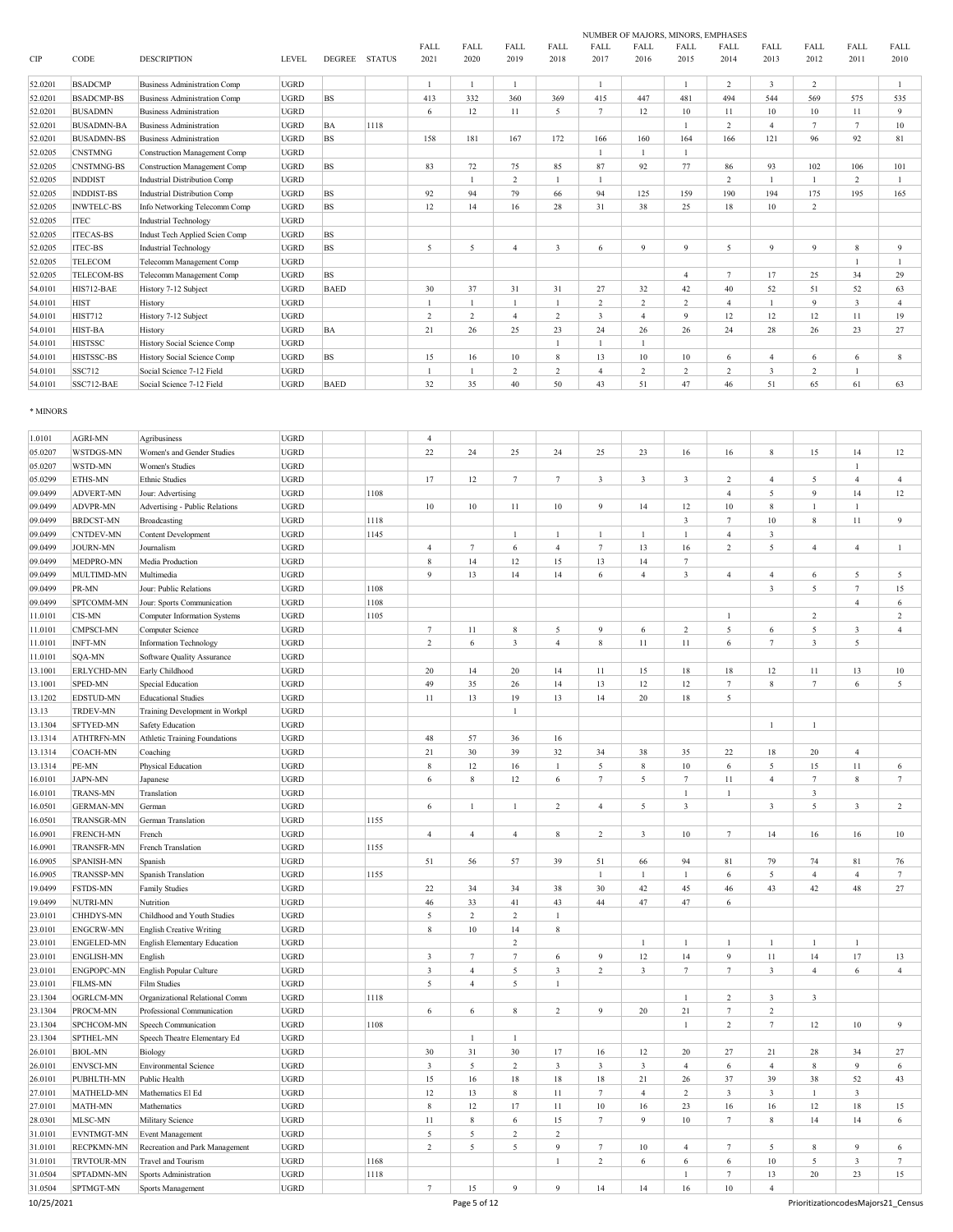|         |                   |                                     |              |               |               |                         |                |                         |      |                 | NUMBER OF MAJORS, MINORS, EMPHASES |                |                |                         |                |            |                |
|---------|-------------------|-------------------------------------|--------------|---------------|---------------|-------------------------|----------------|-------------------------|------|-----------------|------------------------------------|----------------|----------------|-------------------------|----------------|------------|----------------|
|         |                   |                                     |              |               |               | FALL                    | FALL           | FALL                    | FALL | FALL            | FALL                               | FALL           | FALL           | FALL                    | FALL           | FALL       | FALL           |
| CIP     | CODE              | <b>DESCRIPTION</b>                  | <b>LEVEL</b> | <b>DEGREE</b> | <b>STATUS</b> | 2021                    | 2020           | 2019                    | 2018 | 2017            | 2016                               | 2015           | 2014           | 2013                    | 2012           | 2011       | 2010           |
| 52.0201 | <b>BSADCMP</b>    | <b>Business Administration Comp</b> | <b>UGRD</b>  |               |               |                         |                |                         |      |                 |                                    |                | $\overline{2}$ | $\overline{\mathbf{3}}$ | $\overline{c}$ |            |                |
| 52.0201 | <b>BSADCMP-BS</b> | <b>Business Administration Comp</b> | <b>UGRD</b>  | <b>BS</b>     |               | 413                     | 332            | 360                     | 369  | 415             | 447                                | 481            | 494            | 544                     | 569            | 575        | 535            |
| 52.0201 | <b>BUSADMN</b>    | <b>Business Administration</b>      | <b>UGRD</b>  |               |               | 6                       | 12             | 11                      | 5    | $7\phantom{.0}$ | 12                                 | 10             | 11             | 10                      | 10             | 11         | 9              |
| 52.0201 | <b>BUSADMN-BA</b> | <b>Business Administration</b>      | <b>UGRD</b>  | BA            | 1118          |                         |                |                         |      |                 |                                    |                | 2              | $\overline{4}$          | $\tau$         |            | 10             |
|         |                   |                                     |              |               |               |                         |                |                         |      |                 |                                    |                |                |                         |                |            |                |
| 52.0201 | <b>BUSADMN-BS</b> | <b>Business Administration</b>      | <b>UGRD</b>  | <b>BS</b>     |               | 158                     | 181            | 167                     | 172  | 166             | 160                                | 164            | 166            | 121                     | 96             | 92         | 81             |
| 52.0205 | <b>CNSTMNG</b>    | <b>Construction Management Comp</b> | <b>UGRD</b>  |               |               |                         |                |                         |      |                 |                                    |                |                |                         |                |            |                |
| 52.0205 | <b>CNSTMNG-BS</b> | Construction Management Comp        | <b>UGRD</b>  | <b>BS</b>     |               | 83                      | 72             | 75                      | 85   | 87              | 92                                 | 77             | 86             | 93                      | 102            | 106        | 101            |
| 52.0205 | <b>INDDIST</b>    | Industrial Distribution Comp        | <b>UGRD</b>  |               |               |                         |                | 2                       |      |                 |                                    |                | $\overline{2}$ |                         |                | 2          |                |
| 52.0205 | <b>INDDIST-BS</b> | Industrial Distribution Comp        | <b>UGRD</b>  | <b>BS</b>     |               | 92                      | 94             | 79                      | 66   | 94              | 125                                | 159            | 190            | 194                     | 175            | 195        | 165            |
| 52.0205 | <b>INWTELC-BS</b> | Info Networking Telecomm Comp       | <b>UGRD</b>  | <b>BS</b>     |               | 12                      | 14             | 16                      | 28   | 31              | 38                                 | 25             | 18             | 10                      | 2              |            |                |
| 52.0205 | <b>ITEC</b>       | <b>Industrial Technology</b>        | <b>UGRD</b>  |               |               |                         |                |                         |      |                 |                                    |                |                |                         |                |            |                |
| 52.0205 | <b>ITECAS-BS</b>  | Indust Tech Applied Scien Comp      | <b>UGRD</b>  | <b>BS</b>     |               |                         |                |                         |      |                 |                                    |                |                |                         |                |            |                |
| 52.0205 | <b>ITEC-BS</b>    | <b>Industrial Technology</b>        | <b>UGRD</b>  | <b>BS</b>     |               | 5                       | $\overline{5}$ | $\boldsymbol{\Delta}$   | 3    | 6               | $\mathbf Q$                        | 9              | 5              | $\mathbf{Q}$            | 9              | 8          | 9              |
| 52.0205 | <b>TELECOM</b>    | Telecomm Management Comp            | <b>UGRD</b>  |               |               |                         |                |                         |      |                 |                                    |                |                |                         |                |            |                |
| 52.0205 | <b>TELECOM-BS</b> | Telecomm Management Comp            | <b>UGRD</b>  | <b>BS</b>     |               |                         |                |                         |      |                 |                                    | $\overline{4}$ | $\overline{ }$ | 17                      | 25             | 34         | 29             |
| 54.0101 | HIS712-BAE        | History 7-12 Subject                | <b>UGRD</b>  | <b>BAED</b>   |               | 30                      | 37             | 31                      | 31   | 27              | 32                                 | 42             | 40             | 52                      | 51             | 52         | 63             |
| 54.0101 | <b>HIST</b>       | History                             | <b>UGRD</b>  |               |               |                         |                |                         |      | 2               | $\overline{2}$                     | 2              |                |                         | 9              | $\ddot{3}$ | $\overline{4}$ |
| 54.0101 | <b>HIST712</b>    | History 7-12 Subject                | <b>UGRD</b>  |               |               | $\overline{\mathbf{c}}$ | $\overline{c}$ | $\overline{\mathbf{A}}$ | 2    | 3               |                                    | 9              | 12             | 12                      | 12             | 11         | 19             |
| 54.0101 | <b>HIST-BA</b>    | History                             | <b>UGRD</b>  | BA            |               | 21                      | 26             | 25                      | 23   | 24              | 26                                 | 26             | 24             | 28                      | 26             | 23         | 27             |
| 54.0101 | <b>HISTSSC</b>    | History Social Science Comp         | <b>UGRD</b>  |               |               |                         |                |                         |      |                 |                                    |                |                |                         |                |            |                |
| 54.0101 | HISTSSC-BS        | History Social Science Comp         | <b>UGRD</b>  | <b>BS</b>     |               | 15                      | 16             | 10                      | 8    | 13              | 10                                 | 10             | 6              | $\overline{4}$          | 6              | 6          | 8              |
| 54.0101 | <b>SSC712</b>     | Social Science 7-12 Field           | <b>UGRD</b>  |               |               |                         |                | 2                       | 2    | $\overline{4}$  | $\overline{c}$                     | 2              | $\overline{2}$ | $\overline{\mathbf{3}}$ | $\overline{c}$ |            |                |
| 54.0101 | SSC712-BAE        | Social Science 7-12 Field           | <b>UGRD</b>  | <b>BAED</b>   |               | 32                      | 35             | 40                      | 50   | 43              | 51                                 | 47             | 46             | 51                      | 65             | 61         | 63             |

# \* MINORS

| 1.0101     | <b>AGRI-MN</b>                | Agribusiness                         | <b>UGRD</b> |      | $\overline{4}$          |                 |                         |                         |                         |                         |                         |                 |                |                         |                |                                    |
|------------|-------------------------------|--------------------------------------|-------------|------|-------------------------|-----------------|-------------------------|-------------------------|-------------------------|-------------------------|-------------------------|-----------------|----------------|-------------------------|----------------|------------------------------------|
| 05.0207    | WSTDGS-MN                     | Women's and Gender Studies           | <b>UGRD</b> |      | 22                      | 24              | 25                      | 24                      | 25                      | 23                      | 16                      | 16              | 8              | 15                      | 14             | 12                                 |
| 05.0207    | WSTD-MN                       | Women's Studies                      | <b>UGRD</b> |      |                         |                 |                         |                         |                         |                         |                         |                 |                |                         | $\mathbf{1}$   |                                    |
| 05.0299    | ETHS-MN                       | <b>Ethnic Studies</b>                | <b>UGRD</b> |      | 17                      | 12              | $\tau$                  | $\tau$                  | $\overline{\mathbf{3}}$ | $\mathbf{3}$            | $\overline{3}$          | $\sqrt{2}$      | $\overline{4}$ | 5                       | $\overline{4}$ | $\overline{4}$                     |
| 09.0499    | <b>ADVERT-MN</b>              | Jour: Advertising                    | <b>UGRD</b> | 1108 |                         |                 |                         |                         |                         |                         |                         | $\overline{4}$  | 5              | $\overline{Q}$          | 14             | $12\,$                             |
| 09.0499    | <b>ADVPR-MN</b>               | Advertising - Public Relations       | <b>UGRD</b> |      | 10                      | 10              | 11                      | 10                      | 9                       | 14                      | 12                      | 10              | 8              | $\mathbf{1}$            | $\mathbf{1}$   |                                    |
| 09.0499    | <b>BRDCST-MN</b>              | Broadcasting                         | <b>UGRD</b> | 1118 |                         |                 |                         |                         |                         |                         | $\mathbf{3}$            | $\tau$          | $10\,$         | 8                       | $11\,$         | 9                                  |
| 09.0499    | CNTDEV-MN                     | Content Development                  | <b>UGRD</b> | 1145 |                         |                 | $\mathbf{1}$            | $\mathbf{1}$            | $\mathbf{1}$            | $\mathbf{1}$            | $\mathbf{1}$            | $\overline{4}$  | $\mathbf{3}$   |                         |                |                                    |
| 09.0499    | JOURN-MN                      | Journalism                           | <b>UGRD</b> |      | $\overline{4}$          | $\tau$          | $\epsilon$              | $\sqrt{4}$              | $\tau$                  | 13                      | 16                      | $\mathbf 2$     | 5              | $\overline{4}$          | $\overline{4}$ | $\mathbf{1}$                       |
| 09.0499    | MEDPRO-MN                     | Media Production                     | <b>UGRD</b> |      | 8                       | 14              | 12                      | 15                      | 13                      | 14                      | $\overline{7}$          |                 |                |                         |                |                                    |
| 09.0499    | MULTIMD-MN                    | Multimedia                           | <b>UGRD</b> |      | $\ddot{Q}$              | 13              | 14                      | 14                      | 6                       | $\overline{4}$          | $\overline{\mathbf{3}}$ | $\overline{4}$  | $\overline{4}$ | 6                       | 5              | 5                                  |
| 09.0499    | PR-MN                         | Jour: Public Relations               | <b>UGRD</b> | 1108 |                         |                 |                         |                         |                         |                         |                         |                 | $\overline{3}$ | 5                       | $\tau$         | 15                                 |
| 09.0499    | SPTCOMM-MN                    | Jour: Sports Communication           | <b>UGRD</b> | 1108 |                         |                 |                         |                         |                         |                         |                         |                 |                |                         | $\sqrt{4}$     | $\,$ 6 $\,$                        |
| 11.0101    | CIS-MN                        | <b>Computer Information Systems</b>  | <b>UGRD</b> | 1105 |                         |                 |                         |                         |                         |                         |                         | $\mathbf{1}$    |                | $\overline{c}$          |                | $\overline{c}$                     |
| 11.0101    | CMPSCI-MN                     | Computer Science                     | <b>UGRD</b> |      | $\overline{7}$          | 11              | 8                       | 5                       | $\overline{9}$          | 6                       | $\,2\,$                 | 5               | 6              | 5                       | $\mathfrak z$  | $\overline{4}$                     |
| 11.0101    | <b>INFT-MN</b>                | <b>Information Technology</b>        | <b>UGRD</b> |      | $\overline{c}$          | 6               | $\overline{\mathbf{3}}$ | $\overline{4}$          | $\,$ 8 $\,$             | 11                      | 11                      | 6               | $\tau$         | $\overline{\mathbf{3}}$ | 5              |                                    |
| 11.0101    | SQA-MN                        | Software Quality Assurance           | <b>UGRD</b> |      |                         |                 |                         |                         |                         |                         |                         |                 |                |                         |                |                                    |
| 13.1001    | <b>ERLYCHD-MN</b>             | Early Childhood                      | <b>UGRD</b> |      | 20                      | 14              | 20                      | 14                      | 11                      | 15                      | 18                      | 18              | 12             | 11                      | 13             | 10                                 |
| 13.1001    | SPED-MN                       | Special Education                    | <b>UGRD</b> |      | 49                      | 35              | $26\,$                  | 14                      | 13                      | 12                      | 12                      | $7\phantom{.0}$ | $\,$ 8 $\,$    | $7\phantom{.}$          | 6              | 5                                  |
| 13.1202    | <b>EDSTUD-MN</b>              | <b>Educational Studies</b>           | <b>UGRD</b> |      | 11                      | 13              | 19                      | 13                      | 14                      | 20                      | 18                      | 5               |                |                         |                |                                    |
| 13.13      | TRDEV-MN                      | Training Development in Workpl       | <b>UGRD</b> |      |                         |                 | $\mathbf{1}$            |                         |                         |                         |                         |                 |                |                         |                |                                    |
| 13.1304    | SFTYED-MN                     | <b>Safety Education</b>              | <b>UGRD</b> |      |                         |                 |                         |                         |                         |                         |                         |                 | $\mathbf{1}$   | $\mathbf{1}$            |                |                                    |
| 13.1314    | <b>ATHTRFN-MN</b>             | <b>Athletic Training Foundations</b> | <b>UGRD</b> |      | 48                      | 57              | 36                      | 16                      |                         |                         |                         |                 |                |                         |                |                                    |
| 13.1314    | <b>COACH-MN</b>               | Coaching                             | <b>UGRD</b> |      | 21                      | 30              | 39                      | 32                      | 34                      | 38                      | 35                      | 22              | 18             | 20                      | $\overline{4}$ |                                    |
| 13.1314    | PE-MN                         | Physical Education                   | <b>UGRD</b> |      | 8                       | 12              | 16                      | $\mathbf{1}$            | 5                       | $\,$ 8 $\,$             | $10\,$                  | 6               | 5              | 15                      | 11             | 6                                  |
| 16.0101    | <b>JAPN-MN</b>                | Japanese                             | <b>UGRD</b> |      | 6                       | $\,$ 8 $\,$     | 12                      | 6                       | $7\phantom{.0}$         | 5                       | $7\phantom{.0}$         | 11              | $\overline{4}$ | $\overline{7}$          | $\bf 8$        | $7\phantom{.0}$                    |
| 16.0101    | <b>TRANS-MN</b>               | Translation                          | <b>UGRD</b> |      |                         |                 |                         |                         |                         |                         | $\mathbf{1}$            | $\mathbf{1}$    |                | $\mathfrak{Z}$          |                |                                    |
| 16.0501    | <b>GERMAN-MN</b>              | German                               | <b>UGRD</b> |      | 6                       | $\mathbf{1}$    | $\mathbf{1}$            | $\overline{c}$          | $\overline{4}$          | 5                       | $\overline{3}$          |                 | $\overline{3}$ | 5                       | $\overline{3}$ | $\sqrt{2}$                         |
| 16.0501    | <b>TRANSGR-MN</b>             | German Translation                   | <b>UGRD</b> | 1155 |                         |                 |                         |                         |                         |                         |                         |                 |                |                         |                |                                    |
| 16.0901    | <b>FRENCH-MN</b>              | French                               | <b>UGRD</b> |      | $\overline{4}$          | $\overline{4}$  | $\overline{4}$          | $\,$ 8 $\,$             | $\overline{2}$          | $\mathbf{3}$            | 10                      | $7\phantom{.0}$ | 14             | 16                      | 16             | $10\,$                             |
| 16.0901    | <b>TRANSFR-MN</b>             | French Translation                   | <b>UGRD</b> | 1155 |                         |                 |                         |                         |                         |                         |                         |                 |                |                         |                |                                    |
| 16.0905    | SPANISH-MN                    | Spanish                              | <b>UGRD</b> |      | 51                      | 56              | 57                      | 39                      | 51                      | 66                      | 94                      | 81              | 79             | 74                      | 81             | 76                                 |
| 16.0905    | <b>TRANSSP-MN</b>             | Spanish Translation                  | <b>UGRD</b> | 1155 |                         |                 |                         |                         | $\mathbf{1}$            | $\mathbf{1}$            | $\mathbf{1}$            | 6               | 5              | $\overline{4}$          | $\overline{4}$ | $\overline{7}$                     |
| 19.0499    | <b>FSTDS-MN</b>               | <b>Family Studies</b>                | <b>UGRD</b> |      | 22                      | 34              | 34                      | 38                      | 30                      | 42                      | 45                      | 46              | 43             | 42                      | 48             | 27                                 |
| 19.0499    | NUTRI-MN                      | Nutrition                            | <b>UGRD</b> |      | 46                      | 33              | 41                      | 43                      | 44                      | 47                      | 47                      |                 |                |                         |                |                                    |
|            |                               |                                      | <b>UGRD</b> |      | 5                       | $\sqrt{2}$      | $\overline{2}$          | $\mathbf{1}$            |                         |                         |                         | 6               |                |                         |                |                                    |
| 23.0101    | CHHDYS-MN<br><b>ENGCRW-MN</b> | Childhood and Youth Studies          | <b>UGRD</b> |      | 8                       |                 |                         | $\,$ 8 $\,$             |                         |                         |                         |                 |                |                         |                |                                    |
| 23.0101    |                               | <b>English Creative Writing</b>      |             |      |                         | $10\,$          | 14                      |                         |                         |                         |                         |                 |                |                         |                |                                    |
| 23.0101    | <b>ENGELED-MN</b>             | <b>English Elementary Education</b>  | <b>UGRD</b> |      |                         |                 | $\overline{2}$          |                         |                         | $\mathbf{1}$            | $\mathbf{1}$            | $\mathbf{1}$    | $\mathbf{1}$   | $\mathbf{1}$            | $\mathbf{1}$   |                                    |
| 23.0101    | <b>ENGLISH-MN</b>             | English                              | <b>UGRD</b> |      | $\mathbf{3}$            | $7\phantom{.0}$ | $7\phantom{.0}$         | 6                       | $\overline{9}$          | 12                      | 14                      | $\overline{9}$  | $11\,$         | 14                      | 17             | 13                                 |
| 23.0101    | <b>ENGPOPC-MN</b>             | English Popular Culture              | <b>UGRD</b> |      | $\overline{\mathbf{3}}$ | $\overline{4}$  | 5                       | $\mathfrak z$           | $\overline{2}$          | $\mathbf{3}$            | $\tau$                  | $\overline{7}$  | $\mathbf{3}$   | $\overline{4}$          | 6              | $\overline{4}$                     |
| 23.0101    | <b>FILMS-MN</b>               | <b>Film Studies</b>                  | <b>UGRD</b> |      | 5                       | $\overline{4}$  | $\sqrt{5}$              | $\mathbf{1}$            |                         |                         |                         |                 |                |                         |                |                                    |
| 23.1304    | OGRLCM-MN                     | Organizational Relational Comm       | <b>UGRD</b> | 1118 |                         |                 |                         |                         |                         |                         | $\mathbf{1}$            | $\overline{2}$  | $\overline{3}$ | $\overline{\mathbf{3}}$ |                |                                    |
| 23.1304    | PROCM-MN                      | Professional Communication           | <b>UGRD</b> |      | 6                       | 6               | $\,$ 8 $\,$             | $\overline{2}$          | $\overline{9}$          | 20                      | 21                      | $\overline{7}$  | $\sqrt{2}$     |                         |                |                                    |
| 23.1304    | SPCHCOM-MN                    | Speech Communication                 | <b>UGRD</b> | 1108 |                         |                 |                         |                         |                         |                         | $\mathbf{1}$            | $\overline{c}$  | $\tau$         | 12                      | 10             | $\overline{9}$                     |
| 23.1304    | SPTHEL-MN                     | Speech Theatre Elementary Ed         | <b>UGRD</b> |      |                         | $\mathbf{1}$    | $\mathbf{1}$            |                         |                         |                         |                         |                 |                |                         |                |                                    |
| 26.0101    | <b>BIOL-MN</b>                | Biology                              | <b>UGRD</b> |      | 30                      | 31              | 30                      | 17                      | 16                      | 12                      | 20                      | 27              | 21             | 28                      | 34             | 27                                 |
| 26.0101    | <b>ENVSCI-MN</b>              | Environmental Science                | <b>UGRD</b> |      | $\overline{\mathbf{3}}$ | 5               | $\overline{2}$          | $\overline{\mathbf{3}}$ | $\mathbf{3}$            | $\overline{\mathbf{3}}$ | $\overline{4}$          | 6               | $\overline{4}$ | $\,$ 8 $\,$             | $\overline{9}$ | 6                                  |
| 26.0101    | PUBHLTH-MN                    | Public Health                        | <b>UGRD</b> |      | 15                      | 16              | 18                      | 18                      | 18                      | 21                      | 26                      | 37              | 39             | 38                      | 52             | 43                                 |
| 27.0101    | MATHELD-MN                    | Mathematics El Ed                    | <b>UGRD</b> |      | 12                      | 13              | $\,$ 8 $\,$             | $11\,$                  | $\tau$                  | $\overline{4}$          | $\overline{2}$          | $\mathfrak{Z}$  | $\mathbf{3}$   | $\mathbf{1}$            | $\sqrt{3}$     |                                    |
| 27.0101    | MATH-MN                       | Mathematics                          | <b>UGRD</b> |      | $\,$ 8 $\,$             | 12              | 17                      | 11                      | 10                      | 16                      | 23                      | 16              | $16\,$         | 12                      | 18             | 15                                 |
| 28.0301    | MLSC-MN                       | Military Science                     | <b>UGRD</b> |      | $\overline{11}$         | $\,$ 8 $\,$     | $\sqrt{6}$              | 15                      | $\tau$                  | $\overline{9}$          | $10\,$                  | $\tau$          | $\,$ 8 $\,$    | 14                      | 14             | $\,6\,$                            |
| 31.0101    | EVNTMGT-MN                    | Event Management                     | <b>UGRD</b> |      | 5                       | 5               | $\overline{2}$          | $\overline{2}$          |                         |                         |                         |                 |                |                         |                |                                    |
| 31.0101    | RECPKMN-MN                    | Recreation and Park Management       | <b>UGRD</b> |      | $\overline{c}$          | 5               | 5                       | 9                       | $\tau$                  | 10                      | $\overline{4}$          | $\overline{7}$  | 5              | 8                       | $\overline{9}$ | 6                                  |
| 31.0101    | TRVTOUR-MN                    | Travel and Tourism                   | <b>UGRD</b> | 1168 |                         |                 |                         | $\mathbf{1}$            | $\sqrt{2}$              | 6                       | 6                       | 6               | $10\,$         | 5                       | $\sqrt{3}$     | $\tau$                             |
| 31.0504    | SPTADMN-MN                    | Sports Administration                | <b>UGRD</b> | 1118 |                         |                 |                         |                         |                         |                         | 1                       | $\tau$          | 13             | 20                      | 23             | 15                                 |
| 31.0504    | SPTMGT-MN                     | Sports Management                    | <b>UGRD</b> |      | $\tau$                  | 15              | $\overline{9}$          | $\overline{9}$          | 14                      | 14                      | 16                      | 10              | $\overline{4}$ |                         |                |                                    |
| 10/25/2021 |                               |                                      |             |      |                         | Page 5 of 12    |                         |                         |                         |                         |                         |                 |                |                         |                | PrioritizationcodesMajors21 Census |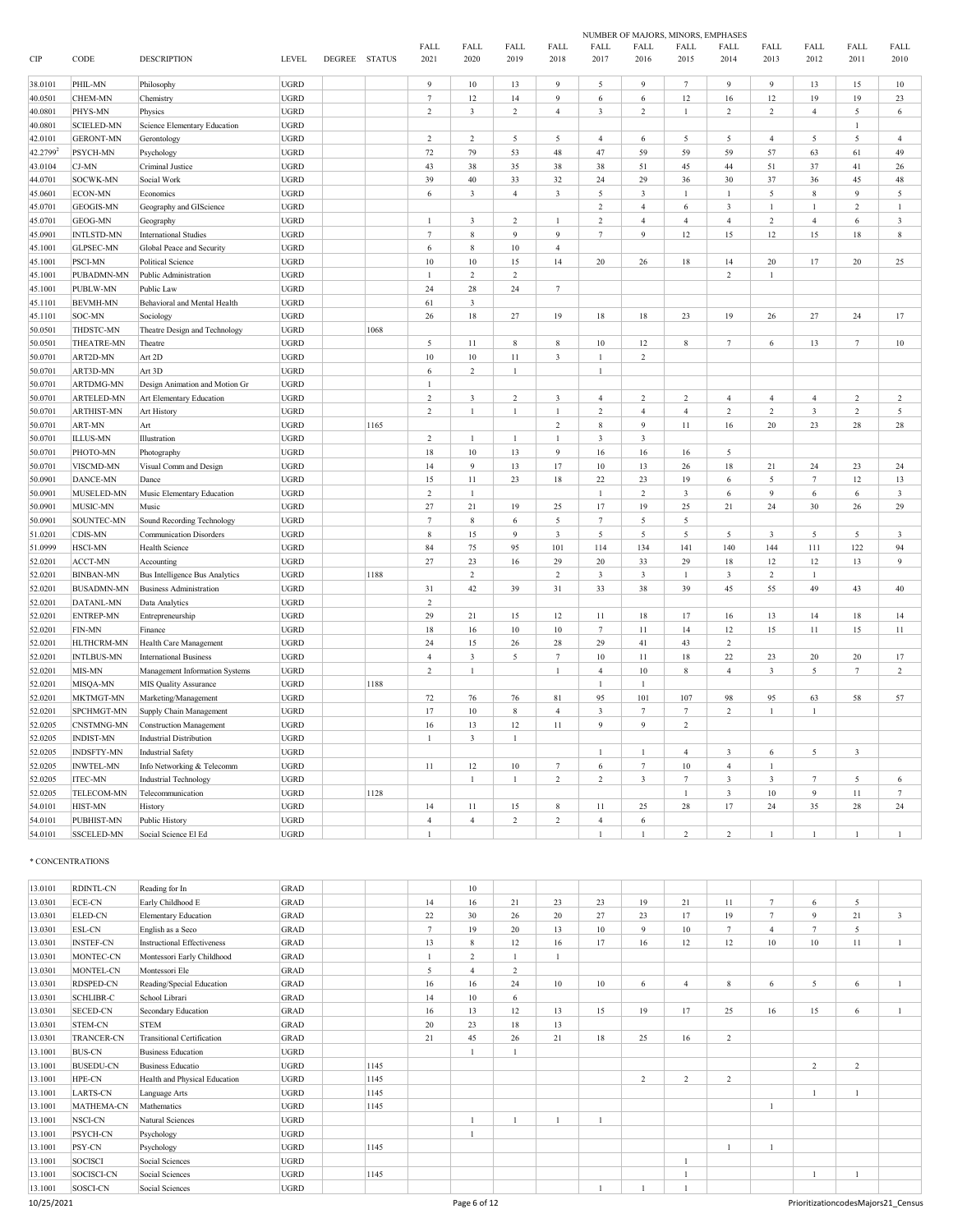|         |                   |                                       |              |               |      |                     |                         |                |                  |                         | NUMBER OF MAJORS, MINORS, EMPHASES |                         |                |                         |                 |                |                         |
|---------|-------------------|---------------------------------------|--------------|---------------|------|---------------------|-------------------------|----------------|------------------|-------------------------|------------------------------------|-------------------------|----------------|-------------------------|-----------------|----------------|-------------------------|
| CIP     | CODE              | <b>DESCRIPTION</b>                    | <b>LEVEL</b> | DEGREE STATUS |      | <b>FALL</b><br>2021 | FALL<br>2020            | FALL<br>2019   | FALL<br>2018     | FALL<br>2017            | FALL<br>2016                       | FALL<br>2015            | FALL<br>2014   | FALL<br>2013            | FALL<br>2012    | FALL<br>2011   | FALL<br>2010            |
| 38.0101 | PHIL-MN           | Philosophy                            | <b>UGRD</b>  |               |      | $\overline{9}$      | 10                      | 13             | $\overline{9}$   | 5                       | $\overline{Q}$                     | $7\phantom{.0}$         | $\mathbf{Q}$   | $\overline{9}$          | 13              | 15             | $10\,$                  |
| 40.0501 | CHEM-MN           | Chemistry                             | <b>UGRD</b>  |               |      | $\overline{7}$      | 12                      | 14             | $\overline{9}$   | $\epsilon$              | $\epsilon$                         | 12                      | $16\,$         | 12                      | 19              | 19             | 23                      |
| 40.0801 | PHYS-MN           | Physics                               | <b>UGRD</b>  |               |      | $\sqrt{2}$          | $\overline{\mathbf{3}}$ | $\,2$          | $\overline{4}$   | $\mathfrak z$           | $\overline{2}$                     | $\mathbf{1}$            | $\,2\,$        | $\,2$                   | $\overline{4}$  | 5              | $\,$ 6 $\,$             |
| 40.0801 | <b>SCIELED-MN</b> | Science Elementary Education          | <b>UGRD</b>  |               |      |                     |                         |                |                  |                         |                                    |                         |                |                         |                 | $\mathbf{1}$   |                         |
| 42.0101 | <b>GERONT-MN</b>  | Gerontology                           | <b>UGRD</b>  |               |      | $\sqrt{2}$          | $\sqrt{2}$              | 5              | $\sqrt{5}$       | $\overline{4}$          | 6                                  | 5                       | 5              | $\overline{4}$          | $\sqrt{5}$      | 5              | $\overline{4}$          |
| 42.2799 | PSYCH-MN          | Psychology                            | <b>UGRD</b>  |               |      | $72\,$              | 79                      | 53             | $48\,$           | 47                      | 59                                 | 59                      | 59             | 57                      | 63              | 61             | 49                      |
| 43.0104 | CJ-MN             | Criminal Justice                      | <b>UGRD</b>  |               |      | 43                  | 38                      | 35             | 38               | 38                      | 51                                 | 45                      | 44             | 51                      | 37              | 41             | $26\,$                  |
| 44.0701 | SOCWK-MN          | Social Work                           | <b>UGRD</b>  |               |      | 39                  | $40\,$                  | 33             | $32\,$           | 24                      | 29                                 | 36                      | 30             | 37                      | 36              | 45             | 48                      |
| 45.0601 | ECON-MN           | Economics                             | <b>UGRD</b>  |               |      | $\sqrt{6}$          | $\sqrt{3}$              | $\overline{4}$ | $\sqrt{3}$       | 5                       | $\sqrt{3}$                         | $\mathbf{1}$            | $\mathbf{1}$   | 5                       | $\,$ 8 $\,$     | 9              | $\sqrt{5}$              |
| 45.0701 | <b>GEOGIS-MN</b>  | Geography and GIScience               | <b>UGRD</b>  |               |      |                     |                         |                |                  | $\overline{2}$          | $\overline{4}$                     | 6                       | $\mathfrak{Z}$ | $\mathbf{1}$            | $\mathbf{1}$    | $\overline{c}$ | $\mathbf{1}$            |
| 45.0701 | GEOG-MN           | Geography                             | <b>UGRD</b>  |               |      | $\mathbf{1}$        | 3                       | $\overline{c}$ | $\mathbf{1}$     | $\,2\,$                 | $\overline{4}$                     | $\overline{4}$          | $\overline{4}$ | $\,2$                   | $\sqrt{4}$      | 6              | 3                       |
| 45.0901 | <b>INTLSTD-MN</b> | <b>International Studies</b>          | UGRD         |               |      | $\overline{7}$      | $\,$ 8 $\,$             | $\overline{9}$ | $\overline{9}$   | $\tau$                  | $\ddot{Q}$                         | 12                      | 15             | 12                      | $15\,$          | 18             | $\,$ 8 $\,$             |
| 45.1001 | <b>GLPSEC-MN</b>  | Global Peace and Security             | <b>UGRD</b>  |               |      | $\sqrt{6}$          | 8                       | 10             | $\overline{4}$   |                         |                                    |                         |                |                         |                 |                |                         |
| 45.1001 | PSCI-MN           | Political Science                     | <b>UGRD</b>  |               |      | $10\,$              | $10\,$                  | 15             | 14               | $20\,$                  | 26                                 | 18                      | 14             | 20                      | $17\,$          | $20\,$         | 25                      |
| 45.1001 | PUBADMN-MN        | Public Administration                 | <b>UGRD</b>  |               |      | $\overline{1}$      | $\sqrt{2}$              | $\sqrt{2}$     |                  |                         |                                    |                         | $\mathbf 2$    | $\mathbf{1}$            |                 |                |                         |
| 45.1001 | PUBLW-MN          | Public Law                            | <b>UGRD</b>  |               |      | 24                  | $\sqrt{28}$             | 24             | $7\phantom{.0}$  |                         |                                    |                         |                |                         |                 |                |                         |
| 45.1101 | <b>BEVMH-MN</b>   | Behavioral and Mental Health          | <b>UGRD</b>  |               |      | 61                  | $\sqrt{3}$              |                |                  |                         |                                    |                         |                |                         |                 |                |                         |
| 45.1101 | SOC-MN            | Sociology                             | <b>UGRD</b>  |               |      | 26                  | $18\,$                  | $27\,$         | 19               | 18                      | 18                                 | 23                      | 19             | 26                      | 27              | 24             | $17\,$                  |
| 50.0501 | THDSTC-MN         | Theatre Design and Technology         | <b>UGRD</b>  |               | 1068 |                     |                         |                |                  |                         |                                    |                         |                |                         |                 |                |                         |
| 50.0501 | THEATRE-MN        | Theatre                               | <b>UGRD</b>  |               |      | $\sqrt{5}$          | $11\,$                  | $\,$ 8 $\,$    | $\,$ 8 $\,$      | $10\,$                  | $12\,$                             | $\,$ 8 $\,$             | $\tau$         | $\sqrt{6}$              | 13              | $\tau$         | $10\,$                  |
| 50.0701 | ART2D-MN          | Art 2D                                | <b>UGRD</b>  |               |      | $10\,$              | $10\,$                  | $11\,$         | $\sqrt{3}$       | $\,1$                   | $\sqrt{2}$                         |                         |                |                         |                 |                |                         |
| 50.0701 | ART3D-MN          | Art 3D                                | <b>UGRD</b>  |               |      | 6                   | $\sqrt{2}$              | $\mathbf{1}$   |                  | $\mathbf{1}$            |                                    |                         |                |                         |                 |                |                         |
| 50.0701 | ARTDMG-MN         | Design Animation and Motion Gr        | <b>UGRD</b>  |               |      | $\mathbf{1}$        |                         |                |                  |                         |                                    |                         |                |                         |                 |                |                         |
| 50.0701 | ARTELED-MN        | Art Elementary Education              | <b>UGRD</b>  |               |      | $\sqrt{2}$          | $\mathfrak{Z}$          | $\sqrt{2}$     | $\sqrt{3}$       | $\overline{4}$          | $\sqrt{2}$                         | $\overline{c}$          | $\overline{4}$ | $\overline{4}$          | $\overline{4}$  | $\overline{c}$ | $\,2$                   |
| 50.0701 | <b>ARTHIST-MN</b> | Art History                           | <b>UGRD</b>  |               |      | $\overline{2}$      | $\mathbf{1}$            | $\mathbf{1}$   | 1                | $\mathbf 2$             | $\overline{4}$                     | $\sqrt{4}$              | $\mathbf 2$    | $\sqrt{2}$              | $\sqrt{3}$      | $\overline{c}$ | $\sqrt{5}$              |
| 50.0701 | ART-MN            | Art                                   | <b>UGRD</b>  |               | 1165 |                     |                         |                | $\sqrt{2}$       | $\bf 8$                 | $\boldsymbol{9}$                   | $11\,$                  | $16\,$         | 20                      | 23              | 28             | $\sqrt{28}$             |
| 50.0701 | <b>ILLUS-MN</b>   | Illustration                          | <b>UGRD</b>  |               |      | $\sqrt{2}$          | $\mathbf{1}$            | $\mathbf{1}$   | $\mathbf{1}$     | $\mathfrak z$           | $\overline{\mathbf{3}}$            |                         |                |                         |                 |                |                         |
| 50.0701 | PHOTO-MN          | Photography                           | <b>UGRD</b>  |               |      | $18\,$              | 10                      | 13             | $\overline{9}$   | 16                      | 16                                 | 16                      | 5              |                         |                 |                |                         |
| 50.0701 | VISCMD-MN         | Visual Comm and Design                | <b>UGRD</b>  |               |      | 14                  | $\overline{9}$          | 13             | 17               | $10\,$                  | 13                                 | $26\,$                  | $18\,$         | 21                      | 24              | 23             | $\sqrt{24}$             |
| 50.0901 | DANCE-MN          | Dance                                 | <b>UGRD</b>  |               |      | 15                  | $11\,$                  | 23             | $18\,$           | 22                      | 23                                 | 19                      | 6              | 5                       | $\tau$          | 12             | 13                      |
| 50.0901 | MUSELED-MN        | Music Elementary Education            | <b>UGRD</b>  |               |      | $\overline{2}$      | 1                       |                |                  | 1                       | $\overline{c}$                     | $\overline{\mathbf{3}}$ | 6              | 9                       | 6               | 6              | $\mathfrak{Z}$          |
| 50.0901 | MUSIC-MN          | Music                                 | <b>UGRD</b>  |               |      | 27                  | 21                      | 19             | 25               | 17                      | 19                                 | 25                      | 21             | 24                      | 30              | $26\,$         | 29                      |
| 50.0901 | SOUNTEC-MN        | Sound Recording Technology            | <b>UGRD</b>  |               |      | $\tau$              | $\,$ 8 $\,$             | 6              | $\sqrt{5}$       | $\tau$                  | 5                                  | $\sqrt{5}$              |                |                         |                 |                |                         |
| 51.0201 | CDIS-MN           | <b>Communication Disorders</b>        | <b>UGRD</b>  |               |      | $\,$ 8 $\,$         | 15                      | $\overline{9}$ | $\sqrt{3}$       | 5                       | 5                                  | 5                       | 5              | $\overline{3}$          | 5               | 5              | $\overline{\mathbf{3}}$ |
| 51.0999 | HSCI-MN           | Health Science                        | <b>UGRD</b>  |               |      | 84                  | 75                      | 95             | 101              | 114                     | 134                                | 141                     | 140            | 144                     | 111             | 122            | 94                      |
| 52.0201 | ACCT-MN           | Accounting                            | UGRD         |               |      | 27                  | 23                      | 16             | 29               | 20                      | 33                                 | 29                      | 18             | $12\,$                  | $12\,$          | 13             | $\boldsymbol{9}$        |
| 52.0201 | <b>BINBAN-MN</b>  | <b>Bus Intelligence Bus Analytics</b> | <b>UGRD</b>  |               | 1188 |                     | $\sqrt{2}$              |                | $\sqrt{2}$       | $\mathfrak{Z}$          | 3                                  | $\mathbf{1}$            | 3              | $\sqrt{2}$              | 1               |                |                         |
| 52.0201 | <b>BUSADMN-MN</b> | <b>Business Administration</b>        | <b>UGRD</b>  |               |      | 31                  | 42                      | 39             | $31\,$           | 33                      | 38                                 | 39                      | 45             | 55                      | 49              | 43             | 40                      |
| 52.0201 | DATANL-MN         | Data Analytics                        | <b>UGRD</b>  |               |      | $\sqrt{2}$          |                         |                |                  |                         |                                    |                         |                |                         |                 |                |                         |
| 52.0201 | <b>ENTREP-MN</b>  | Entrepreneurship                      | <b>UGRD</b>  |               |      | 29                  | 21                      | 15             | $12\,$           | 11                      | 18                                 | 17                      | 16             | 13                      | 14              | 18             | 14                      |
| 52.0201 | FIN-MN            | Finance                               | <b>UGRD</b>  |               |      | $1\,8$              | 16                      | 10             | $10\,$           | $\tau$                  | 11                                 | 14                      | 12             | 15                      | 11              | 15             | $11\,$                  |
| 52.0201 | HLTHCRM-MN        | Health Care Management                | <b>UGRD</b>  |               |      | 24                  | 15                      | 26             | $28\,$           | 29                      | 41                                 | 43                      | $\,2\,$        |                         |                 |                |                         |
| 52.0201 | <b>INTLBUS-MN</b> | <b>International Business</b>         | <b>UGRD</b>  |               |      | $\overline{4}$      | $\mathfrak{Z}$          | 5              | $\tau$           | $10$                    | 11                                 | 18                      | 22             | 23                      | 20              | $20\,$         | 17                      |
| 52.0201 | MIS-MN            | Management Information Systems        | <b>UGRD</b>  |               |      | $\sqrt{2}$          | $\mathbf{1}$            |                | $\mathbf{1}$     | $\overline{4}$          | $10\,$                             | $\,$ 8 $\,$             | $\overline{4}$ | $\overline{\mathbf{3}}$ | 5               | $\tau$         | $\,2\,$                 |
| 52.0201 | MISQA-MN          | MIS Quality Assurance                 | <b>UGRD</b>  |               | 1188 |                     |                         |                |                  | $\,1$                   | $\mathbf{1}$                       |                         |                |                         |                 |                |                         |
| 52.0201 | MKTMGT-MN         | Marketing/Management                  | <b>UGRD</b>  |               |      | $72\,$              | 76                      | 76             | 81               | 95                      | 101                                | 107                     | 98             | 95                      | 63              | 58             | 57                      |
| 52.0201 | SPCHMGT-MN        | Supply Chain Management               | <b>UGRD</b>  |               |      | 17                  | $10\,$                  | 8              | $\overline{4}$   | $\overline{\mathbf{3}}$ | $\overline{7}$                     | $7\phantom{.0}$         | $\mathbf 2$    | $\mathbf{1}$            | $\mathbf{1}$    |                |                         |
| 52.0205 | CNSTMNG-MN        | <b>Construction Management</b>        | UGRD         |               |      | 16                  | 13                      | $12 \,$        | 11               | 9                       | 9                                  | 2                       |                |                         |                 |                |                         |
| 52.0205 | <b>INDIST-MN</b>  | <b>Industrial Distribution</b>        | <b>UGRD</b>  |               |      | $\mathbf{1}$        | $\mathfrak{Z}$          | 1              |                  |                         |                                    |                         |                |                         |                 |                |                         |
| 52.0205 | <b>INDSFTY-MN</b> | <b>Industrial Safety</b>              | <b>UGRD</b>  |               |      |                     |                         |                |                  | $\mathbf{1}$            | $\mathbf{1}$                       | $\overline{4}$          | 3              | 6                       | $\sqrt{5}$      | 3              |                         |
| 52.0205 | <b>INWTEL-MN</b>  | Info Networking & Telecomm            | <b>UGRD</b>  |               |      | $11\,$              | 12                      | $10\,$         | $\boldsymbol{7}$ | 6                       | $\tau$                             | $10\,$                  | $\overline{4}$ | $\mathbf{1}$            |                 |                |                         |
| 52.0205 | <b>ITEC-MN</b>    | <b>Industrial Technology</b>          | <b>UGRD</b>  |               |      |                     | $\mathbf{1}$            | $\mathbf{1}$   | $\sqrt{2}$       | $\overline{2}$          | $\overline{\mathbf{3}}$            | $7\phantom{.0}$         | $\sqrt{3}$     | $\overline{\mathbf{3}}$ | $7\phantom{.0}$ | 5              | $\,6\,$                 |
| 52.0205 | TELECOM-MN        | Telecommunication                     | <b>UGRD</b>  |               | 1128 |                     |                         |                |                  |                         |                                    | $\mathbf{1}$            | 3              | $10\,$                  | $\overline{9}$  | $11\,$         | $\tau$                  |
| 54.0101 | HIST-MN           | History                               | <b>UGRD</b>  |               |      | 14                  | $11\,$                  | 15             | 8                | $11\,$                  | 25                                 | 28                      | 17             | $24\,$                  | 35              | 28             | 24                      |
| 54.0101 | PUBHIST-MN        | Public History                        | <b>UGRD</b>  |               |      | $\overline{4}$      | $\overline{4}$          | $\overline{c}$ | $\sqrt{2}$       | $\overline{4}$          | 6                                  |                         |                |                         |                 |                |                         |
| 54.0101 | SSCELED-MN        | Social Science El Ed                  | <b>UGRD</b>  |               |      | $\mathbf{1}$        |                         |                |                  | $\mathbf{1}$            | $\mathbf{1}$                       | 2                       | $\overline{2}$ | $\mathbf{1}$            | $\mathbf{1}$    | $\mathbf{1}$   | $\mathbf{1}$            |

#### $^\ast$  CONCENTRATIONS

| 13.0101    | <b>RDINTL-CN</b>  | Reading for In                | <b>GRAD</b> |      |                | 10               |                |    |    |    |    |                |                |                |    |                                    |
|------------|-------------------|-------------------------------|-------------|------|----------------|------------------|----------------|----|----|----|----|----------------|----------------|----------------|----|------------------------------------|
| 13.0301    | <b>ECE-CN</b>     | Early Childhood E             | <b>GRAD</b> |      | 14             | 16               | 21             | 23 | 23 | 19 | 21 | 11             | $\tau$         | 6              | 5  |                                    |
| 13.0301    | <b>ELED-CN</b>    | <b>Elementary Education</b>   | <b>GRAD</b> |      | 22             | 30               | 26             | 20 | 27 | 23 | 17 | 19             | $\overline{7}$ | $\mathbf Q$    | 21 | 3                                  |
| 13.0301    | <b>ESL-CN</b>     | English as a Seco             | <b>GRAD</b> |      | $\overline{7}$ | 19               | 20             | 13 | 10 | 9  | 10 | $\overline{7}$ | 4              | $\overline{7}$ | 5  |                                    |
| 13.0301    | <b>INSTEF-CN</b>  | Instructional Effectiveness   | GRAD        |      | 13             | 8                | 12             | 16 | 17 | 16 | 12 | 12             | 10             | 10             | 11 |                                    |
| 13.0301    | MONTEC-CN         | Montessori Early Childhood    | <b>GRAD</b> |      |                | 2                |                |    |    |    |    |                |                |                |    |                                    |
| 13.0301    | MONTEL-CN         | Montessori Ele                | GRAD        |      | 5              | $\boldsymbol{4}$ | $\overline{2}$ |    |    |    |    |                |                |                |    |                                    |
| 13.0301    | <b>RDSPED-CN</b>  | Reading/Special Education     | <b>GRAD</b> |      | 16             | 16               | 24             | 10 | 10 | 6  |    | 8              | 6              | 5              | 6  |                                    |
| 13.0301    | <b>SCHLIBR-C</b>  | School Librari                | <b>GRAD</b> |      | 14             | 10               | 6              |    |    |    |    |                |                |                |    |                                    |
| 13.0301    | <b>SECED-CN</b>   | Secondary Education           | GRAD        |      | 16             | 13               | 12             | 13 | 15 | 19 | 17 | 25             | 16             | 15             | 6  |                                    |
| 13.0301    | STEM-CN           | <b>STEM</b>                   | <b>GRAD</b> |      | 20             | 23               | 18             | 13 |    |    |    |                |                |                |    |                                    |
| 13.0301    | <b>TRANCER-CN</b> | Transitional Certification    | <b>GRAD</b> |      | 21             | 45               | 26             | 21 | 18 | 25 | 16 | $\overline{c}$ |                |                |    |                                    |
| 13.1001    | <b>BUS-CN</b>     | <b>Business Education</b>     | <b>UGRD</b> |      |                |                  |                |    |    |    |    |                |                |                |    |                                    |
| 13.1001    | <b>BUSEDU-CN</b>  | Business Educatio             | <b>UGRD</b> | 1145 |                |                  |                |    |    |    |    |                |                | 2              | 2  |                                    |
| 13.1001    | HPE-CN            | Health and Physical Education | <b>UGRD</b> | 1145 |                |                  |                |    |    | 2  | 2  | $\overline{2}$ |                |                |    |                                    |
| 13.1001    | <b>LARTS-CN</b>   | Language Arts                 | <b>UGRD</b> | 1145 |                |                  |                |    |    |    |    |                |                |                |    |                                    |
| 13.1001    | MATHEMA-CN        | Mathematics                   | <b>UGRD</b> | 1145 |                |                  |                |    |    |    |    |                |                |                |    |                                    |
| 13.1001    | NSCI-CN           | Natural Sciences              | <b>UGRD</b> |      |                |                  |                |    |    |    |    |                |                |                |    |                                    |
| 13.1001    | PSYCH-CN          | Psychology                    | <b>UGRD</b> |      |                |                  |                |    |    |    |    |                |                |                |    |                                    |
| 13.1001    | PSY-CN            | Psychology                    | <b>UGRD</b> | 1145 |                |                  |                |    |    |    |    |                |                |                |    |                                    |
| 13.1001    | SOCISCI           | Social Sciences               | <b>UGRD</b> |      |                |                  |                |    |    |    |    |                |                |                |    |                                    |
| 13.1001    | SOCISCI-CN        | Social Sciences               | <b>UGRD</b> | 1145 |                |                  |                |    |    |    |    |                |                |                |    |                                    |
| 13.1001    | SOSCI-CN          | Social Sciences               | <b>UGRD</b> |      |                |                  |                |    |    |    |    |                |                |                |    |                                    |
| 10/25/2021 |                   |                               |             |      |                | Page 6 of 12     |                |    |    |    |    |                |                |                |    | PrioritizationcodesMajors21 Census |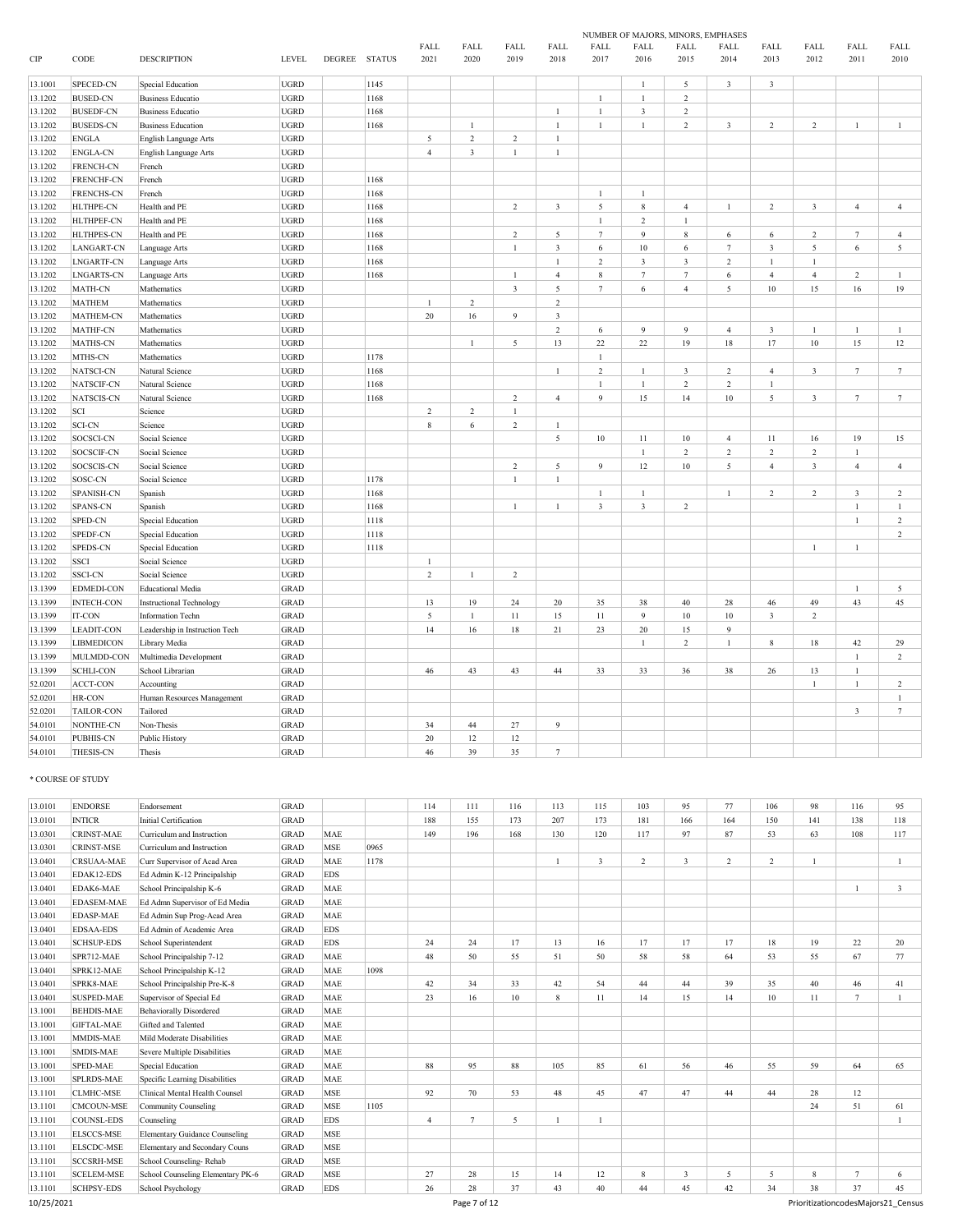|                    |                                    |                                            |                            |                      |              |                |                    |                |                |                         | NUMBER OF MAJORS, MINORS, EMPHASES |                         |                         |                          |                         |                 |                 |
|--------------------|------------------------------------|--------------------------------------------|----------------------------|----------------------|--------------|----------------|--------------------|----------------|----------------|-------------------------|------------------------------------|-------------------------|-------------------------|--------------------------|-------------------------|-----------------|-----------------|
| CIP                | CODE                               | <b>DESCRIPTION</b>                         | <b>LEVEL</b>               | <b>DEGREE STATUS</b> |              | FALL<br>2021   | FALL<br>2020       | FALL<br>2019   | FALL<br>2018   | FALL<br>2017            | FALL<br>2016                       | FALL<br>2015            | FALL<br>2014            | FALL<br>2013             | FALL<br>2012            | FALL<br>2011    | FALL<br>2010    |
| 13.1001            | SPECED-CN                          | Special Education                          | <b>UGRD</b>                |                      | 1145         |                |                    |                |                |                         | $\mathbf{1}$                       | $\sqrt{5}$              | $\overline{\mathbf{3}}$ | $\mathbf{3}$             |                         |                 |                 |
| 13.1202            | <b>BUSED-CN</b>                    | <b>Business Educatio</b>                   | <b>UGRD</b>                |                      | 1168         |                |                    |                |                | $\mathbf{1}$            | $\mathbf{1}$                       | $\sqrt{2}$              |                         |                          |                         |                 |                 |
| 13.1202            | <b>BUSEDF-CN</b>                   | <b>Business Educatio</b>                   | <b>UGRD</b>                |                      | 1168         |                |                    |                | $\overline{1}$ | $\mathbf{1}$            | $\mathbf{3}$                       | $\sqrt{2}$              |                         |                          |                         |                 |                 |
| 13.1202            | <b>BUSEDS-CN</b>                   | <b>Business Education</b>                  | <b>UGRD</b>                |                      | 1168         |                | $\mathbf{1}$       |                | $\mathbf{1}$   | $\mathbf{1}$            | $\mathbf{1}$                       | $\sqrt{2}$              | $\mathbf{3}$            | $\sqrt{2}$               | $\overline{c}$          | $\mathbf{1}$    | $\mathbf{1}$    |
| 13.1202            | <b>ENGLA</b>                       | English Language Arts                      | <b>UGRD</b>                |                      |              | 5              | $\mathfrak{2}$     | $\overline{2}$ | $\mathbf{1}$   |                         |                                    |                         |                         |                          |                         |                 |                 |
| 13.1202            | <b>ENGLA-CN</b>                    | English Language Arts                      | <b>UGRD</b>                |                      |              | $\overline{4}$ | $\overline{3}$     | $\mathbf{1}$   | $\,1\,$        |                         |                                    |                         |                         |                          |                         |                 |                 |
| 13.1202            | <b>FRENCH-CN</b>                   | French                                     | <b>UGRD</b>                |                      |              |                |                    |                |                |                         |                                    |                         |                         |                          |                         |                 |                 |
| 13.1202            | <b>FRENCHF-CN</b>                  | French                                     | <b>UGRD</b>                |                      | 1168         |                |                    |                |                |                         |                                    |                         |                         |                          |                         |                 |                 |
| 13.1202            | <b>FRENCHS-CN</b>                  | French                                     | <b>UGRD</b>                |                      | 1168         |                |                    |                |                | $\mathbf{1}$            | $\overline{1}$                     |                         |                         |                          |                         |                 |                 |
| 13.1202            | <b>HLTHPE-CN</b>                   | Health and PE                              | <b>UGRD</b>                |                      | 1168         |                |                    | $\overline{2}$ | $\overline{3}$ | 5                       | 8                                  | $\overline{4}$          | $\mathbf{1}$            | $\sqrt{2}$               | $\overline{\mathbf{3}}$ | $\overline{4}$  | $\overline{4}$  |
| 13.1202            | <b>HLTHPEF-CN</b>                  | Health and PE                              | <b>UGRD</b>                |                      | 1168         |                |                    |                |                | $\mathbf{1}$            | $\overline{2}$                     | $\mathbf{1}$            |                         |                          |                         |                 |                 |
| 13.1202            | HLTHPES-CN                         | Health and PE                              | <b>UGRD</b>                |                      | 1168         |                |                    | $\overline{2}$ | 5              | $\overline{7}$          | 9                                  | $\,$ 8 $\,$             | 6                       | 6                        | $\mathfrak{2}$          | $7\phantom{.0}$ | $\overline{4}$  |
| 13.1202            | <b>LANGART-CN</b>                  | Language Arts                              | <b>UGRD</b>                |                      | 1168         |                |                    | $\mathbf{1}$   | $\overline{3}$ | 6                       | 10                                 | 6                       | $\tau$                  | $\mathbf{3}$             | 5                       | 6               | 5               |
| 13.1202            | <b>LNGARTF-CN</b>                  | Language Arts                              | <b>UGRD</b>                |                      | 1168         |                |                    |                | $\overline{1}$ | $\overline{c}$          | 3                                  | $\overline{\mathbf{3}}$ | $\overline{c}$          | $\mathbf{1}$             | $\mathbf{1}$            |                 |                 |
| 13.1202            | <b>LNGARTS-CN</b>                  | Language Arts                              | <b>UGRD</b>                |                      | 1168         |                |                    | $\mathbf{1}$   | $\overline{4}$ | $\bf 8$                 | $\overline{7}$                     | $\tau$                  | 6                       | $\overline{4}$           | $\overline{4}$          | $\overline{c}$  | $\overline{1}$  |
| 13.1202            | MATH-CN                            | Mathematics                                | <b>UGRD</b>                |                      |              |                |                    | $\overline{3}$ | 5              | $\tau$                  | $\sqrt{6}$                         | $\overline{4}$          | 5                       | $10\,$                   | 15                      | 16              | 19              |
| 13.1202            | <b>MATHEM</b>                      | Mathematics                                | <b>UGRD</b>                |                      |              | $\mathbf{1}$   | $\mathfrak{2}$     |                | $\overline{c}$ |                         |                                    |                         |                         |                          |                         |                 |                 |
| 13.1202            | MATHEM-CN                          | Mathematics                                | <b>UGRD</b>                |                      |              | 20             | 16                 | $\overline{9}$ | $\overline{3}$ |                         |                                    |                         |                         |                          |                         |                 |                 |
| 13.1202            | MATHF-CN                           | Mathematics                                | <b>UGRD</b>                |                      |              |                |                    |                | $\sqrt{2}$     | 6                       | 9                                  | $\overline{9}$          | $\overline{4}$          | $\mathfrak{Z}$           | $\mathbf{1}$            | $\mathbf{1}$    | $\mathbf{1}$    |
| 13.1202            | <b>MATHS-CN</b>                    | Mathematics                                | <b>UGRD</b>                |                      |              |                | $\mathbf{1}$       | 5              | 13             | 22                      | 22                                 | 19                      | 18                      | 17                       | $10\,$                  | 15              | 12              |
| 13.1202            | MTHS-CN                            | Mathematics                                | <b>UGRD</b>                |                      | 1178         |                |                    |                |                | $\mathbf{1}$            |                                    |                         |                         |                          |                         |                 |                 |
| 13.1202            | NATSCI-CN                          | Natural Science                            | <b>UGRD</b>                |                      | 1168         |                |                    |                | $\mathbf{1}$   | $\sqrt{2}$              | $\mathbf{1}$                       | $\overline{3}$          | $\overline{2}$          | $\overline{4}$           | $\overline{3}$          | $\tau$          | $\tau$          |
| 13.1202            | NATSCIF-CN                         | Natural Science                            | <b>UGRD</b>                |                      | 1168         |                |                    |                |                | $\mathbf{1}$            | $\mathbf{1}$                       | $\sqrt{2}$              | $\overline{2}$          | $\mathbf{1}$             |                         |                 |                 |
| 13.1202            | NATSCIS-CN                         | Natural Science                            | <b>UGRD</b>                |                      | 1168         |                |                    | $\overline{c}$ | $\overline{4}$ | $\overline{9}$          | 15                                 | 14                      | $10\,$                  | 5                        | $\mathbf{3}$            | $\tau$          | $7\phantom{.0}$ |
| 13.1202            | SCI                                | Science                                    | <b>UGRD</b>                |                      |              | $\overline{c}$ | $\overline{c}$     | $\mathbf{1}$   |                |                         |                                    |                         |                         |                          |                         |                 |                 |
| 13.1202            | <b>SCI-CN</b>                      | Science                                    | <b>UGRD</b>                |                      |              | $\,$ 8 $\,$    | $\sqrt{6}$         | $\overline{c}$ | $\mathbf{1}$   |                         |                                    |                         |                         |                          |                         |                 |                 |
| 13.1202            | SOCSCI-CN                          | Social Science                             | <b>UGRD</b>                |                      |              |                |                    |                | 5              | 10                      | 11                                 | $10\,$                  | $\overline{4}$          | 11                       | 16                      | 19              | 15              |
|                    | SOCSCIF-CN                         |                                            | <b>UGRD</b>                |                      |              |                |                    |                |                |                         | $\mathbf{1}$                       | $\overline{2}$          | $\mathbf 2$             | $\overline{c}$           | $\sqrt{2}$              | $\mathbf{1}$    |                 |
| 13.1202<br>13.1202 | SOCSCIS-CN                         | Social Science<br>Social Science           | <b>UGRD</b>                |                      |              |                |                    | $\overline{2}$ | 5              | $\overline{9}$          | 12                                 | 10                      | 5                       | $\overline{4}$           | $\overline{\mathbf{3}}$ | $\overline{4}$  | $\overline{4}$  |
| 13.1202            | SOSC-CN                            | Social Science                             | <b>UGRD</b>                |                      | 1178         |                |                    | $\mathbf{1}$   | $\mathbf{1}$   |                         |                                    |                         |                         |                          |                         |                 |                 |
|                    | SPANISH-CN                         |                                            | <b>UGRD</b>                |                      | 1168         |                |                    |                |                | $\mathbf{1}$            | $\mathbf{1}$                       |                         |                         | $\overline{c}$           | $\overline{2}$          | $\overline{3}$  | $\overline{2}$  |
| 13.1202            | <b>SPANS-CN</b>                    | Spanish                                    | <b>UGRD</b>                |                      | 1168         |                |                    | $\mathbf{1}$   | $\mathbf{1}$   | $\overline{\mathbf{3}}$ | $\overline{3}$                     | 2                       | $\mathbf{1}$            |                          |                         | $\mathbf{1}$    | $\mathbf{1}$    |
| 13.1202            |                                    | Spanish                                    |                            |                      |              |                |                    |                |                |                         |                                    |                         |                         |                          |                         | $\mathbf{1}$    |                 |
| 13.1202            | SPED-CN                            | Special Education                          | <b>UGRD</b>                |                      | 1118         |                |                    |                |                |                         |                                    |                         |                         |                          |                         |                 | $\overline{2}$  |
| 13.1202<br>13.1202 | <b>SPEDF-CN</b><br><b>SPEDS-CN</b> | Special Education                          | <b>UGRD</b><br><b>UGRD</b> |                      | 1118<br>1118 |                |                    |                |                |                         |                                    |                         |                         |                          | $\mathbf{1}$            | $\mathbf{1}$    | $\overline{c}$  |
|                    | <b>SSCI</b>                        | Special Education<br>Social Science        | <b>UGRD</b>                |                      |              | $\mathbf{1}$   |                    |                |                |                         |                                    |                         |                         |                          |                         |                 |                 |
| 13.1202            | SSCI-CN                            |                                            | <b>UGRD</b>                |                      |              | $\sqrt{2}$     | $\mathbf{1}$       | $\overline{c}$ |                |                         |                                    |                         |                         |                          |                         |                 |                 |
| 13.1202            | <b>EDMEDI-CON</b>                  | Social Science<br><b>Educational Media</b> | <b>GRAD</b>                |                      |              |                |                    |                |                |                         |                                    |                         |                         |                          |                         |                 |                 |
| 13.1399            |                                    |                                            |                            |                      |              |                |                    |                |                |                         |                                    |                         |                         |                          | 49                      | 1               | 5<br>45         |
| 13.1399            | <b>INTECH-CON</b><br>IT-CON        | <b>Instructional Technology</b>            | <b>GRAD</b>                |                      |              | 13<br>5        | 19<br>$\mathbf{1}$ | $24\,$         | $20\,$<br>15   | 35                      | 38<br>$\mathbf{Q}$                 | 40                      | 28                      | $46\,$<br>$\overline{3}$ | $\overline{c}$          | 43              |                 |
| 13.1399            |                                    | <b>Information Techn</b>                   | <b>GRAD</b>                |                      |              |                |                    | 11             |                | 11                      |                                    | 10                      | 10<br>9                 |                          |                         |                 |                 |
| 13.1399            | <b>LEADIT-CON</b>                  | Leadership in Instruction Tech             | GRAD                       |                      |              | 14             | 16                 | $1\,8$         | $21\,$         | 23                      | $20\,$<br>$\mathbf{1}$             | 15                      |                         |                          |                         |                 |                 |
| 13.1399            | <b>LIBMEDICON</b>                  | Library Media                              | <b>GRAD</b>                |                      |              |                |                    |                |                |                         |                                    | $\sqrt{2}$              | $\mathbf{1}$            | $\,$ 8 $\,$              | 18                      | 42              | 29              |
| 13.1399            | MULMDD-CON                         | Multimedia Development                     | <b>GRAD</b>                |                      |              |                |                    |                |                |                         |                                    |                         |                         |                          |                         | $\mathbf{1}$    | $\overline{2}$  |
| 13.1399            | <b>SCHLI-CON</b>                   | School Librarian                           | <b>GRAD</b>                |                      |              | 46             | 43                 | 43             | 44             | 33                      | 33                                 | 36                      | 38                      | 26                       | 13                      | 1               |                 |
| 52.0201            | ACCT-CON                           | Accounting                                 | <b>GRAD</b>                |                      |              |                |                    |                |                |                         |                                    |                         |                         |                          | $\mathbf{1}$            | $\mathbf{1}$    | $\overline{c}$  |
| 52.0201            | HR-CON                             | Human Resources Management                 | GRAD                       |                      |              |                |                    |                |                |                         |                                    |                         |                         |                          |                         |                 | $\mathbf{1}$    |
| 52.0201            | TAILOR-CON                         | Tailored                                   | <b>GRAD</b>                |                      |              |                |                    |                |                |                         |                                    |                         |                         |                          |                         | $\sqrt{3}$      | $\tau$          |
| 54.0101            | NONTHE-CN                          | Non-Thesis                                 | GRAD                       |                      |              | 34             | 44                 | 27             | 9              |                         |                                    |                         |                         |                          |                         |                 |                 |
| 54.0101            | PUBHIS-CN                          | Public History                             | <b>GRAD</b>                |                      |              | 20             | 12                 | 12             |                |                         |                                    |                         |                         |                          |                         |                 |                 |
| 54.0101            | THESIS-CN                          | Thesis                                     | GRAD                       |                      |              | 46             | 39                 | 35             | $\overline{7}$ |                         |                                    |                         |                         |                          |                         |                 |                 |

# $^\ast$  COURSE OF STUDY

| 13.0101    | <b>ENDORSE</b>    | Endorsement                           | <b>GRAD</b> |            |      | 114            | 111          | 116 | 113          | 115                     | 103            | 95         | 77  | 106            | 98  | 116    | 95                                 |
|------------|-------------------|---------------------------------------|-------------|------------|------|----------------|--------------|-----|--------------|-------------------------|----------------|------------|-----|----------------|-----|--------|------------------------------------|
| 13.0101    | <b>INTICR</b>     | Initial Certification                 | <b>GRAD</b> |            |      | 188            | 155          | 173 | 207          | 173                     | 181            | 166        | 164 | 150            | 141 | 138    | 118                                |
| 13.0301    | <b>CRINST-MAE</b> | Curriculum and Instruction            | <b>GRAD</b> | <b>MAE</b> |      | 149            | 196          | 168 | 130          | 120                     | 117            | 97         | 87  | 53             | 63  | 108    | 117                                |
| 13.0301    | <b>CRINST-MSE</b> | Curriculum and Instruction            | <b>GRAD</b> | <b>MSE</b> | 0965 |                |              |     |              |                         |                |            |     |                |     |        |                                    |
| 13.0401    | <b>CRSUAA-MAE</b> | Curr Supervisor of Acad Area          | <b>GRAD</b> | <b>MAE</b> | 1178 |                |              |     |              | $\overline{\mathbf{3}}$ | $\overline{2}$ | $\ddot{3}$ | 2   | $\overline{2}$ |     |        |                                    |
| 13.0401    | EDAK12-EDS        | Ed Admin K-12 Principalship           | <b>GRAD</b> | <b>EDS</b> |      |                |              |     |              |                         |                |            |     |                |     |        |                                    |
| 13.0401    | EDAK6-MAE         | School Principalship K-6              | <b>GRAD</b> | MAE        |      |                |              |     |              |                         |                |            |     |                |     |        | 3                                  |
| 13.0401    | <b>EDASEM-MAE</b> | Ed Admn Supervisor of Ed Media        | <b>GRAD</b> | <b>MAE</b> |      |                |              |     |              |                         |                |            |     |                |     |        |                                    |
| 13.0401    | <b>EDASP-MAE</b>  | Ed Admin Sup Prog-Acad Area           | <b>GRAD</b> | <b>MAE</b> |      |                |              |     |              |                         |                |            |     |                |     |        |                                    |
| 13.0401    | <b>EDSAA-EDS</b>  | Ed Admin of Academic Area             | <b>GRAD</b> | <b>EDS</b> |      |                |              |     |              |                         |                |            |     |                |     |        |                                    |
| 13.0401    | <b>SCHSUP-EDS</b> | School Superintendent                 | <b>GRAD</b> | <b>EDS</b> |      | 24             | 24           | 17  | 13           | 16                      | 17             | 17         | 17  | 18             | 19  | 22     | 20                                 |
| 13.0401    | SPR712-MAE        | School Principalship 7-12             | <b>GRAD</b> | MAE        |      | 48             | 50           | 55  | 51           | 50                      | 58             | 58         | 64  | 53             | 55  | 67     | 77                                 |
| 13.0401    | SPRK12-MAE        | School Principalship K-12             | <b>GRAD</b> | MAE        | 1098 |                |              |     |              |                         |                |            |     |                |     |        |                                    |
| 13.0401    | SPRK8-MAE         | School Principalship Pre-K-8          | <b>GRAD</b> | MAE        |      | 42             | 34           | 33  | 42           | 54                      | 44             | 44         | 39  | 35             | 40  | 46     | 41                                 |
| 13.0401    | <b>SUSPED-MAE</b> | Supervisor of Special Ed              | <b>GRAD</b> | MAE        |      | 23             | 16           | 10  | 8            | 11                      | 14             | 15         | 14  | 10             | 11  | $\tau$ |                                    |
| 13.1001    | <b>BEHDIS-MAE</b> | <b>Behaviorally Disordered</b>        | <b>GRAD</b> | <b>MAE</b> |      |                |              |     |              |                         |                |            |     |                |     |        |                                    |
| 13.1001    | <b>GIFTAL-MAE</b> | Gifted and Talented                   | <b>GRAD</b> | <b>MAE</b> |      |                |              |     |              |                         |                |            |     |                |     |        |                                    |
| 13.1001    | MMDIS-MAE         | Mild Moderate Disabilities            | <b>GRAD</b> | <b>MAE</b> |      |                |              |     |              |                         |                |            |     |                |     |        |                                    |
| 13.1001    | SMDIS-MAE         | Severe Multiple Disabilities          | <b>GRAD</b> | <b>MAE</b> |      |                |              |     |              |                         |                |            |     |                |     |        |                                    |
| 13.1001    | SPED-MAE          | Special Education                     | GRAD        | MAE        |      | 88             | 95           | 88  | 105          | 85                      | 61             | 56         | 46  | 55             | 59  | 64     | 65                                 |
| 13.1001    | SPLRDS-MAE        | Specific Learning Disabilities        | <b>GRAD</b> | MAE        |      |                |              |     |              |                         |                |            |     |                |     |        |                                    |
| 13.1101    | <b>CLMHC-MSE</b>  | Clinical Mental Health Counsel        | <b>GRAD</b> | <b>MSE</b> |      | 92             | 70           | 53  | 48           | 45                      | 47             | 47         | 44  | 44             | 28  | 12     |                                    |
| 13.1101    | <b>CMCOUN-MSE</b> | <b>Community Counseling</b>           | <b>GRAD</b> | <b>MSE</b> | 1105 |                |              |     |              |                         |                |            |     |                | 24  | 51     | 61                                 |
| 13.1101    | <b>COUNSL-EDS</b> | Counseling                            | <b>GRAD</b> | <b>EDS</b> |      | $\overline{4}$ | $\tau$       | 5   | $\mathbf{1}$ |                         |                |            |     |                |     |        |                                    |
| 13.1101    | <b>ELSCCS-MSE</b> | <b>Elementary Guidance Counseling</b> | <b>GRAD</b> | <b>MSE</b> |      |                |              |     |              |                         |                |            |     |                |     |        |                                    |
| 13.1101    | <b>ELSCDC-MSE</b> | Elementary and Secondary Couns        | <b>GRAD</b> | <b>MSE</b> |      |                |              |     |              |                         |                |            |     |                |     |        |                                    |
| 13.1101    | <b>SCCSRH-MSE</b> | School Counseling-Rehab               | <b>GRAD</b> | <b>MSE</b> |      |                |              |     |              |                         |                |            |     |                |     |        |                                    |
| 13.1101    | <b>SCELEM-MSE</b> | School Counseling Elementary PK-6     | <b>GRAD</b> | MSE        |      | 27             | 28           | 15  | 14           | 12                      | 8              | 3          | 5   | 5              | 8   | $\tau$ | 6                                  |
| 13.1101    | <b>SCHPSY-EDS</b> | <b>School Psychology</b>              | <b>GRAD</b> | <b>EDS</b> |      | 26             | 28           | 37  | 43           | 40                      | 44             | 45         | 42  | 34             | 38  | 37     | 45                                 |
| 10/25/2021 |                   |                                       |             |            |      |                | Page 7 of 12 |     |              |                         |                |            |     |                |     |        | PrioritizationcodesMajors21 Census |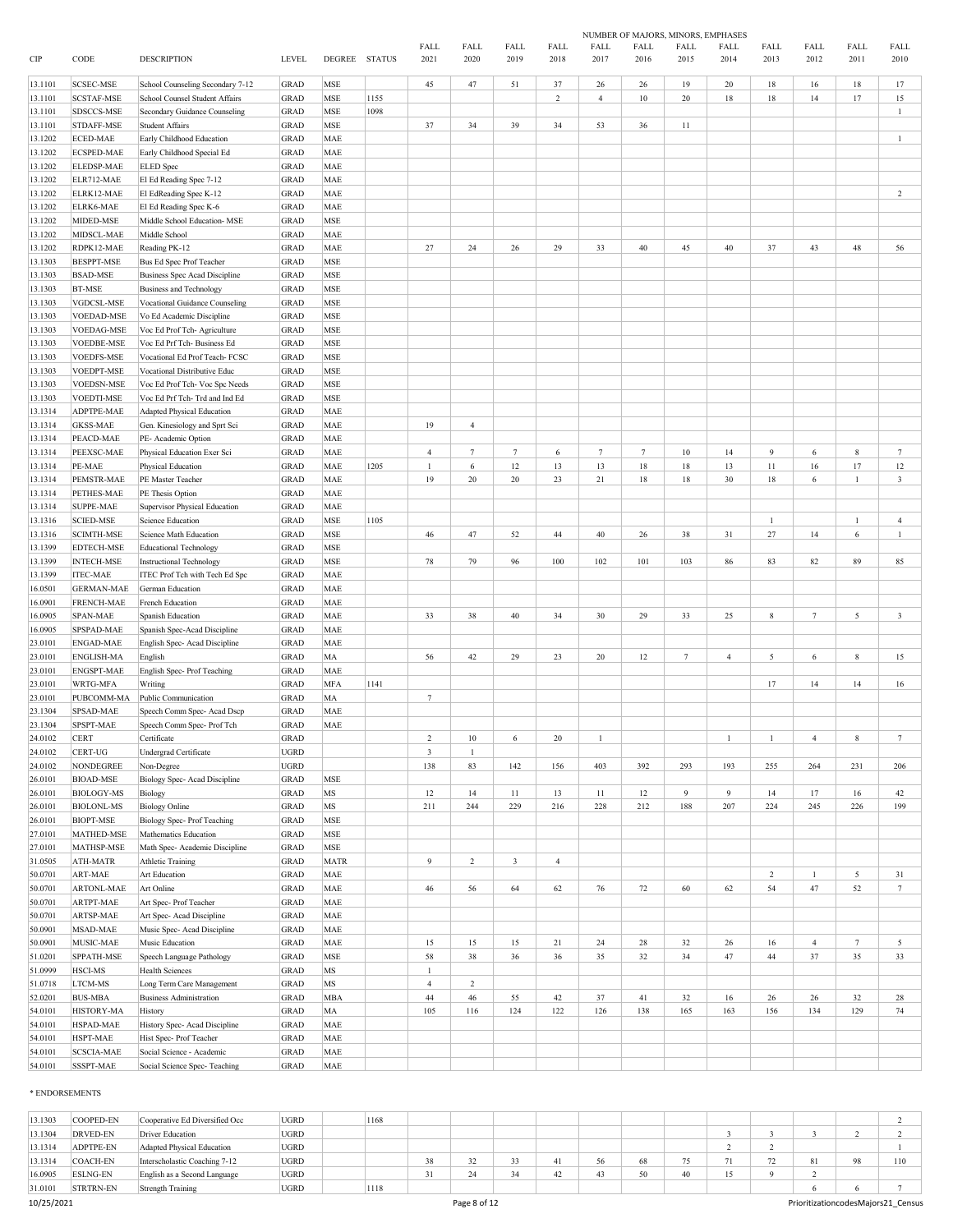|         |                   |                                      |               |             |               |                |                |                |                |                 |             | NUMBER OF MAJORS, MINORS, EMPHASES |                |                |                 |              |                         |
|---------|-------------------|--------------------------------------|---------------|-------------|---------------|----------------|----------------|----------------|----------------|-----------------|-------------|------------------------------------|----------------|----------------|-----------------|--------------|-------------------------|
|         |                   |                                      |               |             |               | FALL           | FALL           | FALL           | FALL           | FALL            | <b>FALL</b> | FALL                               | FALL           | FALL           | FALL            | FALL         | FALL                    |
| CIP     | CODE              | <b>DESCRIPTION</b>                   | <b>LEVEL</b>  | DEGREE      | <b>STATUS</b> | 2021           | 2020           | 2019           | 2018           | 2017            | 2016        | 2015                               | 2014           | 2013           | 2012            | 2011         | 2010                    |
|         |                   |                                      |               |             |               |                |                |                |                |                 |             |                                    |                |                |                 |              |                         |
| 13.1101 | <b>SCSEC-MSE</b>  | School Counseling Secondary 7-12     | <b>GRAD</b>   | MSE         |               | 45             | 47             | 51             | 37             | 26              | 26          | 19                                 | 20             | 18             | 16              | 18           | 17                      |
| 13.1101 | <b>SCSTAF-MSE</b> | School Counsel Student Affairs       | <b>GRAD</b>   | MSE         | 1155          |                |                |                | 2              | $\overline{4}$  | 10          | 20                                 | 18             | 18             | 14              | 17           | 15                      |
| 13.1101 | SDSCCS-MSE        | Secondary Guidance Counseling        | <b>GRAD</b>   | MSE         | 1098          |                |                |                |                |                 |             |                                    |                |                |                 |              | $\mathbf{1}$            |
| 13.1101 | STDAFF-MSE        | <b>Student Affairs</b>               | <b>GRAD</b>   | MSE         |               | 37             | 34             | 39             | 34             | 53              | 36          | 11                                 |                |                |                 |              |                         |
|         |                   |                                      |               |             |               |                |                |                |                |                 |             |                                    |                |                |                 |              |                         |
| 13.1202 | ECED-MAE          | Early Childhood Education            | <b>GRAD</b>   | MAE         |               |                |                |                |                |                 |             |                                    |                |                |                 |              | $\mathbf{1}$            |
| 13.1202 | ECSPED-MAE        | Early Childhood Special Ed           | GRAD          | MAE         |               |                |                |                |                |                 |             |                                    |                |                |                 |              |                         |
| 13.1202 | ELEDSP-MAE        | ELED Spec                            | <b>GRAD</b>   | MAE         |               |                |                |                |                |                 |             |                                    |                |                |                 |              |                         |
| 13.1202 | ELR712-MAE        | El Ed Reading Spec 7-12              | <b>GRAD</b>   | MAE         |               |                |                |                |                |                 |             |                                    |                |                |                 |              |                         |
| 13.1202 | ELRK12-MAE        | El EdReading Spec K-12               | <b>GRAD</b>   | <b>MAE</b>  |               |                |                |                |                |                 |             |                                    |                |                |                 |              | $\overline{c}$          |
| 13.1202 | ELRK6-MAE         | El Ed Reading Spec K-6               | <b>GRAD</b>   | <b>MAE</b>  |               |                |                |                |                |                 |             |                                    |                |                |                 |              |                         |
|         |                   | Middle School Education- MSE         |               |             |               |                |                |                |                |                 |             |                                    |                |                |                 |              |                         |
| 13.1202 | MIDED-MSE         |                                      | <b>GRAD</b>   | MSE         |               |                |                |                |                |                 |             |                                    |                |                |                 |              |                         |
| 13.1202 | MIDSCL-MAE        | Middle School                        | <b>GRAD</b>   | <b>MAE</b>  |               |                |                |                |                |                 |             |                                    |                |                |                 |              |                         |
| 13.1202 | RDPK12-MAE        | Reading PK-12                        | <b>GRAD</b>   | <b>MAE</b>  |               | 27             | 24             | 26             | 29             | 33              | 40          | 45                                 | 40             | 37             | 43              | 48           | 56                      |
| 13.1303 | <b>BESPPT-MSE</b> | Bus Ed Spec Prof Teacher             | <b>GRAD</b>   | MSE         |               |                |                |                |                |                 |             |                                    |                |                |                 |              |                         |
| 13.1303 | <b>BSAD-MSE</b>   | <b>Business Spec Acad Discipline</b> | <b>GRAD</b>   | <b>MSE</b>  |               |                |                |                |                |                 |             |                                    |                |                |                 |              |                         |
| 13.1303 | <b>BT-MSE</b>     | <b>Business and Technology</b>       | <b>GRAD</b>   | MSE         |               |                |                |                |                |                 |             |                                    |                |                |                 |              |                         |
| 13.1303 | VGDCSL-MSE        |                                      | <b>GRAD</b>   | MSE         |               |                |                |                |                |                 |             |                                    |                |                |                 |              |                         |
|         |                   | Vocational Guidance Counseling       |               |             |               |                |                |                |                |                 |             |                                    |                |                |                 |              |                         |
| 13.1303 | <b>VOEDAD-MSE</b> | Vo Ed Academic Discipline            | <b>GRAD</b>   | MSE         |               |                |                |                |                |                 |             |                                    |                |                |                 |              |                         |
| 13.1303 | <b>VOEDAG-MSE</b> | Voc Ed Prof Tch- Agriculture         | <b>GRAD</b>   | MSE         |               |                |                |                |                |                 |             |                                    |                |                |                 |              |                         |
| 13.1303 | <b>VOEDBE-MSE</b> | Voc Ed Prf Tch- Business Ed          | <b>GRAD</b>   | MSE         |               |                |                |                |                |                 |             |                                    |                |                |                 |              |                         |
| 13.1303 | <b>VOEDFS-MSE</b> | Vocational Ed Prof Teach- FCSC       | <b>GRAD</b>   | MSE         |               |                |                |                |                |                 |             |                                    |                |                |                 |              |                         |
| 13.1303 | VOEDPT-MSE        | Vocational Distributive Educ         | <b>GRAD</b>   | <b>MSE</b>  |               |                |                |                |                |                 |             |                                    |                |                |                 |              |                         |
|         | <b>VOEDSN-MSE</b> |                                      | <b>GRAD</b>   | <b>MSE</b>  |               |                |                |                |                |                 |             |                                    |                |                |                 |              |                         |
| 13.1303 |                   | Voc Ed Prof Tch- Voc Spc Needs       |               |             |               |                |                |                |                |                 |             |                                    |                |                |                 |              |                         |
| 13.1303 | <b>VOEDTI-MSE</b> | Voc Ed Prf Tch- Trd and Ind Ed       | <b>GRAD</b>   | <b>MSE</b>  |               |                |                |                |                |                 |             |                                    |                |                |                 |              |                         |
| 13.1314 | ADPTPE-MAE        | <b>Adapted Physical Education</b>    | <b>GRAD</b>   | <b>MAE</b>  |               |                |                |                |                |                 |             |                                    |                |                |                 |              |                         |
| 13.1314 | <b>GKSS-MAE</b>   | Gen. Kinesiology and Sprt Sci        | <b>GRAD</b>   | <b>MAE</b>  |               | 19             | $\overline{4}$ |                |                |                 |             |                                    |                |                |                 |              |                         |
| 13.1314 | PEACD-MAE         | PE- Academic Option                  | <b>GRAD</b>   | <b>MAE</b>  |               |                |                |                |                |                 |             |                                    |                |                |                 |              |                         |
| 13.1314 | PEEXSC-MAE        | Physical Education Exer Sci          | <b>GRAD</b>   | MAE         |               | $\overline{4}$ | $7\phantom{.}$ | $\tau$         | 6              | $7\phantom{.0}$ | $\tau$      | 10                                 | 14             | 9              | 6               | 8            | $7\phantom{.0}$         |
| 13.1314 | PE-MAE            |                                      | <b>GRAD</b>   | <b>MAE</b>  | 1205          |                | 6              | 12             | 13             | 13              | 18          | 18                                 | 13             | 11             | 16              | 17           | 12                      |
|         |                   | Physical Education                   |               |             |               |                |                |                |                |                 |             |                                    |                |                |                 |              |                         |
| 13.1314 | PEMSTR-MAE        | PE Master Teacher                    | <b>GRAD</b>   | MAE         |               | 19             | $20\,$         | 20             | 23             | $21\,$          | 18          | 18                                 | 30             | 18             | 6               | $\mathbf{1}$ | $\mathbf{3}$            |
| 13.1314 | PETHES-MAE        | PE Thesis Option                     | <b>GRAD</b>   | MAE         |               |                |                |                |                |                 |             |                                    |                |                |                 |              |                         |
| 13.1314 | <b>SUPPE-MAE</b>  | Supervisor Physical Education        | <b>GRAD</b>   | <b>MAE</b>  |               |                |                |                |                |                 |             |                                    |                |                |                 |              |                         |
| 13.1316 | <b>SCIED-MSE</b>  | Science Education                    | <b>GRAD</b>   | MSE         | 1105          |                |                |                |                |                 |             |                                    |                | $\overline{1}$ |                 | $\mathbf{1}$ | $\overline{4}$          |
| 13.1316 | <b>SCIMTH-MSE</b> | Science Math Education               | <b>GRAD</b>   | <b>MSE</b>  |               | 46             | 47             | 52             | 44             | 40              | 26          | 38                                 | 31             | 27             | 14              | 6            | $\mathbf{1}$            |
| 13.1399 | <b>EDTECH-MSE</b> | <b>Educational Technology</b>        | <b>GRAD</b>   | MSE         |               |                |                |                |                |                 |             |                                    |                |                |                 |              |                         |
|         |                   |                                      |               |             |               |                |                |                |                |                 |             |                                    |                |                |                 |              |                         |
| 13.1399 | <b>INTECH-MSE</b> | <b>Instructional Technology</b>      | <b>GRAD</b>   | MSE         |               | 78             | 79             | 96             | 100            | 102             | 101         | 103                                | 86             | 83             | 82              | 89           | 85                      |
| 13.1399 | <b>ITEC-MAE</b>   | ITEC Prof Tch with Tech Ed Spc       | GRAD          | <b>MAE</b>  |               |                |                |                |                |                 |             |                                    |                |                |                 |              |                         |
| 16.0501 | <b>GERMAN-MAE</b> | German Education                     | <b>GRAD</b>   | <b>MAE</b>  |               |                |                |                |                |                 |             |                                    |                |                |                 |              |                         |
| 16.0901 | FRENCH-MAE        | French Education                     | <b>GRAD</b>   | MAE         |               |                |                |                |                |                 |             |                                    |                |                |                 |              |                         |
| 16.0905 | <b>SPAN-MAE</b>   | Spanish Education                    | <b>GRAD</b>   | <b>MAE</b>  |               | 33             | 38             | 40             | 34             | 30              | 29          | 33                                 | 25             | $\,$ 8 $\,$    | $7\phantom{.0}$ | 5            | $\overline{\mathbf{3}}$ |
| 16.0905 | SPSPAD-MAE        | Spanish Spec-Acad Discipline         | <b>GRAD</b>   | <b>MAE</b>  |               |                |                |                |                |                 |             |                                    |                |                |                 |              |                         |
|         |                   |                                      |               |             |               |                |                |                |                |                 |             |                                    |                |                |                 |              |                         |
| 23.0101 | ENGAD-MAE         | English Spec- Acad Discipline        | <b>GRAD</b>   | <b>MAE</b>  |               |                |                |                |                |                 |             |                                    |                |                |                 |              |                         |
| 23.0101 | ENGLISH-MA        | English                              | <b>GRAD</b>   | MA          |               | 56             | 42             | 29             | 23             | 20              | 12          | $7\phantom{.0}$                    | $\overline{4}$ | $\sqrt{5}$     | 6               | 8            | 15                      |
| 23.0101 | ENGSPT-MAE        | English Spec-Prof Teaching           | <b>GRAD</b>   | MAE         |               |                |                |                |                |                 |             |                                    |                |                |                 |              |                         |
| 23.0101 | WRTG-MFA          | Writing                              | <b>GRAD</b>   | <b>MFA</b>  | 1141          |                |                |                |                |                 |             |                                    |                | 17             | 14              | 14           | 16                      |
| 23.0101 | PUBCOMM-MA        | Public Communication                 | <b>GRAD</b>   | MA          |               | $\tau$         |                |                |                |                 |             |                                    |                |                |                 |              |                         |
| 23.1304 | SPSAD-MAE         | Speech Comm Spec- Acad Dscp          | <b>GRAD</b>   | <b>MAE</b>  |               |                |                |                |                |                 |             |                                    |                |                |                 |              |                         |
|         | SPSPT-MAE         | Speech Comm Spec- Prof Tch           |               | <b>MAE</b>  |               |                |                |                |                |                 |             |                                    |                |                |                 |              |                         |
| 23.1304 |                   |                                      | <b>GRAD</b>   |             |               |                |                |                |                |                 |             |                                    |                |                |                 |              |                         |
| 24.0102 | <b>CERT</b>       | Certificate                          | $_{\rm GRAD}$ |             |               | $\sqrt{2}$     | 10             | 6              | $20\,$         | $\mathbf{1}$    |             |                                    | $\mathbf{1}$   | $\mathbf{1}$   | $\overline{4}$  | $\,$ 8 $\,$  | $7\phantom{.0}$         |
| 24.0102 | CERT-UG           | Undergrad Certificate                | <b>UGRD</b>   |             |               | $\mathfrak z$  | $\mathbf{1}$   |                |                |                 |             |                                    |                |                |                 |              |                         |
| 24.0102 | <b>NONDEGREE</b>  | Non-Degree                           | <b>UGRD</b>   |             |               | 138            | 83             | 142            | 156            | 403             | 392         | 293                                | 193            | 255            | 264             | 231          | 206                     |
| 26.0101 | <b>BIOAD-MSE</b>  | Biology Spec- Acad Discipline        | GRAD          | MSE         |               |                |                |                |                |                 |             |                                    |                |                |                 |              |                         |
| 26.0101 | <b>BIOLOGY-MS</b> | Biology                              | <b>GRAD</b>   | MS          |               | 12             | 14             | 11             | 13             | 11              | 12          | 9                                  | 9              | 14             | 17              | 16           | 42                      |
| 26.0101 | <b>BIOLONL-MS</b> | <b>Biology Online</b>                | GRAD          | MS          |               | 211            | 244            | 229            | 216            | 228             | 212         | 188                                | 207            | 224            | 245             | 226          | 199                     |
|         |                   |                                      |               |             |               |                |                |                |                |                 |             |                                    |                |                |                 |              |                         |
| 26.0101 | <b>BIOPT-MSE</b>  | <b>Biology Spec-Prof Teaching</b>    | GRAD          | MSE         |               |                |                |                |                |                 |             |                                    |                |                |                 |              |                         |
| 27.0101 | MATHED-MSE        | Mathematics Education                | <b>GRAD</b>   | MSE         |               |                |                |                |                |                 |             |                                    |                |                |                 |              |                         |
| 27.0101 | MATHSP-MSE        | Math Spec- Academic Discipline       | <b>GRAD</b>   | MSE         |               |                |                |                |                |                 |             |                                    |                |                |                 |              |                         |
| 31.0505 | ATH-MATR          | <b>Athletic Training</b>             | <b>GRAD</b>   | <b>MATR</b> |               | 9              | $\overline{c}$ | $\overline{3}$ | $\overline{4}$ |                 |             |                                    |                |                |                 |              |                         |
| 50.0701 | ART-MAE           | Art Education                        | <b>GRAD</b>   | MAE         |               |                |                |                |                |                 |             |                                    |                | $\sqrt{2}$     | $\mathbf{1}$    | 5            | 31                      |
| 50.0701 | <b>ARTONL-MAE</b> | Art Online                           | GRAD          | MAE         |               | 46             | 56             | 64             | 62             | 76              | 72          | 60                                 | 62             | 54             | 47              | 52           | $7\overline{ }$         |
|         |                   |                                      |               |             |               |                |                |                |                |                 |             |                                    |                |                |                 |              |                         |
| 50.0701 | ARTPT-MAE         | Art Spec-Prof Teacher                | GRAD          | <b>MAE</b>  |               |                |                |                |                |                 |             |                                    |                |                |                 |              |                         |
| 50.0701 | ARTSP-MAE         | Art Spec-Acad Discipline             | <b>GRAD</b>   | MAE         |               |                |                |                |                |                 |             |                                    |                |                |                 |              |                         |
| 50.0901 | MSAD-MAE          | Music Spec- Acad Discipline          | <b>GRAD</b>   | MAE         |               |                |                |                |                |                 |             |                                    |                |                |                 |              |                         |
| 50.0901 | MUSIC-MAE         | Music Education                      | GRAD          | MAE         |               | 15             | 15             | 15             | 21             | 24              | $28\,$      | 32                                 | 26             | 16             | $\overline{4}$  | $\tau$       | 5                       |
| 51.0201 | SPPATH-MSE        | Speech Language Pathology            | <b>GRAD</b>   | MSE         |               | 58             | 38             | 36             | 36             | 35              | 32          | 34                                 | 47             | 44             | 37              | 35           | 33                      |
| 51.0999 | HSCI-MS           | <b>Health Sciences</b>               | GRAD          | $_{\rm MS}$ |               | $\mathbf{1}$   |                |                |                |                 |             |                                    |                |                |                 |              |                         |
|         |                   |                                      |               |             |               |                |                |                |                |                 |             |                                    |                |                |                 |              |                         |
| 51.0718 | <b>LTCM-MS</b>    | Long Term Care Management            | <b>GRAD</b>   | $_{\rm MS}$ |               | $\overline{4}$ | $\overline{c}$ |                |                |                 |             |                                    |                |                |                 |              |                         |
| 52.0201 | <b>BUS-MBA</b>    | <b>Business Administration</b>       | GRAD          | <b>MBA</b>  |               | 44             | 46             | 55             | 42             | 37              | 41          | 32                                 | 16             | 26             | 26              | 32           | 28                      |
| 54.0101 | HISTORY-MA        | History                              | <b>GRAD</b>   | MA          |               | 105            | 116            | 124            | 122            | 126             | 138         | 165                                | 163            | 156            | 134             | 129          | 74                      |
| 54.0101 | HSPAD-MAE         | History Spec- Acad Discipline        | <b>GRAD</b>   | MAE         |               |                |                |                |                |                 |             |                                    |                |                |                 |              |                         |
| 54.0101 | HSPT-MAE          | Hist Spec-Prof Teacher               | <b>GRAD</b>   | <b>MAE</b>  |               |                |                |                |                |                 |             |                                    |                |                |                 |              |                         |
| 54.0101 | <b>SCSCIA-MAE</b> | Social Science - Academic            | <b>GRAD</b>   | MAE         |               |                |                |                |                |                 |             |                                    |                |                |                 |              |                         |
| 54.0101 | SSSPT-MAE         | Social Science Spec-Teaching         | GRAD          | MAE         |               |                |                |                |                |                 |             |                                    |                |                |                 |              |                         |
|         |                   |                                      |               |             |               |                |                |                |                |                 |             |                                    |                |                |                 |              |                         |

#### \* ENDORSEMENTS

| 13.1303    | COOPED-EN        | Cooperative Ed Diversified Occ | <b>UGRD</b> | 1168 |    |              |    |    |    |    |     |    |                          |    |                                    |
|------------|------------------|--------------------------------|-------------|------|----|--------------|----|----|----|----|-----|----|--------------------------|----|------------------------------------|
| 13.1304    | DRVED-EN         | Driver Education               | <b>UGRD</b> |      |    |              |    |    |    |    |     |    |                          |    |                                    |
| 13.1314    | ADPTPE-EN        | Adapted Physical Education     | <b>UGRD</b> |      |    |              |    |    |    |    |     |    |                          |    |                                    |
| 13.1314    | <b>COACH-EN</b>  | Interscholastic Coaching 7-12  | UGRD        |      | 38 |              |    |    | 56 | 68 |     |    | $\overline{\phantom{a}}$ | 81 | 110                                |
| 16.0905    | <b>ESLNG-EN</b>  | English as a Second Language   | <b>UGRD</b> |      |    |              | 34 | 42 | 43 | 50 | 40. | 15 |                          |    |                                    |
| 31.0101    | <b>STRTRN-EN</b> | Strength Training              | <b>UGRD</b> | 1118 |    |              |    |    |    |    |     |    |                          |    |                                    |
| 10/25/2021 |                  |                                |             |      |    | Page 8 of 12 |    |    |    |    |     |    |                          |    | PrioritizationcodesMajors21 Census |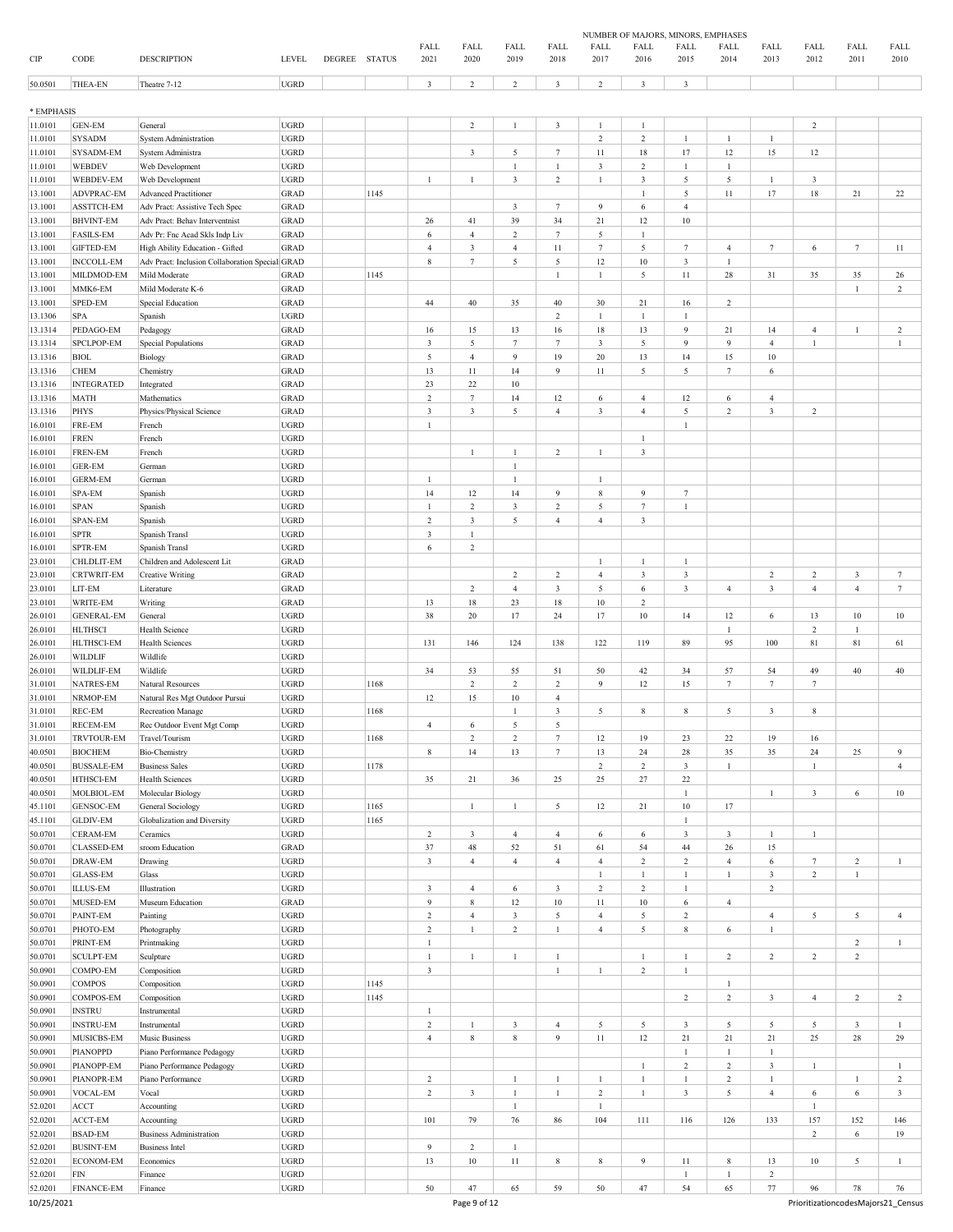|            |                          |                                                   |                            |               |               |                         |                         |                              |                         |                | NUMBER OF MAJORS, MINORS, EMPHASES |                |                  |                 |                 |                |                  |
|------------|--------------------------|---------------------------------------------------|----------------------------|---------------|---------------|-------------------------|-------------------------|------------------------------|-------------------------|----------------|------------------------------------|----------------|------------------|-----------------|-----------------|----------------|------------------|
|            |                          |                                                   |                            |               |               | FALL                    | FALL                    | FALL                         | FALL                    | FALL           | <b>FALL</b>                        | FALL           | FALL             | FALL            | FALL            | FALL           | FALL             |
| CIP        | CODE                     | <b>DESCRIPTION</b>                                | <b>LEVEL</b>               | <b>DEGREE</b> | <b>STATUS</b> | 2021                    | 2020                    | 2019                         | 2018                    | 2017           | 2016                               | 2015           | 2014             | 2013            | 2012            | 2011           | 2010             |
| 50.0501    | THEA-EN                  | Theatre 7-12                                      | UGRD                       |               |               | $\overline{\mathbf{3}}$ | $\overline{c}$          | 2                            | $\overline{\mathbf{3}}$ | $\overline{2}$ | 3                                  | 3              |                  |                 |                 |                |                  |
|            |                          |                                                   |                            |               |               |                         |                         |                              |                         |                |                                    |                |                  |                 |                 |                |                  |
| * EMPHASIS |                          |                                                   |                            |               |               |                         |                         |                              |                         |                |                                    |                |                  |                 |                 |                |                  |
| 11.0101    | <b>GEN-EM</b>            | General                                           | <b>UGRD</b>                |               |               |                         | $\overline{c}$          | $\mathbf{1}$                 | $\mathbf{3}$            | $\mathbf{1}$   | $\mathbf{1}$                       |                |                  |                 | $\sqrt{2}$      |                |                  |
| 11.0101    | <b>SYSADM</b>            |                                                   | <b>UGRD</b>                |               |               |                         |                         |                              |                         | $\,2\,$        | $\sqrt{2}$                         | $\mathbf{1}$   | $\mathbf{1}$     | $\mathbf{1}$    |                 |                |                  |
| 11.0101    | SYSADM-EM                | <b>System Administration</b><br>System Administra | <b>UGRD</b>                |               |               |                         | $\overline{\mathbf{3}}$ | 5                            | $\tau$                  | $11\,$         | 18                                 | 17             | 12               | 15              | $12 \,$         |                |                  |
| 11.0101    | WEBDEV                   |                                                   | <b>UGRD</b>                |               |               |                         |                         | $\mathbf{1}$                 | $\mathbf{1}$            | $\mathfrak{Z}$ | $\overline{c}$                     | $\mathbf{1}$   | $\mathbf{1}$     |                 |                 |                |                  |
|            |                          | Web Development                                   |                            |               |               |                         |                         |                              |                         |                |                                    |                |                  |                 |                 |                |                  |
| 11.0101    | WEBDEV-EM                | Web Development                                   | <b>UGRD</b>                |               |               | $\mathbf{1}$            | $\mathbf{1}$            | $\overline{3}$               | $\sqrt{2}$              | $\mathbf{1}$   | $\mathbf{3}$                       | 5              | $\sqrt{5}$       | $\mathbf{1}$    | $\mathbf{3}$    |                |                  |
| 13.1001    | ADVPRAC-EM               | <b>Advanced Practitioner</b>                      | <b>GRAD</b>                |               | 1145          |                         |                         |                              |                         |                | $\mathbf{1}$                       | $\sqrt{5}$     | $11\,$           | $17\,$          | $18\,$          | 21             | $22\,$           |
| 13.1001    | ASSTTCH-EM               | Adv Pract: Assistive Tech Spec                    | <b>GRAD</b>                |               |               |                         |                         | $\overline{3}$               | $7\phantom{.0}$         | 9              | 6                                  | $\overline{4}$ |                  |                 |                 |                |                  |
| 13.1001    | <b>BHVINT-EM</b>         | Adv Pract: Behav Interventnist                    | <b>GRAD</b>                |               |               | 26                      | 41                      | 39                           | 34                      | 21             | 12                                 | $10\,$         |                  |                 |                 |                |                  |
| 13.1001    | <b>FASILS-EM</b>         | Adv Pr: Fnc Acad Skls Indp Liv                    | <b>GRAD</b>                |               |               | 6                       | $\overline{4}$          | $\overline{2}$               | $7\phantom{.0}$         | 5              | $\mathbf{1}$                       |                |                  |                 |                 |                |                  |
| 13.1001    | <b>GIFTED-EM</b>         | High Ability Education - Gifted                   | <b>GRAD</b>                |               |               | $\overline{4}$          | $\mathbf{3}$            | $\overline{4}$               | 11                      | $\tau$         | 5                                  | $\tau$         | $\overline{4}$   | $7\phantom{.0}$ | 6               | $\tau$         | $11\,$           |
| 13.1001    | <b>INCCOLL-EM</b>        | Adv Pract: Inclusion Collaboration Special GRAD   |                            |               |               | $8\phantom{1}$          | $7\phantom{.0}$         | 5                            | $\sqrt{5}$              | 12             | $10\,$                             | $\mathbf{3}$   | $\mathbf{1}$     |                 |                 |                |                  |
| 13.1001    | MILDMOD-EM               | Mild Moderate                                     | <b>GRAD</b>                |               | 1145          |                         |                         |                              | 1                       | 1              | 5                                  | 11             | 28               | 31              | 35              | 35             | 26               |
| 13.1001    | MMK6-EM                  | Mild Moderate K-6                                 | <b>GRAD</b>                |               |               |                         |                         |                              |                         |                |                                    |                |                  |                 |                 | $\mathbf{1}$   | $\overline{c}$   |
| 13.1001    | SPED-EM                  | <b>Special Education</b>                          | <b>GRAD</b>                |               |               | 44                      | 40                      | 35                           | 40                      | 30             | 21                                 | 16             | $\overline{c}$   |                 |                 |                |                  |
| 13.1306    | SPA                      | Spanish                                           | <b>UGRD</b>                |               |               |                         |                         |                              | $\sqrt{2}$              | $\mathbf{1}$   | $\mathbf{1}$                       | $\mathbf{1}$   |                  |                 |                 |                |                  |
| 13.1314    | PEDAGO-EM                | Pedagogy                                          | <b>GRAD</b>                |               |               | 16                      | 15                      | 13                           | 16                      | 18             | 13                                 | 9              | 21               | 14              | $\overline{4}$  | $\mathbf{1}$   | $\overline{c}$   |
| 13.1314    | SPCLPOP-EM               | <b>Special Populations</b>                        | <b>GRAD</b>                |               |               | $\overline{\mathbf{3}}$ | 5                       | $\tau$                       | $\tau$                  | $\mathbf{3}$   | 5                                  | 9              | $\overline{9}$   | $\overline{4}$  | $\mathbf{1}$    |                | $\mathbf{1}$     |
| 13.1316    | <b>BIOL</b>              | Biology                                           | <b>GRAD</b>                |               |               | $\sqrt{5}$              | $\overline{4}$          | 9                            | 19                      | $20\,$         | 13                                 | 14             | 15               | 10              |                 |                |                  |
| 13.1316    | <b>CHEM</b>              | Chemistry                                         | <b>GRAD</b>                |               |               | 13                      | $11\,$                  | 14                           | 9                       | 11             | 5                                  | 5              | $\tau$           | 6               |                 |                |                  |
| 13.1316    | <b>INTEGRATED</b>        | Integrated                                        | <b>GRAD</b>                |               |               | 23                      | 22                      | 10                           |                         |                |                                    |                |                  |                 |                 |                |                  |
| 13.1316    | MATH                     | Mathematics                                       | <b>GRAD</b>                |               |               | $\overline{2}$          | $7\phantom{.0}$         | 14                           | 12                      | 6              | $\overline{4}$                     | 12             | 6                | $\overline{4}$  |                 |                |                  |
| 13.1316    | PHYS                     | Physics/Physical Science                          | <b>GRAD</b>                |               |               | $\sqrt{3}$              | $\mathbf{3}$            | 5                            | $\overline{4}$          | $\mathbf{3}$   | $\overline{4}$                     | 5              | $\boldsymbol{2}$ | $\mathbf{3}$    | $\overline{c}$  |                |                  |
| 16.0101    | FRE-EM                   | French                                            | <b>UGRD</b>                |               |               | $\mathbf{1}$            |                         |                              |                         |                |                                    | $\mathbf{1}$   |                  |                 |                 |                |                  |
| 16.0101    | <b>FREN</b>              | French                                            | <b>UGRD</b>                |               |               |                         |                         |                              |                         |                | $\mathbf{1}$                       |                |                  |                 |                 |                |                  |
|            |                          |                                                   |                            |               |               |                         |                         |                              |                         |                |                                    |                |                  |                 |                 |                |                  |
| 16.0101    | FREN-EM<br><b>GER-EM</b> | French                                            | <b>UGRD</b><br><b>UGRD</b> |               |               |                         | $\mathbf{1}$            | $\mathbf{1}$<br>$\mathbf{1}$ | $\sqrt{2}$              | $\mathbf{1}$   | $\sqrt{3}$                         |                |                  |                 |                 |                |                  |
| 16.0101    |                          | German                                            |                            |               |               |                         |                         |                              |                         |                |                                    |                |                  |                 |                 |                |                  |
| 16.0101    | <b>GERM-EM</b>           | German                                            | <b>UGRD</b>                |               |               | 1                       |                         | $\mathbf{1}$                 |                         | $\mathbf{1}$   |                                    |                |                  |                 |                 |                |                  |
| 16.0101    | SPA-EM                   | Spanish                                           | <b>UGRD</b>                |               |               | 14                      | 12                      | 14                           | 9                       | $\,$ 8 $\,$    | 9                                  | $\tau$         |                  |                 |                 |                |                  |
| 16.0101    | <b>SPAN</b>              | Spanish                                           | <b>UGRD</b>                |               |               | $\mathbf{1}$            | $\sqrt{2}$              | $\mathbf{3}$                 | $\sqrt{2}$              | 5              | $\tau$                             | $\mathbf{1}$   |                  |                 |                 |                |                  |
| 16.0101    | SPAN-EM                  | Spanish                                           | <b>UGRD</b>                |               |               | $\overline{2}$          | $\mathbf{3}$            | 5                            | $\overline{4}$          | $\overline{4}$ | $\sqrt{3}$                         |                |                  |                 |                 |                |                  |
| 16.0101    | <b>SPTR</b>              | Spanish Transl                                    | <b>UGRD</b>                |               |               | $\mathfrak{Z}$          | $\mathbf{1}$            |                              |                         |                |                                    |                |                  |                 |                 |                |                  |
| 16.0101    | SPTR-EM                  | Spanish Transl                                    | <b>UGRD</b>                |               |               | 6                       | $\overline{c}$          |                              |                         |                |                                    |                |                  |                 |                 |                |                  |
| 23.0101    | CHLDLIT-EM               | Children and Adolescent Lit                       | GRAD                       |               |               |                         |                         |                              |                         | $\mathbf{1}$   | $\mathbf{1}$                       | $\mathbf{1}$   |                  |                 |                 |                |                  |
| 23.0101    | CRTWRIT-EM               | <b>Creative Writing</b>                           | <b>GRAD</b>                |               |               |                         |                         | 2                            | $\overline{c}$          | $\overline{4}$ | 3                                  | $\mathbf{3}$   |                  | $\sqrt{2}$      | $\sqrt{2}$      | 3              | $7\phantom{.0}$  |
| 23.0101    | LIT-EM                   | Literature                                        | <b>GRAD</b>                |               |               |                         | $\overline{c}$          | $\overline{4}$               | $\overline{3}$          | 5              | 6                                  | $\mathbf{3}$   | $\overline{4}$   | $\mathbf{3}$    | $\overline{4}$  | $\overline{4}$ | $7\phantom{.0}$  |
| 23.0101    | WRITE-EM                 | Writing                                           | <b>GRAD</b>                |               |               | 13                      | 18                      | 23                           | 18                      | $10\,$         | $\overline{2}$                     |                |                  |                 |                 |                |                  |
| 26.0101    | <b>GENERAL-EM</b>        | General                                           | <b>UGRD</b>                |               |               | 38                      | $20\,$                  | 17                           | 24                      | 17             | $10\,$                             | 14             | 12               | 6               | 13              | $10\,$         | 10               |
| 26.0101    | <b>HLTHSCI</b>           | Health Science                                    | <b>UGRD</b>                |               |               |                         |                         |                              |                         |                |                                    |                | $\mathbf{1}$     |                 | $\sqrt{2}$      | $\mathbf{1}$   |                  |
| 26.0101    | HLTHSCI-EM               | <b>Health Sciences</b>                            | <b>UGRD</b>                |               |               | 131                     | 146                     | 124                          | 138                     | 122            | 119                                | 89             | 95               | 100             | 81              | 81             | 61               |
| 26.0101    | <b>WILDLIF</b>           | Wildlife                                          | <b>UGRD</b>                |               |               |                         |                         |                              |                         |                |                                    |                |                  |                 |                 |                |                  |
| 26.0101    | WILDLIF-EM               | Wildlife                                          | <b>UGRD</b>                |               |               | 34                      | 53                      | 55                           | 51                      | 50             | 42                                 | 34             | 57               | 54              | 49              | 40             | 40               |
| 31.0101    | <b>NATRES-EM</b>         | Natural Resources                                 | <b>UGRD</b>                |               | 1168          |                         | $\sqrt{2}$              | 2                            | $\sqrt{2}$              | 9              | 12                                 | 15             | $7\phantom{.0}$  | $7\phantom{.0}$ | $\tau$          |                |                  |
| 31.0101    | NRMOP-EM                 | Natural Res Mgt Outdoor Pursui                    | <b>UGRD</b>                |               |               | 12                      | 15                      | $10\,$                       | $\sqrt{4}$              |                |                                    |                |                  |                 |                 |                |                  |
| 31.0101    | REC-EM                   | <b>Recreation Manage</b>                          | <b>UGRD</b>                |               | 1168          |                         |                         | $\mathbf{1}$                 | $\overline{\mathbf{3}}$ | 5              | 8                                  | $\,$ 8 $\,$    | 5                | $\mathbf{3}$    | $\,$ 8 $\,$     |                |                  |
| 31.0101    | <b>RECEM-EM</b>          | Rec Outdoor Event Mgt Comp                        | <b>UGRD</b>                |               |               | $\overline{4}$          | 6                       | 5                            | 5                       |                |                                    |                |                  |                 |                 |                |                  |
| 31.0101    | TRVTOUR-EM               | Travel/Tourism                                    | <b>UGRD</b>                |               | 1168          |                         | $\sqrt{2}$              | $\sqrt{2}$                   | $7\phantom{.0}$         | 12             | 19                                 | 23             | $22\,$           | 19              | 16              |                |                  |
| 40.0501    | <b>BIOCHEM</b>           | Bio-Chemistry                                     | <b>UGRD</b>                |               |               | $8\phantom{1}$          | 14                      | 13                           | $\tau$                  | 13             | 24                                 | $\sqrt{28}$    | 35               | 35              | $24\,$          | 25             | 9                |
| 40.0501    | <b>BUSSALE-EM</b>        | <b>Business Sales</b>                             | <b>UGRD</b>                |               | 1178          |                         |                         |                              |                         | $\overline{2}$ | $\sqrt{2}$                         | $\mathbf{3}$   | $\mathbf{1}$     |                 | $\mathbf{1}$    |                | $\overline{4}$   |
| 40.0501    | HTHSCI-EM                | <b>Health Sciences</b>                            | <b>UGRD</b>                |               |               | 35                      | 21                      | 36                           | 25                      | 25             | 27                                 | 22             |                  |                 |                 |                |                  |
|            |                          |                                                   | <b>UGRD</b>                |               |               |                         |                         |                              |                         |                |                                    | $\mathbf{1}$   |                  | $\mathbf{1}$    |                 |                |                  |
| 40.0501    | MOLBIOL-EM               | Molecular Biology                                 |                            |               |               |                         |                         |                              |                         |                |                                    |                |                  |                 | $\mathbf{3}$    | 6              | 10 <sup>°</sup>  |
| 45.1101    | GENSOC-EM                | General Sociology                                 | <b>UGRD</b>                |               | 1165          |                         | $\mathbf{1}$            | 1                            | $\sqrt{5}$              | 12             | 21                                 | $10\,$         | 17               |                 |                 |                |                  |
| 45.1101    | <b>GLDIV-EM</b>          | Globalization and Diversity                       | $_{\rm UGRD}$              |               | 1165          |                         |                         |                              |                         |                |                                    | $\mathbf{1}$   |                  |                 |                 |                |                  |
| 50.0701    | <b>CERAM-EM</b>          | Ceramics                                          | <b>UGRD</b>                |               |               | $\sqrt{2}$              | $\overline{\mathbf{3}}$ | $\overline{4}$               | $\overline{4}$          | 6              | 6                                  | $\mathbf{3}$   | $\mathbf{3}$     | $\mathbf{1}$    | $\mathbf{1}$    |                |                  |
| 50.0701    | <b>CLASSED-EM</b>        | sroom Education                                   | GRAD                       |               |               | 37                      | 48                      | 52                           | 51                      | 61             | 54                                 | 44             | 26               | 15              |                 |                |                  |
| 50.0701    | DRAW-EM                  | Drawing                                           | <b>UGRD</b>                |               |               | $\mathfrak z$           | $\overline{4}$          | $\overline{4}$               | $\overline{4}$          | $\overline{4}$ | $\overline{c}$                     | $\sqrt{2}$     | $\overline{4}$   | 6               | $7\phantom{.0}$ | $\sqrt{2}$     | $\mathbf{1}$     |
| 50.0701    | <b>GLASS-EM</b>          | Glass                                             | <b>UGRD</b>                |               |               |                         |                         |                              |                         | $\,1$          | $\mathbf{1}$                       | $\mathbf{1}$   | $\mathbf{1}$     | $\mathbf{3}$    | $\overline{c}$  | $\,1$          |                  |
| 50.0701    | <b>ILLUS-EM</b>          | Illustration                                      | <b>UGRD</b>                |               |               | $\mathfrak{Z}$          | $\overline{4}$          | 6                            | $\overline{\mathbf{3}}$ | $\,2\,$        | $\sqrt{2}$                         | $\mathbf{1}$   |                  | $\overline{2}$  |                 |                |                  |
| 50.0701    | MUSED-EM                 | Museum Education                                  | <b>GRAD</b>                |               |               | 9                       | $\,$ 8 $\,$             | 12                           | $10\,$                  | $11\,$         | $10\,$                             | $\sqrt{6}$     | $\overline{4}$   |                 |                 |                |                  |
| 50.0701    | PAINT-EM                 | Painting                                          | <b>UGRD</b>                |               |               | $\sqrt{2}$              | $\overline{4}$          | $\mathbf{3}$                 | $\sqrt{5}$              | $\overline{4}$ | 5                                  | $\sqrt{2}$     |                  | $\overline{4}$  | 5               | 5              | $\overline{4}$   |
| 50.0701    | PHOTO-EM                 | Photography                                       | <b>UGRD</b>                |               |               | $\overline{2}$          | $\mathbf{1}$            | $\overline{2}$               | $\mathbf{1}$            | $\overline{4}$ | 5                                  | $\,$ 8 $\,$    | 6                | $\mathbf{1}$    |                 |                |                  |
| 50.0701    | PRINT-EM                 | Printmaking                                       | <b>UGRD</b>                |               |               | $\mathbf{1}$            |                         |                              |                         |                |                                    |                |                  |                 |                 | $\overline{c}$ | $\mathbf{1}$     |
| 50.0701    | <b>SCULPT-EM</b>         | Sculpture                                         | <b>UGRD</b>                |               |               | 1                       | $\mathbf{1}$            | $\mathbf{1}$                 | $\mathbf{1}$            |                | $\mathbf{1}$                       | $\mathbf{1}$   | $\overline{c}$   | $\overline{c}$  | $\overline{c}$  | $\sqrt{2}$     |                  |
| 50.0901    | COMPO-EM                 | Composition                                       | $_{\rm UGRD}$              |               |               | $\sqrt{3}$              |                         |                              | $\,1\,$                 | $1\,$          | $\sqrt{2}$                         | $\,1\,$        |                  |                 |                 |                |                  |
| 50.0901    | <b>COMPOS</b>            | Composition                                       | <b>UGRD</b>                |               | 1145          |                         |                         |                              |                         |                |                                    |                | $\mathbf{1}$     |                 |                 |                |                  |
| 50.0901    | COMPOS-EM                | Composition                                       | <b>UGRD</b>                |               | 1145          |                         |                         |                              |                         |                |                                    | $\sqrt{2}$     | $\sqrt{2}$       | $\mathbf{3}$    | $\overline{4}$  | $\sqrt{2}$     | $\boldsymbol{2}$ |
| 50.0901    | <b>INSTRU</b>            | Instrumental                                      | <b>UGRD</b>                |               |               | $\mathbf{1}$            |                         |                              |                         |                |                                    |                |                  |                 |                 |                |                  |
| 50.0901    | <b>INSTRU-EM</b>         | Instrumental                                      | <b>UGRD</b>                |               |               | $\sqrt{2}$              | $\mathbf{1}$            | $\mathbf{3}$                 | $\overline{4}$          | 5              | 5                                  | $\mathbf{3}$   | 5                | 5               | 5               | $\mathbf{3}$   | 1                |
| 50.0901    | MUSICBS-EM               | <b>Music Business</b>                             | <b>UGRD</b>                |               |               | $\overline{4}$          | $\,$ 8 $\,$             | $\,$ 8 $\,$                  | 9                       | $11\,$         | $12\,$                             | 21             | 21               | 21              | 25              | 28             | 29               |
| 50.0901    | <b>PIANOPPD</b>          | Piano Performance Pedagogy                        | <b>UGRD</b>                |               |               |                         |                         |                              |                         |                |                                    | $\mathbf{1}$   | $\mathbf{1}$     | $\mathbf{1}$    |                 |                |                  |
| 50.0901    | PIANOPP-EM               | Piano Performance Pedagogy                        | $_{\rm UGRD}$              |               |               |                         |                         |                              |                         |                | $\mathbf{1}$                       | $\sqrt{2}$     | $\overline{c}$   | $\mathbf{3}$    | $\mathbf{1}$    |                | $\mathbf{1}$     |
| 50.0901    | PIANOPR-EM               | Piano Performance                                 | <b>UGRD</b>                |               |               | $\sqrt{2}$              |                         | $\mathbf{1}$                 | $\mathbf{1}$            | $\mathbf{1}$   | $\mathbf{1}$                       | $\mathbf{1}$   | $\sqrt{2}$       | $\mathbf{1}$    |                 | $\mathbf{1}$   | $\overline{c}$   |
| 50.0901    | VOCAL-EM                 | Vocal                                             | <b>UGRD</b>                |               |               | $\sqrt{2}$              | $\mathbf{3}$            | $\mathbf{1}$                 | $\mathbf{1}$            | $\overline{c}$ | $\mathbf{1}$                       | $\mathbf{3}$   | 5                | $\overline{4}$  | 6               | 6              | 3                |
| 52.0201    | ACCT                     | Accounting                                        | <b>UGRD</b>                |               |               |                         |                         | $\mathbf{1}$                 |                         | $\mathbf{1}$   |                                    |                |                  |                 | $\overline{1}$  |                |                  |
| 52.0201    | ACCT-EM                  | Accounting                                        | $_{\rm UGRD}$              |               |               | 101                     | 79                      | 76                           | 86                      | 104            | 111                                | 116            | 126              | 133             | 157             | 152            | 146              |
| 52.0201    | <b>BSAD-EM</b>           | <b>Business Administration</b>                    | <b>UGRD</b>                |               |               |                         |                         |                              |                         |                |                                    |                |                  |                 | $\overline{c}$  | 6              | 19               |
| 52.0201    | <b>BUSINT-EM</b>         | <b>Business Intel</b>                             | <b>UGRD</b>                |               |               | 9                       | $\sqrt{2}$              | $\mathbf{1}$                 |                         |                |                                    |                |                  |                 |                 |                |                  |
| 52.0201    | ECONOM-EM                | Economics                                         | <b>UGRD</b>                |               |               | 13                      | $10\,$                  | 11                           | $\,$ 8 $\,$             | $\,$ 8 $\,$    | 9                                  | 11             | $\,$ 8 $\,$      | 13              | 10              | 5              | $\mathbf{1}$     |
| 52.0201    | FIN                      | Finance                                           | <b>UGRD</b>                |               |               |                         |                         |                              |                         |                |                                    | $\mathbf{1}$   | $\mathbf{1}$     | $\sqrt{2}$      |                 |                |                  |
|            | FINANCE-EM               | Finance                                           | <b>UGRD</b>                |               |               | 50                      | 47                      | 65                           | 59                      | 50             | 47                                 | 54             | 65               | 77              | 96              | 78             | 76               |
| 52.0201    |                          |                                                   |                            |               |               |                         |                         |                              |                         |                |                                    |                |                  |                 |                 |                |                  |

10/25/2021 Page 9 of 12 PrioritizationcodesMajors21\_Census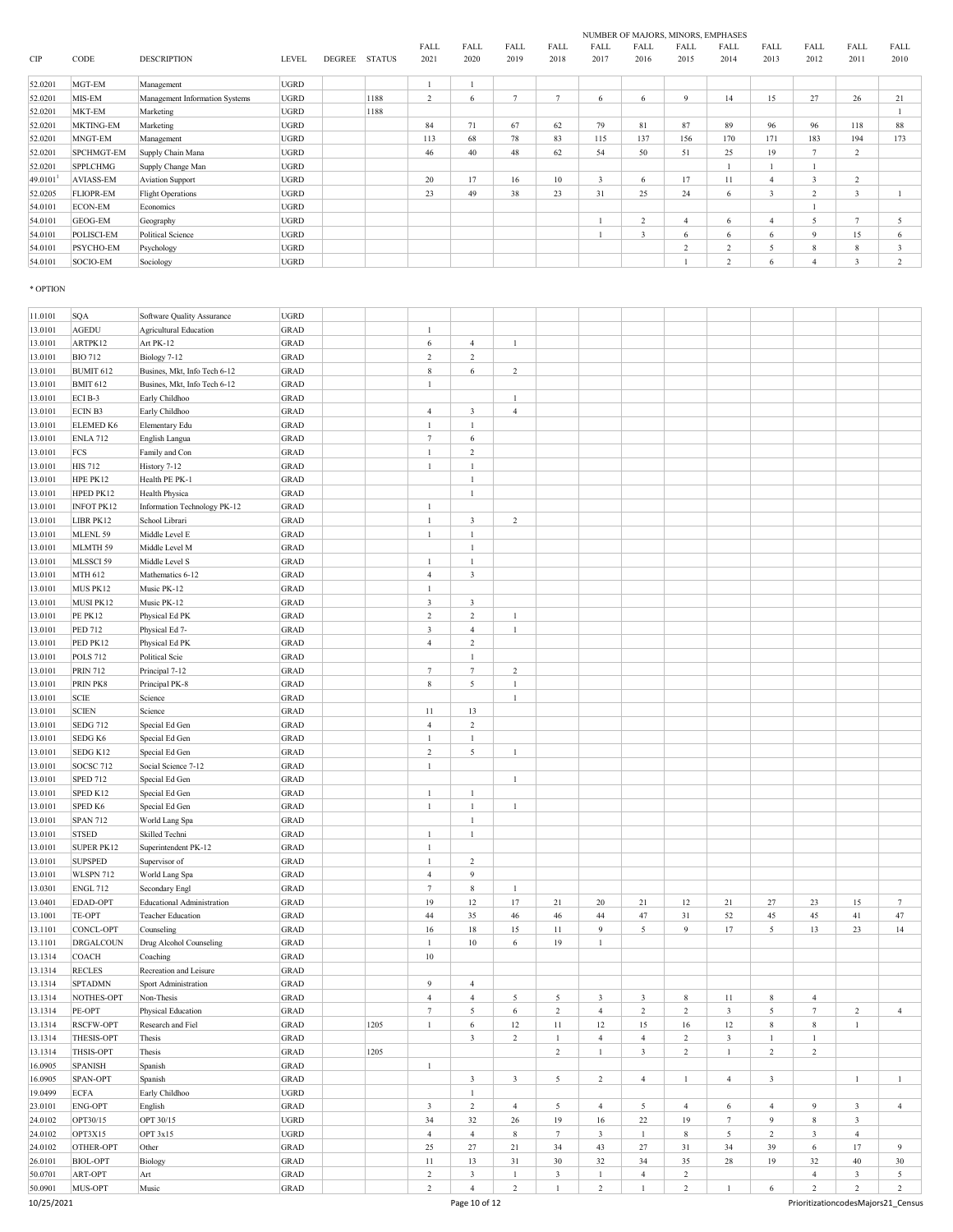|         |                  |                                | NUMBER OF MAJORS, MINORS, EMPHASES |        |               |                |      |                          |               |      |        |                |               |              |                         |                |                         |  |
|---------|------------------|--------------------------------|------------------------------------|--------|---------------|----------------|------|--------------------------|---------------|------|--------|----------------|---------------|--------------|-------------------------|----------------|-------------------------|--|
|         |                  |                                |                                    |        |               | <b>FALL</b>    | FALL | FALL                     | FALL          | FALL | FALL   | FALL           | FALL          | FALL         | FALL                    | <b>FALL</b>    | <b>FALL</b>             |  |
| CIP     | CODE             | <b>DESCRIPTION</b>             | <b>LEVEL</b>                       | DEGREE | <b>STATUS</b> | 2021           | 2020 | 2019                     | 2018          | 2017 | 2016   | 2015           | 2014          | 2013         | 2012                    | 2011           | 2010                    |  |
| 52.0201 | MGT-EM           | Management                     | <b>UGRD</b>                        |        |               |                |      |                          |               |      |        |                |               |              |                         |                |                         |  |
| 52.0201 | MIS-EM           | Management Information Systems | <b>UGRD</b>                        |        | 1188          | $\overline{2}$ | 6    | $\overline{\phantom{a}}$ | $\mathcal{L}$ | 6    | 6      | $\mathbf Q$    | 14            | 15           | 27                      | 26             | 21                      |  |
| 52.0201 | MKT-EM           | Marketing                      | <b>UGRD</b>                        |        | 1188          |                |      |                          |               |      |        |                |               |              |                         |                |                         |  |
| 52.0201 | <b>MKTING-EM</b> | Marketing                      | <b>UGRD</b>                        |        |               | 84             | 71   | 67                       | 62            | 79   | 81     | 87             | 89            | 96           | 96                      | 118            | 88                      |  |
| 52.0201 | MNGT-EM          | Management                     | <b>UGRD</b>                        |        |               | 113            | 68   | 78                       | 83            | 115  | 137    | 156            | 170           | 171          | 183                     | 194            | 173                     |  |
| 52.0201 | SPCHMGT-EM       | Supply Chain Mana              | <b>UGRD</b>                        |        |               | 46             | 40   | 48                       | 62            | 54   | 50     | 51             | 25            | 19           | $\overline{ }$          | $\sim$         |                         |  |
| 52.0201 | <b>SPPLCHMG</b>  | Supply Change Man              | UGRD                               |        |               |                |      |                          |               |      |        |                |               |              |                         |                |                         |  |
| 49.0101 | <b>AVIASS-EM</b> | <b>Aviation Support</b>        | UGRD                               |        |               | 20             | 17   | 16                       | 10            | 3    | 6      | 17             | 11            |              | $\overline{\mathbf{3}}$ | $\sim$         |                         |  |
| 52.0205 | <b>FLIOPR-EM</b> | <b>Flight Operations</b>       | UGRD                               |        |               | 23             | 49   | 38                       | 23            | 31   | 25     | 24             | 6             | $\mathbf{3}$ | $\overline{2}$          | 3              |                         |  |
| 54.0101 | <b>ECON-EM</b>   | Economics                      | UGRD                               |        |               |                |      |                          |               |      |        |                |               |              |                         |                |                         |  |
| 54.0101 | GEOG-EM          | Geography                      | <b>UGRD</b>                        |        |               |                |      |                          |               |      | $\sim$ | $\overline{4}$ | 6             |              | 5                       | $\overline{ }$ | 5                       |  |
| 54.0101 | POLISCI-EM       | Political Science              | <b>UGRD</b>                        |        |               |                |      |                          |               |      | 3      | 6              | 6             | 6            | 9                       | 15             | 6                       |  |
| 54.0101 | <b>PSYCHO-EM</b> | Psychology                     | <b>UGRD</b>                        |        |               |                |      |                          |               |      |        | 2              | $\sim$        | 5            | 8                       | 8              | $\overline{\mathbf{3}}$ |  |
| 54.0101 | SOCIO-EM         | Sociology                      | <b>UGRD</b>                        |        |               |                |      |                          |               |      |        |                | $\mathcal{L}$ | 6            | $\overline{4}$          | 3              | 2                       |  |

# \* OPTION

| 11.0101    | SQA                  | Software Quality Assurance        | <b>UGRD</b>                |      |                  |                         |                         |                         |                |                |                |                 |                |                         |                |                                    |
|------------|----------------------|-----------------------------------|----------------------------|------|------------------|-------------------------|-------------------------|-------------------------|----------------|----------------|----------------|-----------------|----------------|-------------------------|----------------|------------------------------------|
| 13.0101    | <b>AGEDU</b>         | <b>Agricultural Education</b>     | <b>GRAD</b>                |      | $\mathbf{1}$     |                         |                         |                         |                |                |                |                 |                |                         |                |                                    |
| 13.0101    | ARTPK12              | Art PK-12                         | <b>GRAD</b>                |      | 6                | $\overline{4}$          | -1                      |                         |                |                |                |                 |                |                         |                |                                    |
| 13.0101    | <b>BIO 712</b>       | Biology 7-12                      | <b>GRAD</b>                |      | $\,2$            | $\overline{c}$          |                         |                         |                |                |                |                 |                |                         |                |                                    |
| 13.0101    | BUMIT 612            | Busines, Mkt, Info Tech 6-12      | <b>GRAD</b>                |      | $\bf 8$          | 6                       | $\sqrt{2}$              |                         |                |                |                |                 |                |                         |                |                                    |
| 13.0101    | <b>BMIT 612</b>      | Busines, Mkt, Info Tech 6-12      | <b>GRAD</b>                |      | $\mathbf{1}$     |                         |                         |                         |                |                |                |                 |                |                         |                |                                    |
| 13.0101    | ECI B-3              | Early Childhoo                    | <b>GRAD</b>                |      |                  |                         | $\mathbf{1}$            |                         |                |                |                |                 |                |                         |                |                                    |
| 13.0101    | ECIN B3              | Early Childhoo                    | <b>GRAD</b>                |      | $\overline{4}$   | $\mathbf{3}$            | $\overline{4}$          |                         |                |                |                |                 |                |                         |                |                                    |
| 13.0101    | ELEMED K6            | Elementary Edu                    | <b>GRAD</b>                |      | $\mathbf{1}$     | $\mathbf{1}$            |                         |                         |                |                |                |                 |                |                         |                |                                    |
| 13.0101    | <b>ENLA 712</b>      | English Langua                    | <b>GRAD</b>                |      | $7\phantom{.0}$  | $\sqrt{6}$              |                         |                         |                |                |                |                 |                |                         |                |                                    |
| 13.0101    | FCS                  | Family and Con                    | <b>GRAD</b>                |      | $\mathbf{1}$     | $\sqrt{2}$              |                         |                         |                |                |                |                 |                |                         |                |                                    |
| 13.0101    | <b>HIS 712</b>       | History 7-12                      | <b>GRAD</b>                |      | $\mathbf{1}$     | $\mathbf{1}$            |                         |                         |                |                |                |                 |                |                         |                |                                    |
| 13.0101    | HPE PK12             | Health PE PK-1                    | <b>GRAD</b>                |      |                  | 1                       |                         |                         |                |                |                |                 |                |                         |                |                                    |
| 13.0101    | HPED PK12            | Health Physica                    | <b>GRAD</b>                |      |                  | $\mathbf{1}$            |                         |                         |                |                |                |                 |                |                         |                |                                    |
| 13.0101    | <b>INFOT PK12</b>    | Information Technology PK-12      | <b>GRAD</b>                |      | 1                |                         |                         |                         |                |                |                |                 |                |                         |                |                                    |
| 13.0101    | LIBR PK12            | School Librari                    | <b>GRAD</b>                |      | $\mathbf{1}$     | $\mathbf{3}$            | $\overline{c}$          |                         |                |                |                |                 |                |                         |                |                                    |
|            | MLENL 59             | Middle Level E                    | <b>GRAD</b>                |      | $\mathbf{1}$     | $\mathbf{1}$            |                         |                         |                |                |                |                 |                |                         |                |                                    |
| 13.0101    |                      |                                   |                            |      |                  |                         |                         |                         |                |                |                |                 |                |                         |                |                                    |
| 13.0101    | MLMTH 59             | Middle Level M                    | GRAD                       |      |                  | $\mathbf{1}$            |                         |                         |                |                |                |                 |                |                         |                |                                    |
| 13.0101    | MLSSCI 59            | Middle Level S                    | GRAD                       |      | $\mathbf{1}$     | $\mathbf{1}$            |                         |                         |                |                |                |                 |                |                         |                |                                    |
| 13.0101    | MTH 612              | Mathematics 6-12                  | <b>GRAD</b>                |      | $\overline{4}$   | $\mathfrak{Z}$          |                         |                         |                |                |                |                 |                |                         |                |                                    |
| 13.0101    | MUS PK12             | Music PK-12                       | <b>GRAD</b>                |      | $\mathbf{1}$     |                         |                         |                         |                |                |                |                 |                |                         |                |                                    |
| 13.0101    | MUSI PK12            | Music PK-12                       | <b>GRAD</b>                |      | $\mathfrak{Z}$   | $\mathbf{3}$            |                         |                         |                |                |                |                 |                |                         |                |                                    |
| 13.0101    | <b>PE PK12</b>       | Physical Ed PK                    | GRAD                       |      | $\boldsymbol{2}$ | $\sqrt{2}$              | $\mathbf{1}$            |                         |                |                |                |                 |                |                         |                |                                    |
| 13.0101    | PED 712              | Physical Ed 7-                    | <b>GRAD</b>                |      | $\mathbf{3}$     | $\overline{4}$          | $\mathbf{1}$            |                         |                |                |                |                 |                |                         |                |                                    |
| 13.0101    | PED PK12             | Physical Ed PK                    | GRAD                       |      | $\overline{4}$   | $\sqrt{2}$              |                         |                         |                |                |                |                 |                |                         |                |                                    |
| 13.0101    | <b>POLS 712</b>      | Political Scie                    | <b>GRAD</b>                |      |                  | $\mathbf{1}$            |                         |                         |                |                |                |                 |                |                         |                |                                    |
| 13.0101    | <b>PRIN 712</b>      | Principal 7-12                    | <b>GRAD</b>                |      | $7\phantom{.0}$  | $\tau$                  | $\overline{2}$          |                         |                |                |                |                 |                |                         |                |                                    |
| 13.0101    | PRIN PK8             | Principal PK-8                    | <b>GRAD</b>                |      | 8                | 5                       | 1                       |                         |                |                |                |                 |                |                         |                |                                    |
| 13.0101    | <b>SCIE</b>          | Science                           | <b>GRAD</b>                |      |                  |                         | $\mathbf{1}$            |                         |                |                |                |                 |                |                         |                |                                    |
| 13.0101    | <b>SCIEN</b>         | Science                           | <b>GRAD</b>                |      | 11               | 13                      |                         |                         |                |                |                |                 |                |                         |                |                                    |
| 13.0101    | <b>SEDG 712</b>      | Special Ed Gen                    | <b>GRAD</b>                |      | $\overline{4}$   | $\sqrt{2}$              |                         |                         |                |                |                |                 |                |                         |                |                                    |
| 13.0101    | SEDG <sub>K6</sub>   | Special Ed Gen                    | <b>GRAD</b>                |      | $\mathbf{1}$     | $\mathbf{1}$            |                         |                         |                |                |                |                 |                |                         |                |                                    |
| 13.0101    | SEDG K12             | Special Ed Gen                    | <b>GRAD</b>                |      | $\boldsymbol{2}$ | 5                       | $\mathbf{1}$            |                         |                |                |                |                 |                |                         |                |                                    |
| 13.0101    | SOCSC <sub>712</sub> | Social Science 7-12               | <b>GRAD</b>                |      | $\mathbf{1}$     |                         |                         |                         |                |                |                |                 |                |                         |                |                                    |
| 13.0101    | <b>SPED 712</b>      | Special Ed Gen                    | <b>GRAD</b>                |      |                  |                         | $\mathbf{1}$            |                         |                |                |                |                 |                |                         |                |                                    |
| 13.0101    | SPED K12             | Special Ed Gen                    | GRAD                       |      | $\mathbf{1}$     | $\mathbf{1}$            |                         |                         |                |                |                |                 |                |                         |                |                                    |
| 13.0101    | SPED K6              | Special Ed Gen                    | <b>GRAD</b>                |      | $\mathbf{1}$     | $\mathbf{1}$            | $\mathbf{1}$            |                         |                |                |                |                 |                |                         |                |                                    |
| 13.0101    | <b>SPAN 712</b>      | World Lang Spa                    | <b>GRAD</b>                |      |                  | $\mathbf{1}$            |                         |                         |                |                |                |                 |                |                         |                |                                    |
| 13.0101    | <b>STSED</b>         | Skilled Techni                    | <b>GRAD</b>                |      | $\mathbf{1}$     | $\mathbf{1}$            |                         |                         |                |                |                |                 |                |                         |                |                                    |
| 13.0101    | SUPER PK12           | Superintendent PK-12              | <b>GRAD</b>                |      | $\mathbf{1}$     |                         |                         |                         |                |                |                |                 |                |                         |                |                                    |
| 13.0101    | <b>SUPSPED</b>       | Supervisor of                     | <b>GRAD</b>                |      | $\mathbf{1}$     | $\sqrt{2}$              |                         |                         |                |                |                |                 |                |                         |                |                                    |
| 13.0101    | <b>WLSPN 712</b>     | World Lang Spa                    | <b>GRAD</b>                |      | $\overline{4}$   | 9                       |                         |                         |                |                |                |                 |                |                         |                |                                    |
| 13.0301    | <b>ENGL 712</b>      | Secondary Engl                    | <b>GRAD</b>                |      | $\overline{7}$   | $\,$ 8 $\,$             | $\mathbf{1}$            |                         |                |                |                |                 |                |                         |                |                                    |
| 13.0401    | EDAD-OPT             | <b>Educational Administration</b> | <b>GRAD</b>                |      | 19               | 12                      | 17                      | 21                      | 20             | 21             | $12 \,$        | $21\,$          | 27             | 23                      | 15             | $\tau$                             |
| 13.1001    | TE-OPT               | <b>Teacher Education</b>          | <b>GRAD</b>                |      | 44               | 35                      | 46                      | 46                      | 44             | 47             | 31             | 52              | 45             | 45                      | 41             | 47                                 |
| 13.1101    | CONCL-OPT            | Counseling                        | <b>GRAD</b>                |      | 16               | 18                      | 15                      | $11\,$                  | 9              | 5              | 9              | 17              | 5              | 13                      | $23\,$         | 14                                 |
| 13.1101    | <b>DRGALCOUN</b>     | Drug Alcohol Counseling           | <b>GRAD</b>                |      | $\mathbf{1}$     | $10\,$                  | 6                       | 19                      | $1\,$          |                |                |                 |                |                         |                |                                    |
| 13.1314    | COACH                | Coaching                          | <b>GRAD</b>                |      | 10               |                         |                         |                         |                |                |                |                 |                |                         |                |                                    |
| 13.1314    | <b>RECLES</b>        | Recreation and Leisure            | <b>GRAD</b>                |      |                  |                         |                         |                         |                |                |                |                 |                |                         |                |                                    |
|            | <b>SPTADMN</b>       |                                   |                            |      | 9                | $\overline{4}$          |                         |                         |                |                |                |                 |                |                         |                |                                    |
| 13.1314    |                      | Sport Administration              | <b>GRAD</b><br><b>GRAD</b> |      | $\overline{4}$   | $\overline{4}$          |                         |                         |                |                | 8              |                 | 8              | $\overline{4}$          |                |                                    |
| 13.1314    | NOTHES-OPT           | Non-Thesis                        |                            |      |                  |                         | 5                       | 5                       | 3              | 3              |                | 11              |                |                         |                |                                    |
| 13.1314    | PE-OPT               | Physical Education                | <b>GRAD</b>                |      |                  | 5                       | 6                       | 2                       | $\overline{4}$ | $\overline{2}$ | 2              | 3               | 5              |                         | 2              | 4                                  |
| 13.1314    | <b>RSCFW-OPT</b>     | Research and Fiel                 | GRAD                       | 1205 | $\mathbf{1}$     | 6                       | 12                      | $11\,$                  | 12             | 15             | 16             | 12              | $\,$ 8 $\,$    | $\,$ 8 $\,$             | $\mathbf{1}$   |                                    |
| 13.1314    | THESIS-OPT           | Thesis                            | GRAD                       |      |                  | $\mathbf{3}$            | $\overline{2}$          | $\mathbf{1}$            | $\overline{4}$ | $\overline{4}$ | $\overline{c}$ | $\mathbf{3}$    | $\mathbf{1}$   | $\mathbf{1}$            |                |                                    |
| 13.1314    | <b>THSIS-OPT</b>     | Thesis                            | GRAD                       | 1205 |                  |                         |                         | $\,2\,$                 | $\mathbf{1}$   | $\mathbf{3}$   | $\overline{2}$ | $\,1\,$         | $\overline{c}$ | $\sqrt{2}$              |                |                                    |
| 16.0905    | <b>SPANISH</b>       | Spanish                           | GRAD                       |      | $\mathbf{1}$     |                         |                         |                         |                |                |                |                 |                |                         |                |                                    |
| 16.0905    | SPAN-OPT             | Spanish                           | $_{\rm GRAD}$              |      |                  | $\mathbf{3}$            | $\overline{\mathbf{3}}$ | $\mathfrak{s}$          | $\overline{c}$ | $\overline{4}$ | $\mathbf{1}$   | $\overline{4}$  | $\mathbf{3}$   |                         | $\mathbf{1}$   | $\mathbf{1}$                       |
| 19.0499    | <b>ECFA</b>          | Early Childhoo                    | <b>UGRD</b>                |      |                  | $\mathbf{1}$            |                         |                         |                |                |                |                 |                |                         |                |                                    |
| 23.0101    | <b>ENG-OPT</b>       | English                           | GRAD                       |      | $\mathbf{3}$     | $\overline{c}$          | $\overline{4}$          | 5                       | $\overline{4}$ | 5              | $\overline{4}$ | 6               | $\overline{4}$ | 9                       | $\mathbf{3}$   | $\overline{4}$                     |
| 24.0102    | OPT30/15             | OPT 30/15                         | <b>UGRD</b>                |      | 34               | 32                      | $26\,$                  | 19                      | 16             | 22             | 19             | $7\phantom{.0}$ | 9              | $\,$ 8 $\,$             | $\mathbf{3}$   |                                    |
| 24.0102    | OPT3X15              | OPT 3x15                          | <b>UGRD</b>                |      | $\overline{4}$   | $\overline{4}$          | $\,$ 8 $\,$             | $7\phantom{.0}$         | $\mathbf{3}$   | $\mathbf{1}$   | $\,$ 8 $\,$    | $\sqrt{5}$      | $\overline{c}$ | $\overline{\mathbf{3}}$ | $\overline{4}$ |                                    |
| 24.0102    | OTHER-OPT            | Other                             | GRAD                       |      | 25               | 27                      | $21\,$                  | 34                      | 43             | 27             | 31             | 34              | 39             | $\epsilon$              | 17             | 9                                  |
| 26.0101    | <b>BIOL-OPT</b>      | Biology                           | GRAD                       |      | 11               | 13                      | 31                      | 30                      | 32             | 34             | 35             | 28              | 19             | 32                      | 40             | 30                                 |
| 50.0701    | ART-OPT              | Art                               | GRAD                       |      | $\boldsymbol{2}$ | $\overline{\mathbf{3}}$ | $\mathbf{1}$            | $\overline{\mathbf{3}}$ | $\mathbf{1}$   | $\overline{4}$ | $\overline{c}$ |                 |                | $\overline{4}$          | $\mathfrak z$  | 5                                  |
| 50.0901    | MUS-OPT              | Music                             | GRAD                       |      | $\overline{c}$   | $\overline{4}$          | $\overline{2}$          | $\,1$                   | $\overline{c}$ | -1             | $\overline{2}$ | $\,1\,$         | 6              | $\overline{c}$          | 2              | $\overline{2}$                     |
| 10/25/2021 |                      |                                   |                            |      |                  | Page 10 of 12           |                         |                         |                |                |                |                 |                |                         |                | PrioritizationcodesMajors21_Census |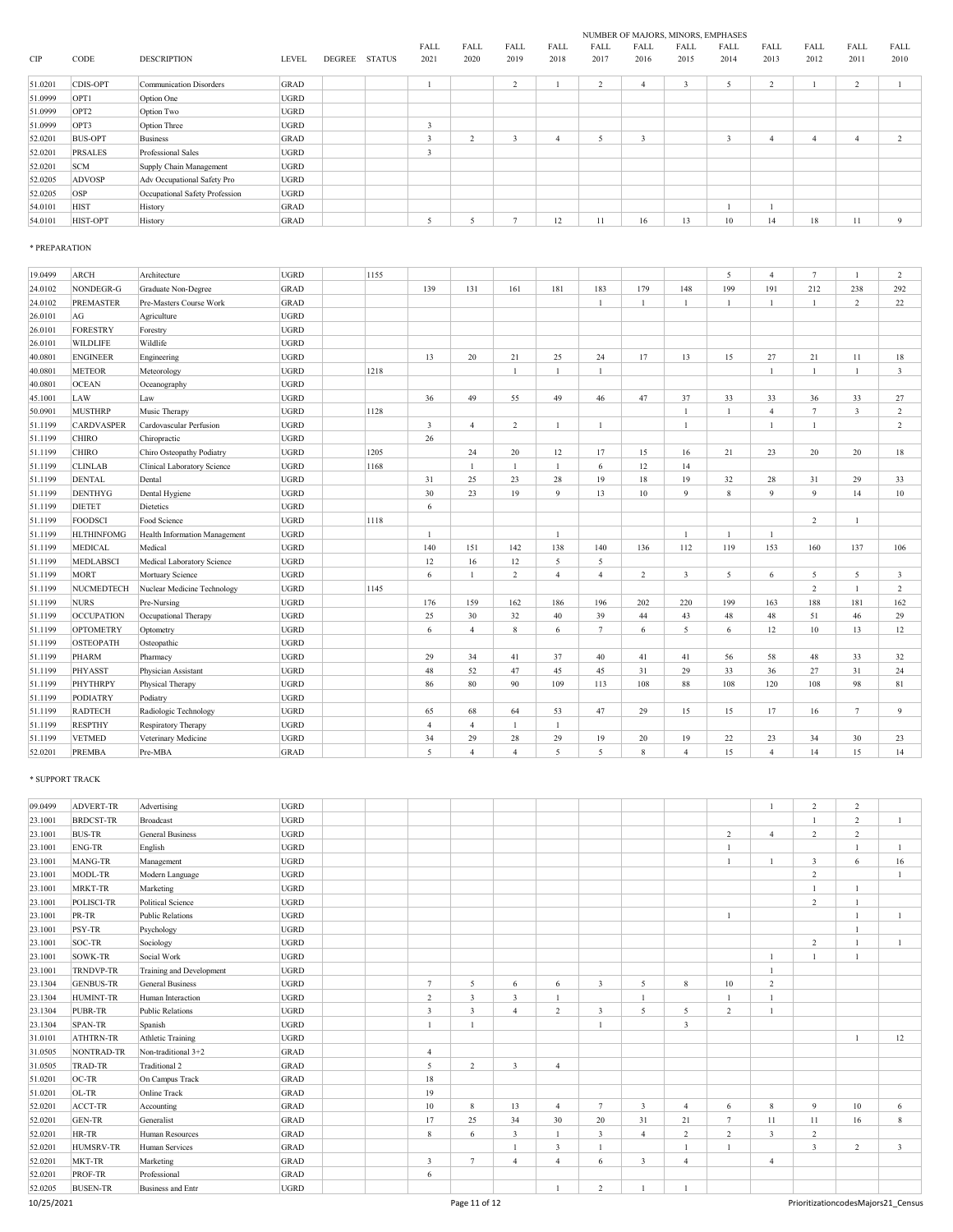|                   | NUMBER OF MAJORS, MINORS, EMPHASES |      |        |      |      |      |        |      |      |               |                |               |        |              |                                |                  |         |  |  |  |  |  |  |
|-------------------|------------------------------------|------|--------|------|------|------|--------|------|------|---------------|----------------|---------------|--------|--------------|--------------------------------|------------------|---------|--|--|--|--|--|--|
| FALL              | FALL                               | FALL | FALL   | FALL | FALL | FALL | FALL   | FALL | FALL | FALL          | FALL           |               |        |              |                                |                  |         |  |  |  |  |  |  |
| 2010              | 2011                               | 2012 | 2013   | 2014 | 2015 | 2016 | 2017   | 2018 | 2019 | 2020          | 2021           | <b>STATUS</b> | DEGREE | <b>LEVEL</b> | <b>DESCRIPTION</b>             | CODE             | CIP     |  |  |  |  |  |  |
|                   | $\sim$                             |      | $\sim$ |      | ٠    |      | $\sim$ |      |      |               |                |               |        | GRAD         | Communication Disorders        | CDIS-OPT         | 51.0201 |  |  |  |  |  |  |
|                   | ∠                                  |      | ∠      |      | ÷,   |      |        |      |      |               |                |               |        |              |                                |                  |         |  |  |  |  |  |  |
|                   |                                    |      |        |      |      |      |        |      |      |               |                |               |        | <b>UGRD</b>  | Option One                     | OPT1             | 51.0999 |  |  |  |  |  |  |
|                   |                                    |      |        |      |      |      |        |      |      |               |                |               |        | <b>UGRD</b>  | Option Two                     | OPT <sub>2</sub> | 51.0999 |  |  |  |  |  |  |
|                   |                                    |      |        |      |      |      |        |      |      |               | $\overline{2}$ |               |        | <b>UGRD</b>  | Option Three                   | OPT3             | 51.0999 |  |  |  |  |  |  |
| $\mathbf{\hat{}}$ |                                    |      |        |      |      |      |        |      |      | $\mathcal{L}$ | $\overline{2}$ |               |        | <b>GRAD</b>  | <b>Business</b>                | <b>BUS-OPT</b>   | 52.0201 |  |  |  |  |  |  |
|                   |                                    |      |        |      |      |      |        |      |      |               |                |               |        | <b>UGRD</b>  | Professional Sales             | <b>PRSALES</b>   | 52.0201 |  |  |  |  |  |  |
|                   |                                    |      |        |      |      |      |        |      |      |               |                |               |        | <b>UGRD</b>  | Supply Chain Management        | <b>SCM</b>       | 52.0201 |  |  |  |  |  |  |
|                   |                                    |      |        |      |      |      |        |      |      |               |                |               |        | UGRD         | Adv Occupational Safety Pro    | ADVOSP           | 52.0205 |  |  |  |  |  |  |
|                   |                                    |      |        |      |      |      |        |      |      |               |                |               |        | <b>UGRD</b>  | Occupational Safety Profession | OSP              | 52.0205 |  |  |  |  |  |  |
|                   |                                    |      |        |      |      |      |        |      |      |               |                |               |        | <b>GRAD</b>  | History                        | <b>HIST</b>      | 54.0101 |  |  |  |  |  |  |
| 9                 | 11                                 | 18   | 14     | 10   | 13   | 16   | 11     | 12   |      |               |                |               |        | GRAD         | History                        | HIST-OPT         | 54.0101 |  |  |  |  |  |  |
|                   |                                    |      |        |      |      |      |        |      |      |               |                |               |        |              |                                |                  |         |  |  |  |  |  |  |

# \* PREPARATION

| 19.0499 | <b>ARCH</b>       | Architecture                  | <b>UGRD</b> | 1155 |                |                |                |                |                |     |                       | 5                | $\overline{4}$ | $\tau$         | $\overline{1}$ | 2   |
|---------|-------------------|-------------------------------|-------------|------|----------------|----------------|----------------|----------------|----------------|-----|-----------------------|------------------|----------------|----------------|----------------|-----|
| 24.0102 | NONDEGR-G         | Graduate Non-Degree           | GRAD        |      | 139            | 131            | 161            | 181            | 183            | 179 | 148                   | 199              | 191            | 212            | 238            | 292 |
| 24.0102 | <b>PREMASTER</b>  | Pre-Masters Course Work       | GRAD        |      |                |                |                |                |                |     | $\mathbf{1}$          | -1               | $\mathbf{1}$   |                | 2              | 22  |
| 26.0101 | AG                | Agriculture                   | <b>UGRD</b> |      |                |                |                |                |                |     |                       |                  |                |                |                |     |
| 26.0101 | <b>FORESTRY</b>   | Forestry                      | <b>UGRD</b> |      |                |                |                |                |                |     |                       |                  |                |                |                |     |
| 26.0101 | <b>WILDLIFE</b>   | Wildlife                      | <b>UGRD</b> |      |                |                |                |                |                |     |                       |                  |                |                |                |     |
| 40.0801 | <b>ENGINEER</b>   | Engineering                   | <b>UGRD</b> |      | 13             | 20             | 21             | 25             | 24             | 17  | 13                    | 15               | 27             | 21             | 11             | 18  |
| 40.0801 | <b>METEOR</b>     | Meteorology                   | <b>UGRD</b> | 1218 |                |                |                | $\mathbf{1}$   |                |     |                       |                  | $\mathbf{1}$   |                | $\mathbf{1}$   | 3   |
| 40.0801 | <b>OCEAN</b>      | Oceanography                  | <b>UGRD</b> |      |                |                |                |                |                |     |                       |                  |                |                |                |     |
| 45.1001 | LAW               | Law                           | <b>UGRD</b> |      | 36             | 49             | 55             | 49             | 46             | 47  | 37                    | 33               | 33             | 36             | 33             | 27  |
| 50.0901 | <b>MUSTHRP</b>    | Music Therapy                 | <b>UGRD</b> | 1128 |                |                |                |                |                |     | $\mathbf{1}$          |                  | $\overline{4}$ | $\overline{7}$ | 3              | 2   |
| 51.1199 | <b>CARDVASPER</b> | Cardovascular Perfusion       | <b>UGRD</b> |      | 3              | $\overline{4}$ | 2              | $\mathbf{1}$   |                |     | $\mathbf{1}$          |                  | $\mathbf{1}$   |                |                | 2   |
| 51.1199 | <b>CHIRO</b>      | Chiropractic                  | <b>UGRD</b> |      | 26             |                |                |                |                |     |                       |                  |                |                |                |     |
| 51.1199 | <b>CHIRO</b>      | Chiro Osteopathy Podiatry     | UGRD        | 1205 |                | 24             | 20             | 12             | 17             | 15  | 16                    | 21               | 23             | 20             | 20             | 18  |
| 51.1199 | <b>CLINLAB</b>    | Clinical Laboratory Science   | <b>UGRD</b> | 1168 |                | 1              | $\overline{1}$ | $\mathbf{1}$   | 6              | 12  | 14                    |                  |                |                |                |     |
| 51.1199 | <b>DENTAL</b>     | Dental                        | <b>UGRD</b> |      | 31             | 25             | 23             | 28             | 19             | 18  | 19                    | 32               | 28             | 31             | 29             | 33  |
| 51.1199 | <b>DENTHYG</b>    | Dental Hygiene                | <b>UGRD</b> |      | 30             | 23             | 19             | 9              | 13             | 10  | 9                     | $\boldsymbol{8}$ | 9              | 9              | 14             | 10  |
| 51.1199 | <b>DIETET</b>     | Dietetics                     | <b>UGRD</b> |      | 6              |                |                |                |                |     |                       |                  |                |                |                |     |
| 51.1199 | FOODSCI           | Food Science                  | <b>UGRD</b> | 1118 |                |                |                |                |                |     |                       |                  |                | $\overline{2}$ |                |     |
| 51.1199 | <b>HLTHINFOMG</b> | Health Information Management | <b>UGRD</b> |      | $\overline{1}$ |                |                | $\overline{1}$ |                |     | $\mathbf{1}$          | $\overline{1}$   | $\mathbf{1}$   |                |                |     |
| 51.1199 | <b>MEDICAL</b>    | Medical                       | <b>UGRD</b> |      | 140            | 151            | 142            | 138            | 140            | 136 | 112                   | 119              | 153            | 160            | 137            | 106 |
| 51.1199 | <b>MEDLABSCI</b>  | Medical Laboratory Science    | <b>UGRD</b> |      | 12             | 16             | 12             | 5              | 5              |     |                       |                  |                |                |                |     |
| 51.1199 | <b>MORT</b>       | Mortuary Science              | UGRD        |      | 6              | $\mathbf{1}$   | 2              | $\overline{4}$ | $\overline{4}$ | 2   | $\overline{3}$        | 5                | 6              | $\sim$         | 5              | 3   |
| 51.1199 | NUCMEDTECH        | Nuclear Medicine Technology   | <b>UGRD</b> | 1145 |                |                |                |                |                |     |                       |                  |                | $\overline{c}$ | $\overline{1}$ | 2   |
| 51.1199 | <b>NURS</b>       | Pre-Nursing                   | <b>UGRD</b> |      | 176            | 159            | 162            | 186            | 196            | 202 | 220                   | 199              | 163            | 188            | 181            | 162 |
| 51.1199 | <b>OCCUPATION</b> | Occupational Therapy          | <b>UGRD</b> |      | 25             | 30             | 32             | 40             | 39             | 44  | 43                    | 48               | 48             | 51             | 46             | 29  |
| 51.1199 | <b>OPTOMETRY</b>  | Optometry                     | <b>UGRD</b> |      | 6              | $\overline{4}$ | 8              | 6              | $\tau$         | 6   | 5                     | 6                | 12             | 10             | 13             | 12  |
| 51.1199 | <b>OSTEOPATH</b>  | Osteopathic                   | <b>UGRD</b> |      |                |                |                |                |                |     |                       |                  |                |                |                |     |
| 51.1199 | <b>PHARM</b>      | Pharmacy                      | <b>UGRD</b> |      | 29             | 34             | 41             | 37             | 40             | 41  | 41                    | 56               | 58             | 48             | 33             | 32  |
| 51.1199 | PHYASST           | Physician Assistant           | <b>UGRD</b> |      | 48             | 52             | 47             | 45             | 45             | 31  | 29                    | 33               | 36             | 27             | 31             | 24  |
| 51.1199 | PHYTHRPY          | Physical Therapy              | <b>UGRD</b> |      | 86             | 80             | 90             | 109            | 113            | 108 | 88                    | 108              | 120            | 108            | 98             | 81  |
| 51.1199 | <b>PODIATRY</b>   | Podiatry                      | UGRD        |      |                |                |                |                |                |     |                       |                  |                |                |                |     |
| 51.1199 | <b>RADTECH</b>    | Radiologic Technology         | <b>UGRD</b> |      | 65             | 68             | 64             | 53             | 47             | 29  | 15                    | 15               | 17             | 16             | 7              | 9   |
| 51.1199 | <b>RESPTHY</b>    | Respiratory Therapy           | <b>UGRD</b> |      | $\overline{4}$ | $\overline{4}$ | -1             | $\overline{1}$ |                |     |                       |                  |                |                |                |     |
| 51.1199 | <b>VETMED</b>     | Veterinary Medicine           | <b>UGRD</b> |      | 34             | 29             | 28             | 29             | 19             | 20  | 19                    | 22               | 23             | 34             | 30             | 23  |
| 52.0201 | <b>PREMBA</b>     | Pre-MBA                       | <b>GRAD</b> |      | $\overline{5}$ | $\overline{4}$ | $\overline{A}$ | 5              | $\overline{5}$ | 8   | $\boldsymbol{\Delta}$ | 15               | $\overline{4}$ | 14             | 15             | 14  |

# \* SUPPORT TRACK

| 09.0499    | ADVERT-TR        | Advertising              | <b>UGRD</b> |                |                |                         |                         |                |                         |                |                 |                | $\overline{2}$          | $\overline{c}$ |                                    |
|------------|------------------|--------------------------|-------------|----------------|----------------|-------------------------|-------------------------|----------------|-------------------------|----------------|-----------------|----------------|-------------------------|----------------|------------------------------------|
| 23.1001    | <b>BRDCST-TR</b> | Broadcast                | <b>UGRD</b> |                |                |                         |                         |                |                         |                |                 |                |                         | 2              |                                    |
| 23.1001    | <b>BUS-TR</b>    | General Business         | <b>UGRD</b> |                |                |                         |                         |                |                         |                | $\overline{2}$  | $\overline{4}$ | 2                       | $\overline{2}$ |                                    |
| 23.1001    | ENG-TR           | English                  | <b>UGRD</b> |                |                |                         |                         |                |                         |                | $\mathbf{1}$    |                |                         | $\mathbf{1}$   |                                    |
| 23.1001    | MANG-TR          | Management               | <b>UGRD</b> |                |                |                         |                         |                |                         |                | $\overline{1}$  |                | 3                       | 6              | 16                                 |
| 23.1001    | MODL-TR          | Modern Language          | <b>UGRD</b> |                |                |                         |                         |                |                         |                |                 |                | $\overline{2}$          |                |                                    |
| 23.1001    | MRKT-TR          | Marketing                | <b>UGRD</b> |                |                |                         |                         |                |                         |                |                 |                |                         | $\overline{1}$ |                                    |
| 23.1001    | POLISCI-TR       | Political Science        | <b>UGRD</b> |                |                |                         |                         |                |                         |                |                 |                | $\overline{2}$          | $\mathbf{1}$   |                                    |
| 23.1001    | PR-TR            | Public Relations         | <b>UGRD</b> |                |                |                         |                         |                |                         |                |                 |                |                         | $\mathbf{1}$   | 1                                  |
| 23.1001    | PSY-TR           | Psychology               | <b>UGRD</b> |                |                |                         |                         |                |                         |                |                 |                |                         | $\overline{1}$ |                                    |
| 23.1001    | SOC-TR           | Sociology                | <b>UGRD</b> |                |                |                         |                         |                |                         |                |                 |                | $\overline{2}$          | $\mathbf{1}$   |                                    |
| 23.1001    | SOWK-TR          | Social Work              | <b>UGRD</b> |                |                |                         |                         |                |                         |                |                 |                |                         | 1              |                                    |
| 23.1001    | <b>TRNDVP-TR</b> | Training and Development | <b>UGRD</b> |                |                |                         |                         |                |                         |                |                 |                |                         |                |                                    |
| 23.1304    | <b>GENBUS-TR</b> | General Business         | <b>UGRD</b> | $\overline{7}$ | 5              | 6                       | 6                       | 3              | 5                       | 8              | 10              | $\overline{c}$ |                         |                |                                    |
| 23.1304    | HUMINT-TR        | Human Interaction        | <b>UGRD</b> | $\overline{2}$ | $\overline{3}$ | $\overline{3}$          | $\mathbf{1}$            |                | $\overline{1}$          |                | $\overline{1}$  |                |                         |                |                                    |
| 23.1304    | PUBR-TR          | Public Relations         | <b>UGRD</b> | $\overline{3}$ | $\overline{3}$ | $\overline{4}$          | 2                       | $\overline{3}$ | 5                       | 5              | 2               |                |                         |                |                                    |
| 23.1304    | SPAN-TR          | Spanish                  | <b>UGRD</b> |                |                |                         |                         |                |                         | $\overline{3}$ |                 |                |                         |                |                                    |
| 31.0101    | <b>ATHTRN-TR</b> | Athletic Training        | <b>UGRD</b> |                |                |                         |                         |                |                         |                |                 |                |                         | $\mathbf{1}$   | 12                                 |
| 31.0505    | NONTRAD-TR       | Non-traditional 3+2      | GRAD        | $\overline{4}$ |                |                         |                         |                |                         |                |                 |                |                         |                |                                    |
| 31.0505    | TRAD-TR          | Traditional 2            | GRAD        | 5              | $\overline{2}$ | $\overline{\mathbf{3}}$ | $\overline{4}$          |                |                         |                |                 |                |                         |                |                                    |
| 51.0201    | OC-TR            | On Campus Track          | GRAD        | 18             |                |                         |                         |                |                         |                |                 |                |                         |                |                                    |
| 51.0201    | OL-TR            | Online Track             | GRAD        | 19             |                |                         |                         |                |                         |                |                 |                |                         |                |                                    |
| 52.0201    | <b>ACCT-TR</b>   | Accounting               | GRAD        | 10             | 8              | 13                      | $\overline{4}$          | $\overline{7}$ | 3                       | $\overline{4}$ | 6               | 8              | 9                       | 10             | 6                                  |
| 52.0201    | <b>GEN-TR</b>    | Generalist               | <b>GRAD</b> | 17             | 25             | 34                      | 30                      | 20             | 31                      | 21             | $7\phantom{.0}$ | 11             | 11                      | 16             | 8                                  |
| 52.0201    | HR-TR            | Human Resources          | GRAD        | 8              | 6              | $\overline{3}$          | $\mathbf{1}$            | 3              | $\overline{4}$          | $\overline{2}$ | $\overline{2}$  | $\overline{3}$ | $\overline{c}$          |                |                                    |
| 52.0201    | HUMSRV-TR        | Human Services           | GRAD        |                |                |                         | $\overline{\mathbf{3}}$ |                |                         |                |                 |                | $\overline{\mathbf{3}}$ | $\overline{2}$ | 3                                  |
| 52.0201    | MKT-TR           | Marketing                | GRAD        | $\mathbf{3}$   | $\tau$         | $\overline{4}$          | $\overline{4}$          | 6              | $\overline{\mathbf{3}}$ | $\overline{4}$ |                 | $\overline{4}$ |                         |                |                                    |
| 52.0201    | PROF-TR          | Professional             | GRAD        | 6              |                |                         |                         |                |                         |                |                 |                |                         |                |                                    |
| 52.0205    | <b>BUSEN-TR</b>  | <b>Business and Entr</b> | <b>UGRD</b> |                |                |                         | $\mathbf{1}$            | $\overline{2}$ |                         |                |                 |                |                         |                |                                    |
| 10/25/2021 |                  |                          |             |                | Page 11 of 12  |                         |                         |                |                         |                |                 |                |                         |                | PrioritizationcodesMajors21 Census |